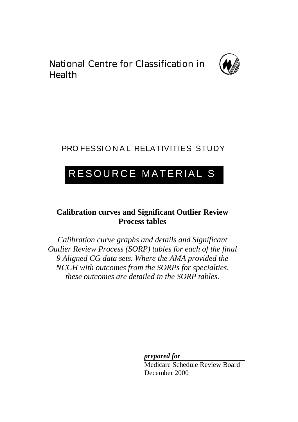National Centre for Classification in Health



## PRO FESSIONAL RELATIVITIES STUDY

# RESOURCE MATERIAL S

## **Calibration curves and Significant Outlier Review Process tables**

*Calibration curve graphs and details and Significant Outlier Review Process (SORP) tables for each of the final 9 Aligned CG data sets. Where the AMA provided the NCCH with outcomes from the SORPs for specialties, these outcomes are detailed in the SORP tables.*

*prepared for*

Medicare Schedule Review Board December 2000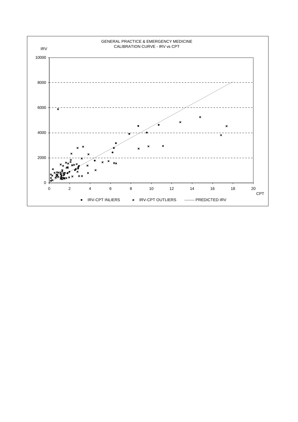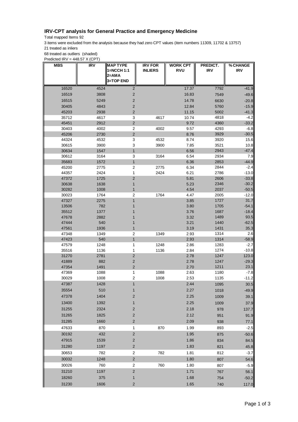## **IRV-CPT analysis for General Practice and Emergency Medicine**

Total mapped Items 92

3 items were excluded from the analysis because they had zero CPT values (item numbers 11309, 11702 & 13757) 21 treated as inliers

68 treated as outliers (shaded)

Predicted  $IRV = 448.57 X (CPT)$ 

| <b>MBS</b>     | <b>IRV</b>   | <b>MAP TYPE</b><br>1=NCCH 1:1<br>2=AMA<br>3=TOP END | <b>IRV FOR</b><br><b>INLIERS</b> | <b>WORK CPT</b><br><b>RVU</b> | PREDICT.<br>IRV | % CHANGE<br><b>IRV</b> |
|----------------|--------------|-----------------------------------------------------|----------------------------------|-------------------------------|-----------------|------------------------|
|                |              |                                                     |                                  |                               |                 |                        |
| 16520<br>16519 | 4524<br>3808 | $\overline{2}$                                      |                                  | 17.37                         | 7792            | -41.9                  |
|                |              | $\overline{\mathbf{c}}$                             |                                  | 16.83                         | 7549            | $-49.6$                |
| 16515          | 5249         | $\overline{\mathbf{c}}$                             |                                  | 14.78                         | 6630            | $-20.8$                |
| 30405          | 4843         | $\overline{\mathbf{c}}$                             |                                  | 12.84                         | 5760            | $-15.9$                |
| 45203<br>35712 | 2938         | $\overline{\mathbf{c}}$                             | 4617                             | 11.15<br>10.74                | 5002<br>4818    | $-41.3$<br>$-4.2$      |
| 45451          | 4617<br>2912 | 3<br>$\overline{c}$                                 |                                  | 9.72                          | 4360            | $-33.2$                |
| 30403          | 4002         | 2                                                   | 4002                             | 9.57                          | 4293            | $-6.8$                 |
| 45206          | 2730         | $\overline{c}$                                      |                                  | 8.76                          | 3929            | $-30.5$                |
| 44324          | 4532         | 3                                                   | 4532                             | 8.74                          | 3920            | 15.6                   |
| 30615          | 3900         | 3                                                   | 3900                             | 7.85                          | 3521            | 10.8                   |
| 30634          | 1547         | $\mathbf{1}$                                        |                                  | 6.56                          | 2943            | $-47.4$                |
| 30612          | 3164         | 3                                                   | 3164                             | 6.54                          | 2934            | 7.9                    |
| 35683          | 1572         | $\mathbf{1}$                                        |                                  | 6.36                          | 2853            | $-44.9$                |
| 45200          | 2775         | 2                                                   | 2775                             | 6.34                          | 2844            | $-2.4$                 |
| 44357          | 2424         | 1                                                   | 2424                             | 6.21                          | 2786            | $-13.0$                |
| 47372          | 1725         | $\overline{\mathbf{c}}$                             |                                  | 5.81                          | 2606            | $-33.8$                |
| 30638          | 1638         | 1                                                   |                                  | 5.23                          | 2346            | $-30.2$                |
| 30282          | 1008         | 1<br>$\overline{\mathbf{c}}$                        | 1764                             | 4.54                          | 2037<br>2005    | $-50.5$<br>$-12.0$     |
| 30023<br>47327 | 1764<br>2275 | 1                                                   |                                  | 4.47<br>3.85                  | 1727            | 31.7                   |
| 13506          | 782          | 1                                                   |                                  | 3.80                          | 1705            | $-54.1$                |
| 35512          | 1377         |                                                     |                                  | 3.76                          | 1687            | $-18.4$                |
| 47678          | 2882         |                                                     |                                  | 3.32                          | 1489            | 93.5                   |
| 47444          | 540          | 1                                                   |                                  | 3.21                          | 1440            | $-62.5$                |
| 47561          | 1936         | 1                                                   |                                  | 3.19                          | 1431            | 35.3                   |
| 47348          | 1349         | 2                                                   | 1349                             | 2.93                          | 1314            | 2.6                    |
| 47423          | 540          | $\mathbf{1}$                                        |                                  | 2.93                          | 1314            | $-58.9$                |
| 47579          | 1248         | 1                                                   | 1248                             | 2.86                          | 1283            | -2.7                   |
| 35516          | 1136         | 1                                                   | 1136                             | 2.84                          | 1274            | $-10.8$                |
| 31270          | 2781         | $\overline{c}$                                      |                                  | 2.78                          | 1247            | 123.0                  |
| 41889          | 882          | $\mathbf 2$                                         |                                  | 2.78                          | 1247            | $-29.3$                |
| 47354<br>47369 | 1491<br>1088 | $\mathbf 2$<br>1                                    | 1088                             | 2.70<br>2.63                  | 1211<br>1180    | 23.1<br>$-7.8$         |
| 30029          | 1008         | 2                                                   | 1008                             | 2.53                          | 1135            | -11.2                  |
| 47387          | 1428         | 1                                                   |                                  | 2.44                          | 1095            | 30.5                   |
| 35554          | 510          | 1                                                   |                                  | 2.27                          | 1018            | $-49.9$                |
| 47378          | 1404         | $\mathbf 2$                                         |                                  | 2.25                          | 1009            | 39.1                   |
| 13400          | 1392         | $\mathbf{1}$                                        |                                  | 2.25                          | 1009            | 37.9                   |
| 31255          | 2324         | $\mathbf 2$                                         |                                  | 2.18                          |                 |                        |
|                |              |                                                     |                                  |                               | 978             | 137.7                  |
| 31265          | 1825         | $\mathbf 2$                                         |                                  | 2.12                          | 951             | 91.9                   |
| 31285          | 1660         | $\mathbf 2$                                         |                                  | 2.09                          | 938             | 77.1                   |
| 47633          | 870          | 1                                                   | 870                              | 1.99                          | 893             | $-2.5$                 |
| 30192          | 432          | $\overline{\mathbf{c}}$                             |                                  | 1.95                          | 875             | $-50.6$                |
| 47915          | 1539         | $\mathbf 2$                                         |                                  | 1.86                          | 834             | 84.5                   |
| 31280          | 1197         | $\mathbf 2$                                         |                                  | 1.83                          | 821             | 45.8                   |
| 30653          | 782          | 2                                                   | 782                              | 1.81                          | 812             | $-3.7$                 |
| 30032          | 1248         | $\overline{\mathbf{c}}$                             |                                  | 1.80                          | 807             | 54.6                   |
| 30026          | 760          | $\overline{\mathbf{c}}$                             | 760                              | 1.80                          | 807             | $-5.9$                 |
| 31210          | 1197         | $\mathbf 2$                                         |                                  | 1.71                          | 767             | 56.1                   |
| 18260          | 375          | 1                                                   |                                  | 1.68                          | 754             | $-50.2$                |
| 31230          | 1606         | $\mathbf 2$                                         |                                  | 1.65                          | 740             | 117.0                  |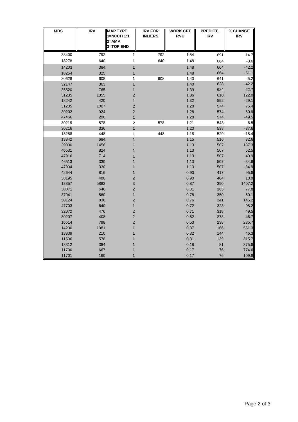| <b>MBS</b> | IRV  | <b>MAP TYPE</b><br>1=NCCH 1:1 | <b>IRV FOR</b><br><b>INLIERS</b> | <b>WORK CPT</b><br><b>RVU</b> | PREDICT.<br><b>IRV</b> | % CHANGE<br><b>IRV</b> |
|------------|------|-------------------------------|----------------------------------|-------------------------------|------------------------|------------------------|
|            |      | 2=AMA<br>3=TOP END            |                                  |                               |                        |                        |
| 38400      | 792  | 1                             | 792                              | 1.54                          | 691                    | 14.7                   |
| 18278      | 640  | 1                             | 640                              | 1.48                          | 664                    | $-3.6$                 |
| 14203      | 384  | $\mathbf{1}$                  |                                  | 1.48                          | 664                    | $-42.2$                |
| 18254      | 325  | 1                             |                                  | 1.48                          | 664                    | $-51.1$                |
| 30628      | 608  | 1                             | 608                              | 1.43                          | 641                    | $-5.2$                 |
| 32147      | 363  | $\mathbf{1}$                  |                                  | 1.40                          | 628                    | $-42.2$                |
| 35520      | 765  | $\mathbf{1}$                  |                                  | 1.39                          | 624                    | 22.7                   |
| 31235      | 1355 | $\overline{\mathbf{c}}$       |                                  | 1.36                          | 610                    | 122.0                  |
| 18242      | 420  | $\mathbf{1}$                  |                                  | 1.32                          | 592                    | $-29.1$                |
| 31205      | 1007 | $\overline{\mathbf{c}}$       |                                  | 1.28                          | 574                    | 75.4                   |
| 30202      | 924  | $\overline{\mathbf{c}}$       |                                  | 1.28                          | 574                    | 60.9                   |
| 47466      | 290  | $\mathbf{1}$                  |                                  | 1.28                          | 574                    | $-49.5$                |
| 30219      | 578  | $\mathbf 2$                   | 578                              | 1.21                          | 543                    | 6.5                    |
| 30216      | 336  | $\mathbf{1}$                  |                                  | 1.20                          | 538                    | $-37.6$                |
| 18258      | 448  | 1                             | 448                              | 1.18                          | 529                    | $-15.4$                |
| 13842      | 684  | $\mathbf{1}$                  |                                  | 1.15                          | 516                    | 32.6                   |
| 39000      | 1456 | 1                             |                                  | 1.13                          | 507                    | 187.3                  |
| 46531      | 824  |                               |                                  | 1.13                          | 507                    | 62.5                   |
| 47916      | 714  |                               |                                  | 1.13                          | 507                    | 40.9                   |
| 46513      | 330  | 1                             |                                  | 1.13                          | 507                    | $-34.9$                |
| 47904      | 330  | 1                             |                                  | 1.13                          | 507                    | $-34.9$                |
| 42644      | 816  | $\mathbf{1}$                  |                                  | 0.93                          | 417                    | 95.6                   |
| 30195      | 480  | $\overline{\mathbf{c}}$       |                                  | 0.90                          | 404                    | 18.9                   |
| 13857      | 5882 | 3                             |                                  | 0.87                          | 390                    | 1407.2                 |
| 30071      | 646  | $\overline{c}$                |                                  | 0.81                          | 363                    | 77.8                   |
| 37041      | 560  | $\mathbf{1}$                  |                                  | 0.78                          | 350                    | 60.1                   |
| 50124      | 836  | $\overline{\mathbf{c}}$       |                                  | 0.76                          | 341                    | 145.2                  |
| 47703      | 640  | $\mathbf{1}$                  |                                  | 0.72                          | 323                    | 98.2                   |
| 32072      | 476  | $\overline{c}$                |                                  | 0.71                          | 318                    | 49.5                   |
| 30207      | 408  | 2                             |                                  | 0.62                          | 278                    | 46.7                   |
| 16514      | 798  | $\overline{\mathbf{c}}$       |                                  | 0.53                          | 238                    | 235.7                  |
| 14200      | 1081 | $\mathbf{1}$                  |                                  | 0.37                          | 166                    | 551.3                  |
| 13839      | 210  | 1                             |                                  | 0.32                          | 144                    | 46.3                   |
| 11506      | 578  | 1                             |                                  | 0.31                          | 139                    | 315.7                  |
| 13312      | 384  |                               |                                  | 0.18                          | 81                     | 375.6                  |
| 11700      | 667  | 1                             |                                  | 0.17                          | 76                     | 774.6                  |
| 11701      | 160  | 1                             |                                  | 0.17                          | 76                     | 109.8                  |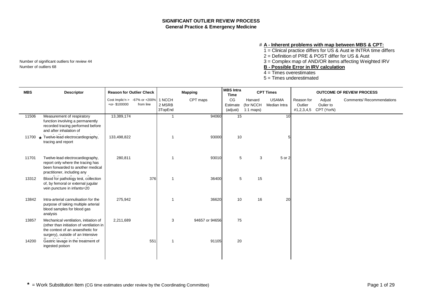### # **A - Inherent problems with map between MBS & CPT:**

1 = Clinical practice differs for US & Aust ie INTRA time differs

2 = Definition of PRE & POST differ for US & Aust

Number of significant outliers for review 44 3 = Complex map of AND/OR items affecting Weighted IRV

Number of outliers 68 **B - Possible Error in IRV calculation**

 $4 =$  Times overestimates

5 = Times underestimated

| <b>MBS</b> | <b>Descriptor</b>                                                                                                                                           | <b>Reason for Outlier Check</b>                        |           |                   | <b>Mapping</b> | <b>MBS</b> Intra<br><b>Time</b> |                                     | <b>CPT Times</b>             |                       | <b>OUTCOME OF REVIEW PROCESS</b>             |                           |
|------------|-------------------------------------------------------------------------------------------------------------------------------------------------------------|--------------------------------------------------------|-----------|-------------------|----------------|---------------------------------|-------------------------------------|------------------------------|-----------------------|----------------------------------------------|---------------------------|
|            |                                                                                                                                                             | Cost Implic'n > -67% or +200%   1 NCCH<br>+or-\$100000 | from line | 2 MSRB<br>3TopEnd | CPT maps       | CG<br>Estimate<br>(adjust)      | Harvard<br>(for NCCH<br>$1:1$ maps) | <b>USAMA</b><br>Median Intra | Reason for<br>Outlier | Adjust<br>Oulier to<br>#1,2,3,4,5 CPT (YorN) | Comments/ Recommendations |
| 11506      | Measurement of respiratory<br>function involving a permanently<br>recorded tracing performed before<br>and after inhalation of                              | 13,389,174                                             |           |                   | 94060          | 15                              |                                     | 10                           |                       |                                              |                           |
|            | 11700 * Twelve-lead electrocardiography,<br>tracing and report                                                                                              | 133,498,822                                            |           |                   | 93000          | 10                              |                                     |                              |                       |                                              |                           |
| 11701      | Twelve-lead electrocardiography,<br>report only where the tracing has<br>been forwarded to another medical<br>practitioner, including any                   | 280,811                                                |           |                   | 93010          | 5                               | 3                                   | 5 or 2                       |                       |                                              |                           |
| 13312      | Blood for pathology test, collection<br>of, by femoral or external jugular<br>vein puncture in infants=20                                                   |                                                        | 376       | -1                | 36400          | 5                               | 15                                  |                              |                       |                                              |                           |
| 13842      | Intra-arterial cannulisation for the<br>purpose of taking multiple arterial<br>blood samples for blood gas<br>analysis                                      | 275,942                                                |           |                   | 36620          | 10                              | 16                                  | 20                           |                       |                                              |                           |
| 13857      | Mechanical ventilation, initiation of<br>(other than initiation of ventilation in<br>the context of an anaesthetic for<br>surgery), outside of an Intensive | 2,211,689                                              |           | 3                 | 94657 or 94656 | 75                              |                                     |                              |                       |                                              |                           |
| 14200      | Gastric lavage in the treatment of<br>ingested poison                                                                                                       |                                                        | 551       |                   | 91105          | 20                              |                                     |                              |                       |                                              |                           |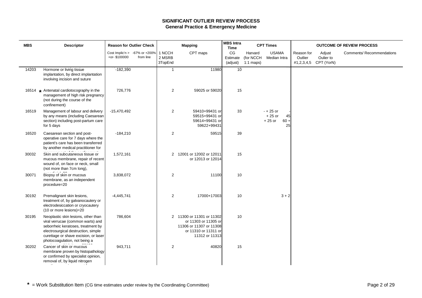| <b>MBS</b> | <b>Descriptor</b>                                                                                                                                                                                                               | <b>Reason for Outlier Check</b>                     |           |                             | <b>Mapping</b>                                                                                                         | <b>MBS</b> Intra<br><b>Time</b> |                                     | <b>CPT Times</b>                                          |                       |                                              | <b>OUTCOME OF REVIEW PROCESS</b> |
|------------|---------------------------------------------------------------------------------------------------------------------------------------------------------------------------------------------------------------------------------|-----------------------------------------------------|-----------|-----------------------------|------------------------------------------------------------------------------------------------------------------------|---------------------------------|-------------------------------------|-----------------------------------------------------------|-----------------------|----------------------------------------------|----------------------------------|
|            |                                                                                                                                                                                                                                 | Cost Implic'n > $-67\%$ or $+200\%$<br>+or-\$100000 | from line | 1 NCCH<br>2 MSRB<br>3TopEnd | CPT maps                                                                                                               | CG<br>Estimate<br>(adjust)      | Harvard<br>(for NCCH<br>$1:1$ maps) | <b>USAMA</b><br>Median Intra                              | Reason for<br>Outlier | Adjust<br>Oulier to<br>#1,2,3,4,5 CPT (YorN) | Comments/ Recommendations        |
| 14203      | Hormone or living tissue<br>implantation, by direct implantation<br>involving incision and suture                                                                                                                               | $-182,390$                                          |           | $\mathbf{1}$                | 11980                                                                                                                  | 10                              |                                     |                                                           |                       |                                              |                                  |
|            | 16514 * Antenatal cardiotocography in the<br>management of high risk pregnancy<br>(not during the course of the<br>confinement)                                                                                                 | 726,776                                             |           | $\overline{2}$              | 59025 or 59020                                                                                                         | 15                              |                                     |                                                           |                       |                                              |                                  |
| 16519      | Management of labour and delivery<br>by any means (including Caesarean<br>section) including post-partum care<br>for 5 days                                                                                                     | $-15,470,492$                                       |           | $\overline{c}$              | 59410+99431 or<br>59515+99431 or<br>59614+99431 or<br>59622+99431                                                      | 33                              |                                     | $- + 25$ or<br>$+25$ or<br>45<br>$+25$ or<br>$60 +$<br>25 |                       |                                              |                                  |
| 16520      | Caesarean section and post-<br>operative care for 7 days where the<br>patient's care has been transferred<br>by another medical practitioner for                                                                                | $-184,210$                                          |           | $\overline{2}$              | 59515                                                                                                                  | 39                              |                                     |                                                           |                       |                                              |                                  |
| 30032      | Skin and subcutaneous tissue or<br>mucous membrane, repair of recent<br>wound of, on face or neck, small<br>(not more than 7cm long),                                                                                           | 1,572,161                                           |           |                             | 2 12001 or 12002 or 12011<br>or 12013 or 12014                                                                         | 15                              |                                     |                                                           |                       |                                              |                                  |
| 30071      | Biopsy of skin or mucous<br>membrane, as an independent<br>procedure=20                                                                                                                                                         | 3,838,072                                           |           | 2                           | 11100                                                                                                                  | 10                              |                                     |                                                           |                       |                                              |                                  |
| 30192      | Premalignant skin lesions,<br>treatment of, by galvanocautery or<br>electrodesiccation or cryocautery<br>(10 or more lesions)=20                                                                                                | $-4,445,741$                                        |           | 2                           | 17000+17003                                                                                                            | 10                              |                                     | $3 + 2$                                                   |                       |                                              |                                  |
| 30195      | Neoplastic skin lesions, other than<br>viral verrucae (common warts) and<br>seborrheic keratoses, treatment by<br>electrosurgical destruction, simple<br>curettage or shave excision, or laser<br>photocoagulation, not being a | 786,604                                             |           |                             | 2 11300 or 11301 or 11302<br>or 11303 or 11305 or<br>11306 or 11307 or 11308<br>or 11310 or 11311 or<br>11312 or 11313 | 10                              |                                     |                                                           |                       |                                              |                                  |
| 30202      | Cancer of skin or mucous<br>membrane proven by histopathology<br>or confirmed by specialist opinion,<br>removal of, by liquid nitrogen                                                                                          | 943,711                                             |           | $\overline{c}$              | 40820                                                                                                                  | 15                              |                                     |                                                           |                       |                                              |                                  |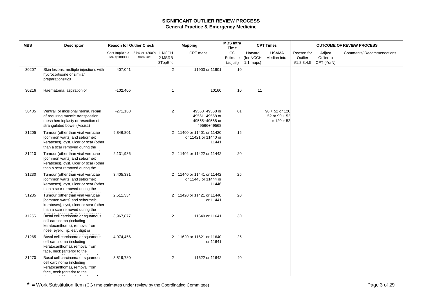| <b>MBS</b> | <b>Descriptor</b>                                                                                                                                                  | <b>Reason for Outlier Check</b>                     |           |                             | <b>Mapping</b>                                                    | <b>MBS</b> Intra<br><b>Time</b> |                                     | <b>CPT Times</b>                                        |                       |                                              | <b>OUTCOME OF REVIEW PROCESS</b> |
|------------|--------------------------------------------------------------------------------------------------------------------------------------------------------------------|-----------------------------------------------------|-----------|-----------------------------|-------------------------------------------------------------------|---------------------------------|-------------------------------------|---------------------------------------------------------|-----------------------|----------------------------------------------|----------------------------------|
|            |                                                                                                                                                                    | Cost Implic'n > $-67\%$ or $+200\%$<br>+or-\$100000 | from line | 1 NCCH<br>2 MSRB<br>3TopEnd | CPT maps                                                          | CG<br>Estimate<br>(adjust)      | Harvard<br>(for NCCH<br>$1:1$ maps) | <b>USAMA</b><br>Median Intra                            | Reason for<br>Outlier | Adjust<br>Oulier to<br>#1,2,3,4,5 CPT (YorN) | Comments/ Recommendations        |
| 30207      | Skin lesions, multiple injections with<br>hydrocortisone or similar<br>preparations=20                                                                             | 407,041                                             |           | $\overline{2}$              | 11900 or 11901                                                    | 10 <sup>1</sup>                 |                                     |                                                         |                       |                                              |                                  |
| 30216      | Haematoma, aspiration of                                                                                                                                           | $-102,405$                                          |           | $\mathbf 1$                 | 10160                                                             | 10                              | 11                                  |                                                         |                       |                                              |                                  |
| 30405      | Ventral, or incisional hernia, repair<br>of requiring muscle transposition,<br>mesh hernioplasty or resection of<br>strangulated bowel (Assist.)                   | $-271,163$                                          |           | 2                           | 49560+49568 or<br>49561+49568 or<br>49565+49568 or<br>49566+49568 | 61                              |                                     | $90 + 52$ or 120<br>$+52$ or $90 + 52$<br>or $120 + 52$ |                       |                                              |                                  |
| 31205      | Tumour (other than viral verrucae<br>[common warts] and seborrheic<br>keratoses), cyst, ulcer or scar (other<br>than a scar removed during the                     | 9,846,801                                           |           |                             | 2 11400 or 11401 or 11420<br>or 11421 or 11440 or<br>11441        | 15                              |                                     |                                                         |                       |                                              |                                  |
| 31210      | Tumour (other than viral verrucae<br>[common warts] and seborrheic<br>keratoses), cyst, ulcer or scar (other<br>than a scar removed during the                     | 2,131,936                                           |           |                             | 2 11402 or 11422 or 11442                                         | 20                              |                                     |                                                         |                       |                                              |                                  |
| 31230      | Tumour (other than viral verrucae<br>[common warts] and seborrheic<br>keratoses), cyst, ulcer or scar (other<br>than a scar removed during the                     | 3,405,331                                           |           |                             | 2 11440 or 11441 or 11442<br>or 11443 or 11444 or<br>11446        | 25                              |                                     |                                                         |                       |                                              |                                  |
| 31235      | Tumour (other than viral verrucae<br>[common warts] and seborrheic<br>keratoses), cyst, ulcer or scar (other<br>than a scar removed during the                     | 2,511,334                                           |           |                             | 2 11420 or 11421 or 11440<br>or 11441                             | 20                              |                                     |                                                         |                       |                                              |                                  |
| 31255      | Basal cell carcinoma or squamous<br>cell carcinoma (including<br>keratocanthoma), removal from<br>nose, eyelid, lip, ear, digit or                                 | 3,967,877                                           |           | $\overline{c}$              | 11640 or 11641                                                    | 30                              |                                     |                                                         |                       |                                              |                                  |
| 31265      | Basal cell carcinoma or squamous<br>cell carcinoma (including<br>keratocanthoma), removal from<br>face, neck (anterior to the                                      | 4,074,456                                           |           |                             | 2 11620 or 11621 or 11640<br>or 11641                             | 25                              |                                     |                                                         |                       |                                              |                                  |
| 31270      | Basal cell carcinoma or squamous<br>cell carcinoma (including<br>keratocanthoma), removal from<br>face, neck (anterior to the<br><b>Service</b><br><b>Carl Ave</b> | 3,819,780                                           |           | 2                           | 11622 or 11642                                                    | 40                              |                                     |                                                         |                       |                                              |                                  |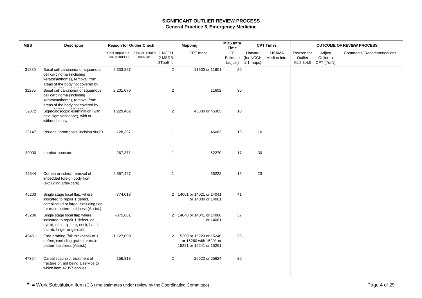| <b>MBS</b> | <b>Descriptor</b>                                                                                                                              | <b>Reason for Outlier Check</b>                                  |                             | <b>Mapping</b>                                                                 | <b>MBS Intra</b><br><b>Time</b> |                                     | <b>CPT Times</b>             |                       |                                              | <b>OUTCOME OF REVIEW PROCESS</b> |
|------------|------------------------------------------------------------------------------------------------------------------------------------------------|------------------------------------------------------------------|-----------------------------|--------------------------------------------------------------------------------|---------------------------------|-------------------------------------|------------------------------|-----------------------|----------------------------------------------|----------------------------------|
|            |                                                                                                                                                | Cost Implic'n > $-67\%$ or $+200\%$<br>+or-\$100000<br>from line | 1 NCCH<br>2 MSRB<br>3TopEnd | CPT maps                                                                       | CG<br>Estimate<br>(adjust)      | Harvard<br>(for NCCH<br>$1:1$ maps) | <b>USAMA</b><br>Median Intra | Reason for<br>Outlier | Adjust<br>Oulier to<br>#1,2,3,4,5 CPT (YorN) | Comments/ Recommendations        |
| 31280      | Basal cell carcinoma or squamous<br>cell carcinoma (including<br>keratocanthoma), removal from<br>areas of the body not covered by             | 2,333,827                                                        | $\overline{2}$              | 11600 or 11601                                                                 | $\overline{20}$                 |                                     |                              |                       |                                              |                                  |
| 31285      | Basal cell carcinoma or squamous<br>cell carcinoma (including<br>keratocanthoma), removal from<br>areas of the body not covered by             | 2,201,070                                                        | $\overline{2}$              | 11602                                                                          | 30                              |                                     |                              |                       |                                              |                                  |
| 32072      | Sigmoidoscopic examination (with<br>rigid sigmoidoscope), with or<br>without biopsy                                                            | 1,229,402                                                        | $\overline{2}$              | 45300 or 45305                                                                 | 10                              |                                     |                              |                       |                                              |                                  |
| 32147      | Perianal thrombosis, incision of=20                                                                                                            | $-128,307$                                                       | -1                          | 46083                                                                          | 10                              | 16                                  |                              |                       |                                              |                                  |
| 39000      | Lumbar puncture                                                                                                                                | 267,371                                                          | $\overline{1}$              | 62270                                                                          | 17                              | 30                                  |                              |                       |                                              |                                  |
| 42644      | Cornea or sclera, removal of<br>imbedded foreign body from<br>(excluding after-care)                                                           | 2,557,467                                                        | $\overline{1}$              | 65222                                                                          | 15                              | 23                                  |                              |                       |                                              |                                  |
| 45203      | Single stage local flap, where<br>indicated to repair 1 defect,<br>complicated or large, excluding flap<br>for male pattern baldness (Assist.) | $-774,018$                                                       |                             | 2 14001 or 14021 or 14041<br>or 14300 or 14061                                 | 41                              |                                     |                              |                       |                                              |                                  |
| 45206      | Single stage local flap where<br>indicated to repair 1 defect, on<br>eyelid, nose, lip, ear, neck, hand,<br>thumb, finger or genitals          | $-875,801$                                                       |                             | 2 14040 or 14041 or 14060<br>or 14061                                          | 37                              |                                     |                              |                       |                                              |                                  |
| 45451      | Free grafting (full thickness) to 1<br>defect, excluding grafts for male<br>pattern baldness (Assist.)                                         | $-1,127,009$                                                     |                             | 2 15200 or 15220 or 15240<br>or 15260 with 15201 or<br>15221 or 15241 or 15261 | 36                              |                                     |                              |                       |                                              |                                  |
| 47354      | Carpal scaphoid, treatment of<br>fracture of, not being a service to<br>which item 47357 applies                                               | 156,313                                                          | $\overline{2}$              | 25622 or 25624                                                                 | 20                              |                                     |                              |                       |                                              |                                  |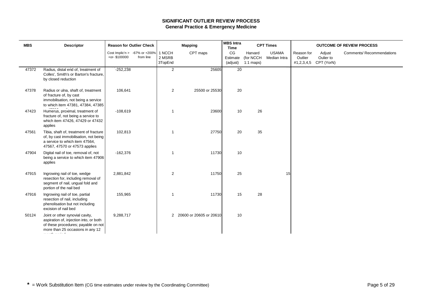| <b>MBS</b> | <b>Descriptor</b>                                                                                                                                                            | <b>Reason for Outlier Check</b>                     |           |                             | <b>Mapping</b>            | <b>MBS</b> Intra<br><b>Time</b> |                                     | <b>CPT Times</b>             |                                     |                                   | <b>OUTCOME OF REVIEW PROCESS</b> |
|------------|------------------------------------------------------------------------------------------------------------------------------------------------------------------------------|-----------------------------------------------------|-----------|-----------------------------|---------------------------|---------------------------------|-------------------------------------|------------------------------|-------------------------------------|-----------------------------------|----------------------------------|
|            |                                                                                                                                                                              | Cost Implic'n > $-67\%$ or $+200\%$<br>+or-\$100000 | from line | 1 NCCH<br>2 MSRB<br>3TopEnd | CPT maps                  | CG<br>Estimate<br>(adjust)      | Harvard<br>(for NCCH<br>$1:1$ maps) | <b>USAMA</b><br>Median Intra | Reason for<br>Outlier<br>#1,2,3,4,5 | Adjust<br>Oulier to<br>CPT (YorN) | <b>Comments/ Recommendations</b> |
| 47372      | Radius, distal end of, treatment of<br>Colles', Smith's or Barton's fracture,<br>by closed reduction                                                                         | $-252,238$                                          |           | $\overline{a}$              | 25605                     | 20                              |                                     |                              |                                     |                                   |                                  |
| 47378      | Radius or ulna, shaft of, treatment<br>of fracture of, by cast<br>immobilisation, not being a service<br>to which item 47381, 47384, 47385                                   | 106,641                                             |           | $\overline{2}$              | 25500 or 25530            | 20                              |                                     |                              |                                     |                                   |                                  |
| 47423      | Humerus, proximal, treatment of<br>fracture of, not being a service to<br>which item 47426, 47429 or 47432<br>applies                                                        | $-108,619$                                          |           | $\mathbf 1$                 | 23600                     | 10                              | 26                                  |                              |                                     |                                   |                                  |
| 47561      | Tibia, shaft of, treatment of fracture<br>of, by cast immobilisation, not being<br>a service to which item 47564,<br>47567, 47570 or 47573 applies                           | 102,813                                             |           | $\mathbf{1}$                | 27750                     | 20                              | 35                                  |                              |                                     |                                   |                                  |
| 47904      | Digital nail of toe, removal of, not<br>being a service to which item 47906<br>applies                                                                                       | $-162,376$                                          |           | $\mathbf 1$                 | 11730                     | 10                              |                                     |                              |                                     |                                   |                                  |
| 47915      | Ingrowing nail of toe, wedge<br>resection for, including removal of<br>segment of nail, ungual fold and<br>portion of the nail bed                                           | 2,881,842                                           |           | 2                           | 11750                     | 25                              |                                     | 15                           |                                     |                                   |                                  |
| 47916      | Ingrowing nail of toe, partial<br>resection of nail, including<br>phenolisation but not including<br>excision of nail bed                                                    | 155,965                                             |           | $\mathbf 1$                 | 11730                     | 15                              | 28                                  |                              |                                     |                                   |                                  |
| 50124      | Joint or other synovial cavity,<br>aspiration of, injection into, or both<br>of these procedures; payable on not<br>more than 25 occasions in any 12<br>$\sim$ $\sim$ $\sim$ | 9,288,717                                           |           |                             | 2 20600 or 20605 or 20610 | 10                              |                                     |                              |                                     |                                   |                                  |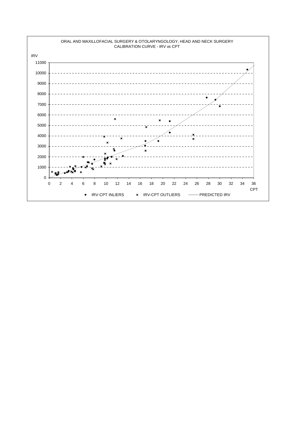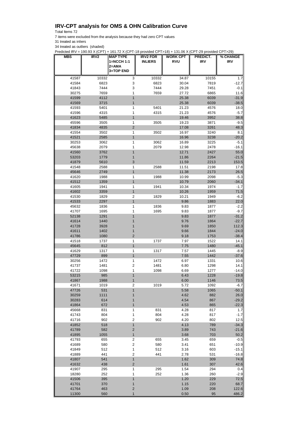## **IRV-CPT analysis for OMS & OHN Calibration Curve**

Total Items 72

7 items were excluded from the analysis because they had zero CPT values

31 treated as inliers

34 treated as outliers (shaded)

Predicted IRV = 190.93 X (CPT) + 161.72 X (CPT-18 provided CPT>18) + 131.06 X (CPT-29 provided CPT>29)

| MBS            | IRV <sub>2</sub> | <b>MAP TYPE</b>                  | <b>IRV2 FOR</b> | <b>WORK CPT</b> | PREDICT.     | % CHANGE           |
|----------------|------------------|----------------------------------|-----------------|-----------------|--------------|--------------------|
|                |                  | 1=NCCH 1:1                       | <b>INLIERS</b>  | <b>RVU</b>      | <b>IRV</b>   | <b>IRV</b>         |
|                |                  | 2=AMA                            |                 |                 |              |                    |
|                |                  | 3=TOP END                        |                 |                 |              |                    |
| 41587          | 10332            | 3                                | 10332           | 34.87           | 10155        | 1.7                |
| 41584          | 6823             | 3                                | 6823            | 30.04           | 7819         | $-12.7$            |
| 41843          | 7444             | 3                                | 7444            | 29.28           | 7451         | $-0.1$             |
| 30275<br>41599 | 7659<br>4112     | 1<br>1                           | 7659            | 27.72<br>25.38  | 6865<br>6039 | 11.6<br>$-31.9$    |
| 41569          | 3715             | 1                                |                 | 25.38           | 6039         | $-38.5$            |
| 41593          | 5401             | 1                                | 5401            | 21.23           | 4576         | 18.0               |
| 41596          | 4315             | 1                                | 4315            | 21.23           | 4576         | $-5.7$             |
| 41623          | 5485             | 1                                |                 | 19.46           | 3952         | 38.8               |
| 45596          | 3505             | 1                                | 3505            | 19.23           | 3871         | $-9.5$             |
| 41834          | 4835             | $\overline{2}$                   |                 | 17.08           | 3261         | 48.3               |
| 41554          | 3502             | 1                                | 3502            | 16.97           | 3240         | 8.1                |
| 41521          | 2585             | 1                                |                 | 16.96           | 3238         | $-20.2$            |
| 30253          | 3062             | 1                                | 3062            | 16.89           | 3225         | $-5.1$             |
| 45638          | 2079             | 1                                | 2079            | 12.98           | 2478         | $-16.1$            |
| 41560          | 3762             | 1                                |                 | 12.71           | 2427         | 55.0               |
| 53203<br>41879 | 1779<br>5610     | 1<br>3                           |                 | 11.86<br>11.59  | 2264<br>2213 | $-21.5$<br>153.5   |
| 41548          | 2588             | 1                                | 2588            | 11.51           | 2198         | 17.8               |
| 45646          | 2749             | 1                                |                 | 11.38           | 2173         | 26.5               |
| 41620          | 1988             | 1                                | 1988            | 10.99           | 2098         | $-5.3$             |
| 41512          | 1359             | $\mathbf{1}$                     |                 | 10.79           | 2060         | $-34.1$            |
| 41605          | 1941             | 1                                | 1941            | 10.34           | 1974         | $-1.7$             |
| 41602          | 3359             | $\mathbf{1}$                     |                 | 10.26           | 1959         | 71.5               |
| 41530          | 1829             | 2                                | 1829            | 10.21           | 1949         | $-6.2$             |
| 41533          | 2297             | $\mathbf{1}$                     |                 | 9.86            | 1883         | 22.0               |
| 45632          | 1836             | 1                                | 1836            | 9.83            | 1877         | $-2.2$             |
| 41707          | 1695             | 1                                | 1695            | 9.83            | 1877         | $-9.7$             |
| 52138          | 1291             | 1                                |                 | 9.83            | 1877         | $-31.2$            |
| 41614          | 1440             | 1                                |                 | 9.76            | 1864         | $-22.7$            |
| 41728          | 3928             |                                  |                 | 9.69            | 1850         | 112.3              |
| 41611<br>41786 | 1402<br>1080     | 1<br>$\overline{2}$              |                 | 9.66<br>9.18    | 1844<br>1753 | $-24.0$<br>$-38.4$ |
| 41518          | 1737             | 1                                | 1737            | 7.97            | 1522         | 14.1               |
| 45645          | 812              | 1                                |                 | 7.75            | 1480         | $-45.1$            |
| 41629          | 1317             | 1                                | 1317            | 7.57            | 1445         | $-8.9$             |
| 47729          | 899              | $\mathbf{1}$                     |                 | 7.55            | 1442         | $-37.6$            |
| 30256          | 1472             | 1                                | 1472            | 6.97            | 1331         | 10.6               |
| 41737          | 1481             | $\boldsymbol{2}$                 | 1481            | 6.80            | 1298         | 14.1               |
| 41722          | 1098             | 1                                | 1098            | 6.69            | 1277         | $-14.0$            |
| 53215          | 985              | 1                                |                 | 6.43            | 1228         | $-19.8$            |
| 41867          | 1988             | $\mathbf{1}$                     |                 | 6.00            | 1146         | 73.5               |
| 41671          | 1019             | $\mathbf 2$                      | 1019            | 5.72            | 1092         | $-6.7$             |
| 47726<br>30259 | 531<br>1111      | $\mathbf{1}$<br>1                |                 | 5.58<br>4.62    | 1065<br>882  | $-50.1$<br>26.0    |
| 30283          | 614              | 1                                |                 | 4.54            | 867          | $-29.2$            |
| 41864          | 672              | 1                                |                 | 4.53            | 865          | $-22.3$            |
| 45668          | 831              | 1                                | 831             | 4.28            | 817          | 1.7                |
| 41743          | 804              | $\mathbf{1}$                     | 804             | 4.28            | 817          | $-1.7$             |
| 41716          | 902              | $\boldsymbol{2}$                 | 902             | 4.20            | 802          | 12.5               |
| 41852          | 518              | $\mathbf{1}$                     |                 | 4.13            | 789          | $-34.3$            |
| 41789          | 582              | $\sqrt{2}$                       |                 | 3.89            | 743          | $-21.6$            |
| 41895          | 1055             | $\mathbf{1}$                     |                 | 3.68            | 703          | 50.2               |
| 41793          | 655              | $\boldsymbol{2}$                 | 655             | 3.45            | 659          | $-0.5$             |
| 41689          | 580              | $\boldsymbol{2}$                 | 580             | 3.41            | 651          | $-10.9$            |
| 41849          | 512              | $\mathbf{1}$                     | 512             | 3.16            | 603          | $-15.1$            |
| 41889          | 441<br>541       | $\boldsymbol{2}$<br>$\mathbf{1}$ | 441             | 2.78            | 531          | $-16.8$<br>74.8    |
| 41807<br>41632 | 438              | $\overline{\mathbf{c}}$          |                 | 1.62<br>1.61    | 309<br>307   | 42.6               |
| 41907          | 295              | 1                                | 295             | 1.54            | 294          | 0.4                |
| 18280          | 252              | 1                                | 252             | 1.36            | 260          | $-2.9$             |
| 41506          | 395              | 1                                |                 | 1.20            | 229          | 72.5               |
| 41701          | 370              | 1                                |                 | 1.15            | 220          | 68.7               |
| 41764          | 463              | $\overline{\mathbf{c}}$          |                 | 1.09            | 208          | 122.6              |
| 11300          | 560              | $\mathbf{1}$                     |                 | 0.50            | 95           | 486.2              |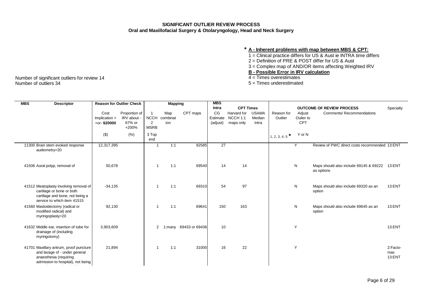## **SIGNIFICANT OUTLIER REVIEW PROCESS Oral and Maxillofacial Surgery & Otolaryngology, Head and Neck Surgery**

## **\* A - Inherent problems with map between MBS & CPT:**

- 1 = Clinical practice differs for US & Aust ie INTRA time differs
- 2 = Definition of PRE & POST differ for US & Aust
- 3 = Complex map of AND/OR items affecting Weighted IRV

## **B - Possible Error in IRV calculation**

- 
- $5$  = Times underestimated

| <b>MBS</b><br><b>Descriptor</b>                                                                                                        | <b>Reason for Outlier Check</b>         |                                               |                                                   | <b>Mapping</b>         |                       | <b>MBS</b><br>Intra        | <b>CPT Times</b>                                |                                 |                          |                                   | <b>OUTCOME OF REVIEW PROCESS</b>                     |                           |
|----------------------------------------------------------------------------------------------------------------------------------------|-----------------------------------------|-----------------------------------------------|---------------------------------------------------|------------------------|-----------------------|----------------------------|-------------------------------------------------|---------------------------------|--------------------------|-----------------------------------|------------------------------------------------------|---------------------------|
|                                                                                                                                        | Cost<br>Implication ><br>$+$ or-\$20000 | Proportion of<br>IRV about<br>67% or<br>+200% | $\overline{1}$<br><b>NCCH</b><br>2<br><b>MSRB</b> | Map<br>combinat<br>ion | CPT maps              | CG<br>Estimate<br>(adjust) | Harvard for<br>NCCH <sub>1:1</sub><br>maps only | <b>USAMA</b><br>Median<br>Intra | Reason for<br>Outlier    | Adjust<br>Oulier to<br><b>CPT</b> | <b>Comments/ Recommendations</b>                     | Specialty                 |
|                                                                                                                                        | $($ \$)                                 | (% )                                          | 3 Top<br>end                                      |                        |                       |                            |                                                 |                                 | $\star$<br>1, 2, 3, 4, 5 | Y or N                            |                                                      |                           |
| 11300 Brain stem evoked response<br>audiometry=20                                                                                      | 12,317,395                              |                                               | -1                                                | 1:1                    | 92585                 | $\overline{27}$            |                                                 |                                 |                          | Y                                 | Review of PWC direct costs recommended 13:ENT        |                           |
| 41506 Aural polyp, removal of                                                                                                          | 50,678                                  |                                               |                                                   | 1:1                    | 69540                 | 14                         | 14                                              |                                 |                          | N                                 | Maps should also include 69145 & 69222<br>as options | 13:ENT                    |
| 41512 Meatoplasty involving removal of<br>cartilage or bone or both<br>cartilage and bone, not being a<br>service to which item 41515  | $-34.135$                               |                                               | -1                                                | 1:1                    | 69310                 | 54                         | 97                                              |                                 |                          | N                                 | Maps should also include 69320 as an<br>option       | 13:ENT                    |
| 41560 Mastoidectomy (radical or<br>modified radical) and<br>myringoplasty=20                                                           | 92,130                                  |                                               |                                                   | 1:1                    | 69641                 | 150                        | 163                                             |                                 |                          | N                                 | Maps should also include 69645 as an<br>option       | 13:ENT                    |
| 41632 Middle ear, insertion of tube for<br>drainage of (including<br>myringotomy)                                                      | 3,903,609                               |                                               | $\overline{2}$                                    |                        | 1:many 69433 or 69436 | 10                         |                                                 |                                 |                          | Y                                 |                                                      | 13:ENT                    |
| 41701 Maxillary antrum, proof puncture<br>and lavage of - under general<br>anaesthesia (requiring<br>admission to hospital), not being | 21,894                                  |                                               |                                                   | 1:1                    | 31000                 | 16                         | 22                                              |                                 |                          | Y                                 |                                                      | 2:Facio-<br>max<br>13:ENT |

Number of significant outliers for review 14<br>Number of outliers 34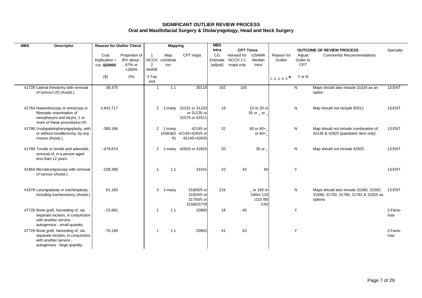## **SIGNIFICANT OUTLIER REVIEW PROCESS Oral and Maxillofacial Surgery & Otolaryngology, Head and Neck Surgery**

| <b>MBS</b><br><b>Descriptor</b>                                           |                                 | <b>Reason for Outlier Check</b> |                  | <b>Mapping</b>  |                                   | <b>MBS</b> |                                  |                       |               |                         |                                                                               |                 |
|---------------------------------------------------------------------------|---------------------------------|---------------------------------|------------------|-----------------|-----------------------------------|------------|----------------------------------|-----------------------|---------------|-------------------------|-------------------------------------------------------------------------------|-----------------|
|                                                                           |                                 |                                 |                  |                 |                                   | Intra      | <b>CPT Times</b>                 |                       |               |                         | <b>OUTCOME OF REVIEW PROCESS</b>                                              | Specialty       |
|                                                                           | Cost                            | Proportion of                   | $\overline{1}$   | Map             | CPT maps                          | CG         | Harvard for                      | <b>USAMA</b>          | Reason for    | Adjust                  | <b>Comments/ Recommendations</b>                                              |                 |
|                                                                           | Implication ><br>$+$ or-\$20000 | IRV about<br>67% or             | <b>NCCH</b><br>2 | combinat<br>ion |                                   | Estimate   | NCCH <sub>1:1</sub><br>maps only | Median<br>Intra       | Outlier       | Oulier to<br><b>CPT</b> |                                                                               |                 |
|                                                                           |                                 | +200%                           | <b>MSRB</b>      |                 |                                   | (adjust)   |                                  |                       |               |                         |                                                                               |                 |
|                                                                           | $(\$)$                          | (% )                            | 3 Top            |                 |                                   |            |                                  |                       |               | Y or N                  |                                                                               |                 |
|                                                                           |                                 |                                 | end              |                 |                                   |            |                                  |                       | 1, 2, 3, 4, 5 |                         |                                                                               |                 |
| 41728 Lateral rhinotomy with removal                                      | 38,475                          |                                 | $\overline{1}$   | 1:1             | 30118                             | 162        | 105                              |                       |               | N                       | Maps should also include 21034 as an                                          | 13:ENT          |
| of tumour=20 (Assist.)                                                    |                                 |                                 |                  |                 |                                   |            |                                  |                       |               |                         | option                                                                        |                 |
|                                                                           |                                 |                                 |                  |                 |                                   |            |                                  |                       |               |                         |                                                                               |                 |
| 41764 Nasendoscopy or sinoscopy or                                        | 4,643,717                       |                                 | $\overline{2}$   |                 | 1:many 31231 or 31233             | 19         |                                  | 10 or 20 or           |               | $\mathsf{N}$            | Map should not include 92511                                                  | 13:ENT          |
| fibreoptic examination of                                                 |                                 |                                 |                  |                 | or 31235 or                       |            |                                  | $35$ or $\_$ or $\_$  |               |                         |                                                                               |                 |
| nasopharynx and larynx, 1 or                                              |                                 |                                 |                  |                 | 31575 or 92511                    |            |                                  |                       |               |                         |                                                                               |                 |
| more of these procedures=20                                               |                                 |                                 |                  |                 |                                   |            |                                  |                       |               |                         |                                                                               |                 |
| 41786 Uvulopalatopharyngoplasty, with                                     | $-389,186$                      |                                 | 2                | 1:many          | 42145 or<br>(AND&O 42145+42825 or | 32         |                                  | 60 or 60+<br>or $60+$ |               | N                       | Map should not include combination of<br>42145 & 42825 (paediatric item only) | 13:ENT          |
| or without tonsillectomy, by any<br>means (Assist.)                       |                                 |                                 |                  | R)              | 42145+42826                       |            |                                  |                       |               |                         |                                                                               |                 |
|                                                                           |                                 |                                 |                  |                 |                                   |            |                                  |                       |               |                         |                                                                               |                 |
| 41789 Tonsils or tonsils and adenoids,                                    | $-479,874$                      |                                 | 2                | 1:many          | 42820 or 42825                    | 20         |                                  | 30 or                 |               | $\mathsf{N}$            | Map should not include 42825                                                  | 13:ENT          |
| removal of, in a person aged                                              |                                 |                                 |                  |                 |                                   |            |                                  |                       |               |                         |                                                                               |                 |
| less than 12 years                                                        |                                 |                                 |                  |                 |                                   |            |                                  |                       |               |                         |                                                                               |                 |
| 41864 Microlaryngoscopy with removal                                      | $-108,386$                      |                                 | $\overline{1}$   | 1:1             | 31541                             | 22         | 42                               | 60                    |               | Y                       |                                                                               | 13:ENT          |
| of tumour (Assist.)                                                       |                                 |                                 |                  |                 |                                   |            |                                  |                       |               |                         |                                                                               |                 |
|                                                                           |                                 |                                 |                  |                 |                                   |            |                                  |                       |               |                         |                                                                               |                 |
| 41879 Laryngoplasty or tracheoplasty,                                     | 61,180                          |                                 | 3                | 1:many          | 31800/5 or                        | 216        |                                  | $_$ or 180 or         |               | N                       | Maps should also include 31580, 31582,                                        | 13:ENT          |
| including tracheostomy (Assist.)                                          |                                 |                                 |                  |                 | 31820/5 or                        |            |                                  | 180or 120             |               |                         | 31588, 31750, 31780, 31782 & 31825 as                                         |                 |
|                                                                           |                                 |                                 |                  |                 | 31750/5 or                        |            |                                  | /210 /90              |               |                         | options                                                                       |                 |
|                                                                           |                                 |                                 |                  |                 | 31580/2/7/8                       |            |                                  | /150                  |               |                         |                                                                               |                 |
| 47726 Bone graft, harvesting of, via<br>separate incision, in conjunction | $-23,981$                       |                                 | $\mathbf{1}$     | 1:1             | 20900                             | 18         | 45                               |                       |               | Y                       |                                                                               | 2:Facio-<br>max |
| with another service -                                                    |                                 |                                 |                  |                 |                                   |            |                                  |                       |               |                         |                                                                               |                 |
| autogenous - small quantity                                               |                                 |                                 |                  |                 |                                   |            |                                  |                       |               |                         |                                                                               |                 |
| 47729 Bone graft, harvesting of, via                                      | $-76,190$                       |                                 | $\mathbf{1}$     | 1:1             | 20902                             | 41         | 63                               |                       |               | Y                       |                                                                               | 2:Facio-        |
| separate incision, in conjunction<br>with another service -               |                                 |                                 |                  |                 |                                   |            |                                  |                       |               |                         |                                                                               | max             |
| autogenous - large quantity                                               |                                 |                                 |                  |                 |                                   |            |                                  |                       |               |                         |                                                                               |                 |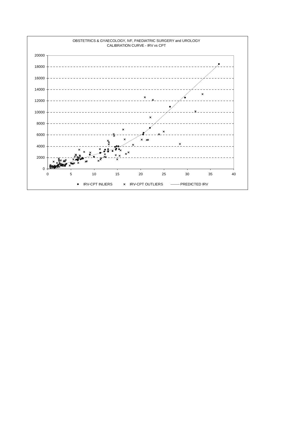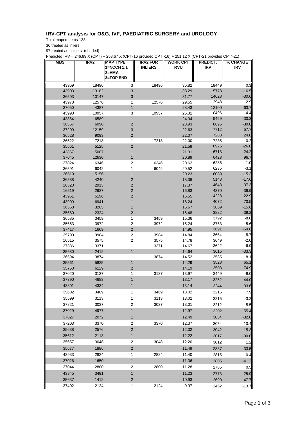## **IRV-CPT analysis for O&G, IVF, PAEDIATRIC SURGERY and UROLOGY**

Total maped Items 133

36 treated as inliers

97 treated as outliers (shaded)

Predicted IRV = 246.89 X (CPT) + 258.67 X (CPT-16 provided CPT>16) + 251.12 X (CPT-21 provided CPT>21)

| MBS            | IRV2         | <b>MAP TYPE</b><br>1=NCCH 1:1<br>2=AMA<br><b>3=TOP END</b> | <b>IRV2 FOR</b><br><b>INLIERS</b> | <b>WORK CPT</b><br><b>RVU</b> | PREDICT.<br><b>IRV</b> | % CHANGE<br><b>IRV</b> |
|----------------|--------------|------------------------------------------------------------|-----------------------------------|-------------------------------|------------------------|------------------------|
| 43969          | 18496        | 3                                                          | 18496                             | 36.82                         | 18449                  | 0.3                    |
| 43903          | 13182        | 3                                                          |                                   | 33.29                         | 15778                  | $-16.5$                |
| 36503          | 10147        | 3                                                          |                                   | 31.77                         | 14628                  | $-30.6$                |
| 43978          | 12576        | 1                                                          | 12576                             | 29.55                         | 12948                  | $-2.9$                 |
| 37050          | 4387         | $\mathbf{1}$                                               |                                   | 28.43                         | 12100                  | $-63.7$                |
| 43990          | 10957        | 3                                                          | 10957                             | 26.31                         | 10496                  | 4.4                    |
| 43864          | 6589         | $\mathbf{1}$                                               |                                   | 24.94                         | 9459                   | $-30.3$                |
| 36567          | 6090         | $\overline{2}$                                             |                                   | 23.93                         | 8695                   | $-30.0$                |
| 37209          | 12159        | 3                                                          |                                   | 22.63                         | 7712                   | 57.7                   |
| 36528          | 9093         | 2                                                          |                                   | 22.07                         | 7288                   | 24.8                   |
| 36522          | 7218         | 1                                                          | 7218                              | 22.00                         | 7235<br>6925           | $-0.2$<br>$-26.0$      |
| 35661<br>43867 | 5125<br>5087 | $\overline{c}$<br>1                                        |                                   | 21.59<br>21.31                | 6713                   | $-24.2$                |
| 37045          | 12630        | $\mathbf{1}$                                               |                                   | 20.89                         | 6423                   | 96.7                   |
| 37824          | 6346         | 2                                                          | 6346                              | 20.62                         | 6286                   | 1.0                    |
| 36591          | 6042         | 1                                                          | 6042                              | 20.52                         | 6235                   | $-3.1$                 |
| 36519          | 5156         | $\mathbf{1}$                                               |                                   | 20.23                         | 6089                   | $-15.3$                |
| 36588          | 4240         | $\overline{2}$                                             |                                   | 18.36                         | 5143                   | $-17.6$                |
| 16520          | 2913         | $\overline{c}$                                             |                                   | 17.37                         | 4643                   | $-37.3$                |
| 16519          | 2627         | $\overline{2}$                                             |                                   | 16.83                         | 4370                   | $-39.9$                |
| 43951          | 5196         | $\overline{2}$                                             |                                   | 16.55                         | 4228                   | 22.9                   |
| 43909          | 6941         | 1                                                          |                                   | 16.24                         | 4072                   | 70.5                   |
| 36558          | 3265         | 1                                                          |                                   | 15.67                         | 3869                   | $-15.6$                |
| 35580          | 2324         | $\overline{\mathbf{c}}$                                    |                                   | 15.48                         | 3822                   | $-39.2$                |
| 36585          | 3459         | 1                                                          | 3459                              | 15.36                         | 3792                   | $-8.8$                 |
| 35653          | 3972         | $\overline{c}$                                             | 3972                              | 15.24                         | 3763                   | 5.6                    |
| 37417          | 1669         | 2                                                          |                                   | 14.95                         | 3691                   | $-54.8$                |
| 35700          | 3984         | 2                                                          | 3984                              | 14.84                         | 3664                   | 8.7                    |
| 16515          | 3575         | 2                                                          | 3575                              | 14.78                         | 3649                   | $-2.0$                 |
| 37336          | 3371         | 1                                                          | 3371                              | 14.67                         | 3622                   | $-6.9$                 |
| 35680          | 2412         | $\mathbf{1}$                                               | 3874                              | 14.64                         | 3615                   | $-33.3$                |
| 36594<br>35561 | 3874<br>5825 | 1<br>$\mathbf{1}$                                          |                                   | 14.52<br>14.29                | 3585<br>3528           | 8.1<br>65.1            |
| 35750          | 6129         | 2                                                          |                                   | 14.19                         | 3503                   | 74.9                   |
| 37020          | 3137         | 1                                                          | 3137                              | 13.97                         | 3449                   | $-9.0$                 |
| 37390          | 4683         | $\mathbf{1}$                                               |                                   | 13.17                         | 3252                   | 44.0                   |
| 43801          | 4334         | 1                                                          |                                   | 13.14                         |                        |                        |
| 35602          | 3469         | 1                                                          | 3469                              | 13.02                         | 3244<br>3215           | 33.6<br>7.9            |
|                |              |                                                            |                                   |                               |                        |                        |
| 35599          | 3113         | 1                                                          | 3113                              | 13.02                         | 3215                   | $-3.2$                 |
| 37821          | 3037         | $\overline{\mathbf{c}}$                                    | 3037                              | 13.01                         | 3212                   | $-5.5$                 |
| 37029          | 4977         | $\mathbf{1}$                                               |                                   | 12.97                         | 3202                   | 55.4                   |
| 37827          | 2072         | 1                                                          |                                   | 12.49                         | 3084                   | $-32.8$                |
| 37203          | 3370         | $\overline{c}$                                             | 3370                              | 12.37                         | 3054                   | 10.4                   |
| 35638          | 2576         | $\overline{c}$                                             |                                   | 12.32                         | 3042                   | $-15.3$                |
| 35612          | 2113         | $\mathbf{1}$                                               |                                   | 12.22                         | 3017                   | $-30.0$                |
| 35657          | 3048         | $\overline{c}$                                             | 3048                              | 12.20                         | 3012                   | 1.2                    |
| 35677          | 1886         | $\overline{2}$                                             |                                   | 11.49                         | 2837                   | $-33.5$                |
| 43933          | 2824         | 1                                                          | 2824                              | 11.40                         | 2815                   | 0.4                    |
| 37026          | 1650         | $\mathbf{1}$                                               |                                   | 11.36                         | 2805                   | $-41.2$                |
| 37044          | 2800         | 2                                                          | 2800                              | 11.28                         | 2785                   | 0.5                    |
| 43945          | 3491         | $\mathbf{1}$                                               |                                   | 11.23                         | 2773                   | 25.9                   |
| 35637          | 1412         | $\overline{2}$                                             |                                   | 10.93                         | 2699                   | $-47.7$                |
| 37402          | 2124         | 1                                                          | 2124                              | 9.97                          |                        |                        |
|                |              |                                                            |                                   |                               | 2462                   | $-13.7$                |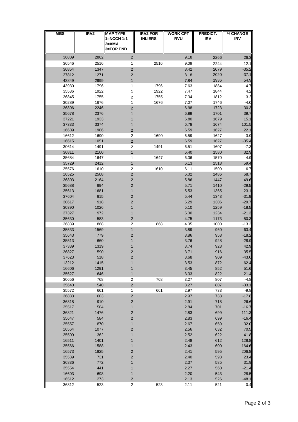| <b>MBS</b>     | IRV <sub>2</sub> | <b>MAP TYPE</b><br>1=NCCH 1:1<br>2=AMA<br><b>3=TOP END</b> | <b>IRV2 FOR</b><br><b>INLIERS</b> | <b>WORK CPT</b><br><b>RVU</b> | PREDICT.<br><b>IRV</b> | % CHANGE<br><b>IRV</b> |
|----------------|------------------|------------------------------------------------------------|-----------------------------------|-------------------------------|------------------------|------------------------|
| 36809          | 2862             | $\overline{2}$                                             |                                   | 9.18                          | 2266                   | 26.3                   |
| 36546          | 2516             | 1                                                          | 2516                              | 9.09                          | 2244                   | 12.1                   |
| 36854          | 1347             | $\mathbf 2$                                                |                                   | 8.42                          | 2079                   | $-35.2$                |
| 37812          | 1271             | 2                                                          |                                   | 8.18                          | 2020                   | $-37.1$                |
| 43849          | 2999             | 1                                                          |                                   | 7.84                          | 1936                   | 54.9                   |
| 43930<br>35536 | 1796<br>1922     | 1                                                          | 1796<br>1922                      | 7.63<br>7.47                  | 1884<br>1844           | $-4.7$<br>4.2          |
| 36845          | 1755             | 1<br>$\overline{\mathbf{c}}$                               | 1755                              | 7.34                          | 1812                   | $-3.2$                 |
| 30289          | 1676             | 1                                                          | 1676                              | 7.07                          | 1746                   | $-4.0$                 |
| 36806          | 2246             | 2                                                          |                                   | 6.98                          | 1723                   | 30.3                   |
| 35678          | 2376             | 1                                                          |                                   | 6.89                          | 1701                   | 39.7                   |
| 37221          | 1933             | 1                                                          |                                   | 6.80                          | 1679                   | 15.1                   |
| 37333          | 3374             | 1                                                          |                                   | 6.78                          | 1674                   | 101.5                  |
| 16609<br>16612 | 1986<br>1690     | 2<br>$\overline{c}$                                        | 1690                              | 6.59<br>6.59                  | 1627<br>1627           | 22.1<br>3.9            |
| 16615          | 1051             | $\mathbf 2$                                                |                                   | 6.59                          | 1627                   | $-35.4$                |
| 30614          | 1491             | $\overline{c}$                                             | 1491                              | 6.51                          | 1607                   | $-7.3$                 |
| 36811          | 2100             | $\mathbf{1}$                                               |                                   | 6.40                          | 1580                   | 32.9                   |
| 35684          | 1647             | 1                                                          | 1647                              | 6.36                          | 1570                   | 4.9                    |
| 35729          | 2412             | $\mathbf{1}$                                               |                                   | 6.13                          | 1513                   | 59.4                   |
| 35576<br>16525 | 1610<br>2508     | $\overline{c}$<br>$\overline{c}$                           | 1610                              | 6.11                          | 1509                   | 6.7<br>68.7            |
| 36803          | 2164             | 2                                                          |                                   | 6.02<br>5.86                  | 1486<br>1447           | 49.6                   |
| 35688          | 994              | 2                                                          |                                   | 5.71                          | 1410                   | $-29.5$                |
| 35613          | 1681             | 1                                                          |                                   | 5.53                          | 1365                   | 23.1                   |
| 37604          | 915              | 2                                                          |                                   | 5.44                          | 1343                   | $-31.9$                |
| 30617          | 918              | 2                                                          |                                   | 5.29                          | 1306                   | $-29.7$                |
| 30390          | 1026             | 1                                                          |                                   | 5.10                          | 1259                   | $-18.5$                |
| 37327          | 972              | 1                                                          |                                   | 5.00                          | 1234                   | $-21.3$                |
| 35630<br>36839 | 583<br>868       | $\mathbf 2$<br>$\overline{\mathbf{c}}$                     | 868                               | 4.75<br>4.05                  | 1173<br>1000           | $-50.3$<br>$-13.2$     |
| 35533          | 1569             | 1                                                          |                                   | 3.89                          | 960                    | 63.4                   |
| 35643          | 779              | 2                                                          |                                   | 3.86                          | 953                    | $-18.2$                |
| 35513          | 660              | 1                                                          |                                   | 3.76                          | 928                    | $-28.9$                |
| 37339          | 1319             |                                                            |                                   | 3.74                          | 923                    | 42.9                   |
| 36827          | 590              | 2                                                          |                                   | 3.71                          | 916                    | $-35.5$                |
| 37623          | 518              | 2                                                          |                                   | 3.68                          | 909                    | $-43.0$                |
| 13212<br>16606 | 1415<br>1291     | 1<br>1                                                     |                                   | 3.53<br>3.45                  | 872<br>852             | 62.4<br>51.6           |
| 35627          | 646              | $\mathbf{1}$                                               |                                   | 3.33                          | 822                    | $-21.4$                |
| 30656          | 768              | $\overline{c}$                                             | 768                               | 3.27                          | 807                    | $-4.8$                 |
| 35640          | 540              | $\overline{c}$                                             |                                   | 3.27                          | 807                    | $-33.1$                |
| 35572          | 661              | 1                                                          | 661                               | 2.97                          | 733                    | $-9.8$                 |
| 36833          | 603              | $\mathbf 2$                                                |                                   | 2.97                          | 733                    | $-17.8$                |
| 36818          | 910<br>584       | $\mathbf 2$                                                |                                   | 2.91<br>2.84                  | 718<br>701             | 26.6                   |
| 35517<br>36821 | 1476             | $\mathbf{1}$<br>$\overline{\mathbf{c}}$                    |                                   | 2.83                          | 699                    | $-16.7$<br>111.3       |
| 35647          | 584              | 2                                                          |                                   | 2.83                          | 699                    | $-16.4$                |
| 35557          | 870              | $\mathbf{1}$                                               |                                   | 2.67                          | 659                    | 32.0                   |
| 16564          | 1077             | 2                                                          |                                   | 2.56                          | 632                    | 70.5                   |
| 35509          | 362              | 1                                                          |                                   | 2.52                          | 622                    | $-41.8$                |
| 16511          | 1401             | 1                                                          |                                   | 2.48                          | 612                    | 128.8                  |
| 35566          | 1588             | 1                                                          |                                   | 2.43                          | 600                    | 164.6                  |
| 16573<br>35539 | 1825<br>731      | $\overline{\mathbf{c}}$<br>$\overline{\mathbf{c}}$         |                                   | 2.41<br>2.40                  | 595<br>593             | 206.8<br>23.4          |
| 36836          | 772              | 1                                                          |                                   | 2.37                          | 585                    | 31.9                   |
| 35554          | 441              | 1                                                          |                                   | 2.27                          | 560                    | $-21.4$                |
| 16603          | 698              | 1                                                          |                                   | 2.20                          | 543                    | 28.5                   |
| 16512          | 273              | $\overline{\mathbf{c}}$                                    |                                   | 2.13                          | 526                    | $-48.1$                |
| 36812          | 523              | $\mathbf 2$                                                | 523                               | 2.11                          | 521                    | 0.4                    |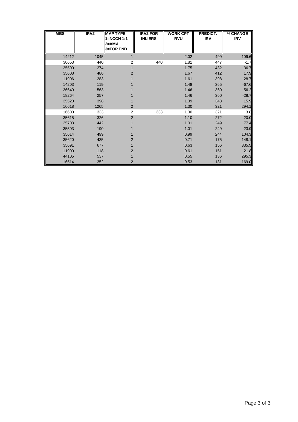| <b>MBS</b> | IRV <sub>2</sub> | <b>MAP TYPE</b><br>1=NCCH 1:1<br>2=AMA<br>3=TOP END | <b>IRV2 FOR</b><br><b>INLIERS</b> | <b>WORK CPT</b><br><b>RVU</b> | PREDICT.<br><b>IRV</b> | % CHANGE<br><b>IRV</b> |
|------------|------------------|-----------------------------------------------------|-----------------------------------|-------------------------------|------------------------|------------------------|
| 14212      | 1045             |                                                     |                                   | 2.02                          | 499                    | 109.6                  |
| 30653      | 440              | 2                                                   | 440                               | 1.81                          | 447                    | $-1.7$                 |
| 35500      | 274              |                                                     |                                   | 1.75                          | 432                    | $-36.7$                |
| 35608      | 486              | 2                                                   |                                   | 1.67                          | 412                    | 17.9                   |
| 11906      | 283              |                                                     |                                   | 1.61                          | 398                    | $-28.7$                |
| 14203      | 119              |                                                     |                                   | 1.48                          | 365                    | $-67.6$                |
| 36649      | 563              |                                                     |                                   | 1.46                          | 360                    | 56.2                   |
| 18264      | 257              |                                                     |                                   | 1.46                          | 360                    | $-28.7$                |
| 35520      | 398              |                                                     |                                   | 1.39                          | 343                    | 15.9                   |
| 16618      | 1265             | 2                                                   |                                   | 1.30                          | 321                    | 294.1                  |
| 16600      | 333              | $\overline{2}$                                      | 333                               | 1.30                          | 321                    | 3.8                    |
| 35615      | 326              | $\overline{2}$                                      |                                   | 1.10                          | 272                    | 20.0                   |
| 35703      | 442              |                                                     |                                   | 1.01                          | 249                    | 77.4                   |
| 35503      | 190              |                                                     |                                   | 1.01                          | 249                    | $-23.9$                |
| 35614      | 499              |                                                     |                                   | 0.99                          | 244                    | 104.3                  |
| 35620      | 435              | 2                                                   |                                   | 0.71                          | 175                    | 148.1                  |
| 35691      | 677              |                                                     |                                   | 0.63                          | 156                    | 335.5                  |
| 11900      | 118              | $\overline{2}$                                      |                                   | 0.61                          | 151                    | $-21.8$                |
| 44105      | 537              |                                                     |                                   | 0.55                          | 136                    | 295.3                  |
| 16514      | 352              | 2                                                   |                                   | 0.53                          | 131                    | 169.0                  |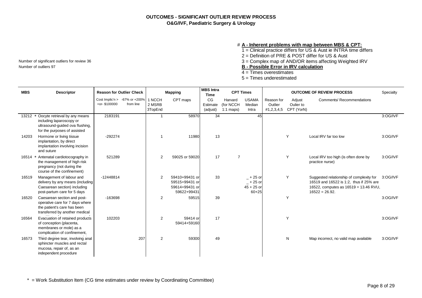#### # **A - Inherent problems with map between MBS & CPT:**

1 = Clinical practice differs for US & Aust ie INTRA time differs

2 = Definition of PRE & POST differ for US & Aust

Number of significant outliers for review 36  $\overline{3} =$  Complex map of AND/OR items affecting Weighted IRV Number of outliers 97

Number of outliers 97 **B - Possible Error in IRV calculation**

- 4 = Times overestimates
- 5 = Times underestimated

| <b>MBS</b> | <b>Descriptor</b>                                                                                                               | <b>Reason for Outlier Check</b>                     |           |                             | <b>Mapping</b>                                                    | <b>MBS</b> Intra<br><b>Time</b> |                                     | <b>CPT Times</b>                                        |                                     |                                   | <b>OUTCOME OF REVIEW PROCESS</b>                                                                                                                | Specialty |
|------------|---------------------------------------------------------------------------------------------------------------------------------|-----------------------------------------------------|-----------|-----------------------------|-------------------------------------------------------------------|---------------------------------|-------------------------------------|---------------------------------------------------------|-------------------------------------|-----------------------------------|-------------------------------------------------------------------------------------------------------------------------------------------------|-----------|
|            |                                                                                                                                 | Cost Implic'n > $-67\%$ or $+200\%$<br>+or-\$100000 | from line | 1 NCCH<br>2 MSRB<br>3TopEnd | CPT maps                                                          | CG<br>Estimate<br>(adjust)      | Harvard<br>(for NCCH<br>$1:1$ maps) | <b>USAMA</b><br>Median<br>Intra                         | Reason for<br>Outlier<br>#1,2,3,4,5 | Adjust<br>Oulier to<br>CPT (YorN) | <b>Comments/ Recommendations</b>                                                                                                                |           |
| 13212      | Oocyte retrieval by any means<br>including laparoscopy or<br>ultrasound-guided ova flushing,<br>for the purposes of assisted    | 2183191                                             |           | 1                           | 58970                                                             | 34                              |                                     | 45                                                      |                                     |                                   |                                                                                                                                                 | 3:OG/IVF  |
| 14203      | Hormone or living tissue<br>implantation, by direct<br>implantation involving incision<br>and suture                            | $-292274$                                           |           |                             | 11980                                                             | 13                              |                                     |                                                         |                                     | Y                                 | Local IRV far too low                                                                                                                           | 3:OG/IVF  |
| 16514      | * Antenatal cardiotocography in<br>the management of high risk<br>pregnancy (not during the<br>course of the confinement)       | 521289                                              |           | 2                           | 59025 or 59020                                                    | 17                              | $\overline{7}$                      |                                                         |                                     | Y                                 | Local IRV too high (is often done by<br>practice nurse)                                                                                         | 3:OG/IVF  |
| 16519      | Management of labour and<br>delivery by any means (including<br>Caesarean section) including<br>post-partum care for 5 days     | $-12448814$                                         |           | 2                           | 59410+99431 or<br>59515+99431 or<br>59614+99431 or<br>59622+99431 | 33                              |                                     | $-$ + 25 or<br>$-$ + 25 or<br>$45 + 25$ or<br>$60 + 25$ |                                     | Y                                 | Suggested relationship of complexity for<br>16519 and 16522 is 1:2, thus if 25% are<br>16522, computes as 16519 = 13.46 RVU,<br>$16522 = 26.92$ | 3:OG/IVF  |
| 16520      | Caesarean section and post-<br>operative care for 7 days where<br>the patient's care has been<br>transferred by another medical | $-163698$                                           |           | 2                           | 59515                                                             | 39                              |                                     |                                                         |                                     | Y                                 |                                                                                                                                                 | 3:OG/IVF  |
| 16564      | Evacuation of retained products<br>of conception (placenta,<br>membranes or mole) as a<br>complication of confinement,          | 102203                                              |           | $\overline{2}$              | 59414 or<br>59414+59160                                           | 17                              |                                     |                                                         |                                     | Y                                 |                                                                                                                                                 | 3:OG/IVF  |
| 16573      | Third degree tear, involving anal<br>sphincter muscles and rectal<br>mucosa, repair of, as an<br>independent procedure          |                                                     | 207       | 2                           | 59300                                                             | 49                              |                                     |                                                         |                                     | N                                 | Map incorrect, no valid map available                                                                                                           | 3:OG/IVF  |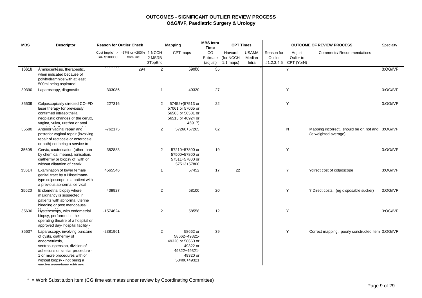| <b>MBS</b> | <b>Descriptor</b>                                                                                                                                                                                                                               | <b>Reason for Outlier Check</b> |                                               |                             | <b>Mapping</b>                                                                                      | <b>MBS</b> Intra<br><b>Time</b> | <b>CPT Times</b>                    |                                 | <b>OUTCOME OF REVIEW PROCESS</b> |                                              |                                                                            | Specialty |
|------------|-------------------------------------------------------------------------------------------------------------------------------------------------------------------------------------------------------------------------------------------------|---------------------------------|-----------------------------------------------|-----------------------------|-----------------------------------------------------------------------------------------------------|---------------------------------|-------------------------------------|---------------------------------|----------------------------------|----------------------------------------------|----------------------------------------------------------------------------|-----------|
|            |                                                                                                                                                                                                                                                 | +or-\$100000                    | Cost Implic'n $> -67\%$ or +200%<br>from line | 1 NCCH<br>2 MSRB<br>3TopEnd | CPT maps                                                                                            | CG<br>Estimate<br>(adjust)      | Harvard<br>(for NCCH<br>$1:1$ maps) | <b>USAMA</b><br>Median<br>Intra | Reason for<br>Outlier            | Adjust<br>Oulier to<br>#1,2,3,4,5 CPT (YorN) | <b>Comments/ Recommendations</b>                                           |           |
| 16618      | Amniocentesis, therapeutic,<br>when indicated because of<br>polyhydramnios with at least<br>500ml being aspirated                                                                                                                               |                                 | 294                                           | $\overline{2}$              | 59000                                                                                               | 55                              |                                     |                                 |                                  | Y                                            |                                                                            | 3:OG/IVF  |
| 30390      | Laparoscopy, diagnostic                                                                                                                                                                                                                         | -303086                         |                                               | $\mathbf 1$                 | 49320                                                                                               | 27                              |                                     |                                 |                                  | Y                                            |                                                                            | 3:OG/IVF  |
| 35539      | Colposcopically directed CO=FD<br>laser therapy for previously<br>confirmed intraepithelial<br>neoplastic changes of the cervix,<br>vagina, vulva, urethra or anal                                                                              | 227316                          |                                               | 2                           | 57452+(57513 or<br>57061 or 57065 or<br>56565 or 56501 or<br>56515 or 46924 or<br>46917)            | 22                              |                                     |                                 |                                  | Y                                            |                                                                            | 3:OG/IVF  |
| 35580      | Anterior vaginal repair and<br>posterior vaginal repair (involving<br>repair of rectocele or enterocele<br>or both) not being a service to                                                                                                      | $-762175$                       |                                               | $\overline{2}$              | 57260+57265                                                                                         | 62                              |                                     |                                 |                                  | N                                            | Mapping incorrect, should be or, not and 3:OG/IVF<br>(ie weighted average) |           |
| 35608      | Cervix, cauterisation (other than<br>by chemical means), ionisation,<br>diathermy or biopsy of, with or<br>without dilatation of cervix                                                                                                         | 352883                          |                                               | 2                           | 57210+57800 or<br>57500+57800 or<br>57511+57800 or<br>57513+57800                                   | 19                              |                                     |                                 |                                  | Y                                            |                                                                            | 3:OG/IVF  |
| 35614      | Examination of lower female<br>genital tract by a Hinselmann-<br>type colposcope in a patient with<br>a previous abnormal cervical                                                                                                              | 4565546                         |                                               | $\mathbf 1$                 | 57452                                                                                               | 17                              | 22                                  |                                 |                                  | Y                                            | ?direct cost of colposcope                                                 | 3:OG/IVF  |
| 35620      | Endometrial biopsy where<br>malignancy is suspected in<br>patients with abnormal uterine<br>bleeding or post menopausal                                                                                                                         | 409927                          |                                               | $\overline{2}$              | 58100                                                                                               | 20                              |                                     |                                 |                                  | Y                                            | ? Direct costs, (eg disposable sucker)                                     | 3:OG/IVF  |
| 35630      | Hysteroscopy, with endometrial<br>biopsy, performed in the<br>operating theatre of a hospital or<br>approved day- hospital facility -                                                                                                           | $-1574624$                      |                                               | $\overline{2}$              | 58558                                                                                               | 12                              |                                     |                                 |                                  | Y                                            |                                                                            | 3:OG/IVF  |
| 35637      | Laparoscopy, involving puncture<br>of cysts, diathermy of<br>endometriosis,<br>ventrosuspension, division of<br>adhesions or similar procedure -<br>1 or more procedures with or<br>without biopsy - not being a<br>consine accoriated with any | -2381961                        |                                               | 2                           | 58662 or<br>58662+49321-<br>49320 or 58660 or<br>49322 or<br>49322+49321<br>49320 or<br>58400+49321 | 39                              |                                     |                                 |                                  | Y                                            | Correct mapping, poorly constructed item 3:OG/IVF                          |           |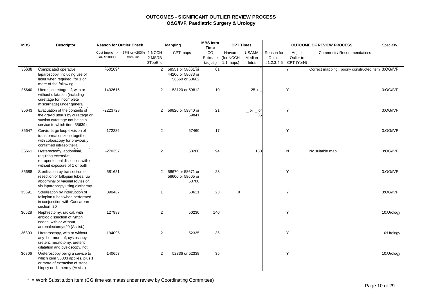| <b>MBS</b> | <b>Descriptor</b>                                                                                                                         | <b>Reason for Outlier Check</b>                     |           |                             | <b>Mapping</b>                                           | <b>MBS</b> Intra<br><b>CPT Times</b><br><b>Time</b> |                                     |                                 |                       | <b>OUTCOME OF REVIEW PROCESS</b>             | Specialty                                         |            |
|------------|-------------------------------------------------------------------------------------------------------------------------------------------|-----------------------------------------------------|-----------|-----------------------------|----------------------------------------------------------|-----------------------------------------------------|-------------------------------------|---------------------------------|-----------------------|----------------------------------------------|---------------------------------------------------|------------|
|            |                                                                                                                                           | Cost Implic'n > $-67\%$ or $+200\%$<br>+or-\$100000 | from line | 1 NCCH<br>2 MSRB<br>3TopEnd | CPT maps                                                 | CG<br>Estimate<br>(adjust)                          | Harvard<br>(for NCCH<br>$1:1$ maps) | <b>USAMA</b><br>Median<br>Intra | Reason for<br>Outlier | Adjust<br>Oulier to<br>#1,2,3,4,5 CPT (YorN) | <b>Comments/ Recommendations</b>                  |            |
| 35638      | Complicated operative<br>laparoscopy, including use of<br>laser when required, for 1 or<br>more of the following                          | $-501094$                                           |           | $\overline{2}$              | 58551 or 58661 or<br>44200 or 58673 or<br>58660 or 58662 | 61                                                  |                                     |                                 |                       | Y                                            | Correct mapping, poorly constructed item 3:OG/IVF |            |
| 35640      | Uterus, curettage of, with or<br>without dilatation (including<br>curettage for incomplete<br>miscarriage) under general                  | $-1432616$                                          |           | $\overline{c}$              | 58120 or 59812                                           | 10                                                  |                                     | $25 +$                          |                       | Υ                                            |                                                   | 3:OG/IVF   |
| 35643      | Evacuation of the contents of<br>the gravid uterus by curettage or<br>suction curettage not being a<br>service to which item 35639 or     | -2223728                                            |           | $\overline{c}$              | 59820 or 59840 or<br>59841                               | 21                                                  |                                     | $\_$ or $\_$ or<br>35           |                       | Y                                            |                                                   | 3:OG/IVF   |
| 35647      | Cervix, large loop excision of<br>transformation zone together<br>with colposcopy for previously<br>confirmed intraepithelial             | $-172286$                                           |           | $\overline{2}$              | 57460                                                    | 17                                                  |                                     |                                 |                       | Y                                            |                                                   | 3:OG/IVF   |
| 35661      | Hysterectomy, abdominal,<br>requiring extensive<br>retroperitoneal dissection with or<br>without exposure of 1 or both                    | -270357                                             |           | 2                           | 58200                                                    | 94                                                  |                                     | 150                             |                       | N                                            | No suitable map                                   | 3:OG/IVF   |
| 35688      | Sterilisation by transection or<br>resection of fallopian tubes, via<br>abdominal or vaginal routes or<br>via laparoscopy using diathermy | $-581621$                                           |           | $\overline{2}$              | 58670 or 58671 or<br>58600 or 58605 or<br>58700          | 23                                                  |                                     |                                 |                       | Υ                                            |                                                   | 3:OG/IVF   |
| 35691      | Sterilisation by interruption of<br>fallopian tubes when performed<br>in conjunction with Caesarean<br>section=20                         | 390467                                              |           | $\mathbf 1$                 | 58611                                                    | 23                                                  | 9                                   |                                 |                       | Y                                            |                                                   | 3:OG/IVF   |
| 36528      | Nephrectomy, radical, with<br>enbloc dissection of lymph<br>nodes, with or without<br>adrenalectomy=20 (Assist.)                          | 127983                                              |           | $\overline{c}$              | 50230                                                    | 140                                                 |                                     |                                 |                       | Υ                                            |                                                   | 10:Urology |
| 36803      | Ureteroscopy, with or without<br>any 1 or more of; cystoscopy,<br>ureteric meatotomy, ureteric<br>dilatation and pyeloscopy, not          | 194095                                              |           | $\overline{2}$              | 52335                                                    | 36                                                  |                                     |                                 |                       | Y                                            |                                                   | 10:Urology |
| 36806      | Ureteroscopy being a service to<br>which item 36803 applies, plus 1<br>or more of extraction of stone,<br>biopsy or diathermy (Assist.)   | 140653                                              |           | 2                           | 52336 or 52338                                           | 35                                                  |                                     |                                 |                       | Y                                            |                                                   | 10:Urology |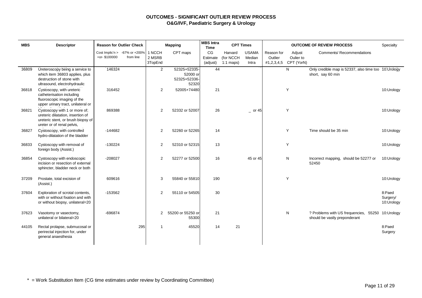| <b>MBS</b> | <b>Descriptor</b>                                                                                                                      |              | <b>Reason for Outlier Check</b>                  |                             | <b>Mapping</b>                                    | <b>MBS</b> Intra<br><b>CPT Times</b><br><b>OUTCOME OF REVIEW PROCESS</b><br><b>Time</b> |                                     |                                 |                                     | Specialty                         |                                                                                   |                                  |
|------------|----------------------------------------------------------------------------------------------------------------------------------------|--------------|--------------------------------------------------|-----------------------------|---------------------------------------------------|-----------------------------------------------------------------------------------------|-------------------------------------|---------------------------------|-------------------------------------|-----------------------------------|-----------------------------------------------------------------------------------|----------------------------------|
|            |                                                                                                                                        | +or-\$100000 | Cost Implic'n $> -67\%$ or $+200\%$<br>from line | 1 NCCH<br>2 MSRB<br>3TopEnd | CPT maps                                          | CG<br>Estimate<br>(adjust)                                                              | Harvard<br>(for NCCH<br>$1:1$ maps) | <b>USAMA</b><br>Median<br>Intra | Reason for<br>Outlier<br>#1,2,3,4,5 | Adjust<br>Oulier to<br>CPT (YorN) | <b>Comments/ Recommendations</b>                                                  |                                  |
| 36809      | Ureteroscopy being a service to<br>which item 36803 applies, plus<br>destruction of stone with<br>ultrasound, electrohydraulic         | 146324       |                                                  | $\mathbf{2}$                | 52325+52335-<br>52000 or<br>52325+52336-<br>52320 | 44                                                                                      |                                     |                                 |                                     | N                                 | Only credible map is 52337, also time too 10: Urology<br>short, say 60 min        |                                  |
| 36818      | Cystoscopy, with ureteric<br>catheterisation including<br>fluoroscopic imaging of the<br>upper urinary tract, unilateral or            | 316452       |                                                  | $\overline{2}$              | 52005+74480                                       | 21                                                                                      |                                     |                                 |                                     | Y                                 |                                                                                   | 10:Urology                       |
| 36821      | Cystoscopy with 1 or more of;<br>ureteric dilatation, insertion of<br>ureteric stent, or brush biopsy of<br>ureter or of renal pelvis, | 869388       |                                                  | 2                           | 52332 or 52007                                    | 26                                                                                      |                                     | $-$ or 45                       |                                     | Y                                 |                                                                                   | 10:Urology                       |
| 36827      | Cystoscopy, with controlled<br>hydro-dilatation of the bladder                                                                         | $-144682$    |                                                  | 2                           | 52260 or 52265                                    | 14                                                                                      |                                     |                                 |                                     | Υ                                 | Time should be 35 min                                                             | 10:Urology                       |
| 36833      | Cystoscopy with removal of<br>foreign body (Assist.)                                                                                   | $-130224$    |                                                  | 2                           | 52310 or 52315                                    | 13                                                                                      |                                     |                                 |                                     | Y                                 |                                                                                   | 10:Urology                       |
| 36854      | Cystoscopy with endoscopic<br>incision or resection of external<br>sphincter, bladder neck or both                                     | $-208027$    |                                                  | $\overline{2}$              | 52277 or 52500                                    | 16                                                                                      |                                     | 45 or 45                        |                                     | N                                 | Incorrect mapping, should be 52277 or<br>52450                                    | 10:Urology                       |
| 37209      | Prostate, total excision of<br>(Assist.)                                                                                               | 609616       |                                                  | 3                           | 55840 or 55810                                    | 190                                                                                     |                                     |                                 |                                     | Y                                 |                                                                                   | 10:Urology                       |
| 37604      | Exploration of scrotal contents,<br>with or without fixation and with<br>or without biopsy, unilateral=20                              | $-153562$    |                                                  | $\overline{2}$              | 55110 or 54505                                    | 30                                                                                      |                                     |                                 |                                     |                                   |                                                                                   | 8:Paed<br>Surgery/<br>10:Urology |
| 37623      | Vasotomy or vasectomy,<br>unilateral or bilateral=20                                                                                   | -696874      |                                                  | 2                           | 55200 or 55250 or<br>55300                        | 21                                                                                      |                                     |                                 |                                     | N                                 | ? Problems with US frequencies, 55250 10:Urology<br>should be vastly preponderant |                                  |
| 44105      | Rectal prolapse, submucosal or<br>perirectal injection for, under<br>general anaesthesia                                               |              | 295                                              | 1                           | 45520                                             | 14                                                                                      | 21                                  |                                 |                                     |                                   |                                                                                   | 8:Paed<br>Surgery                |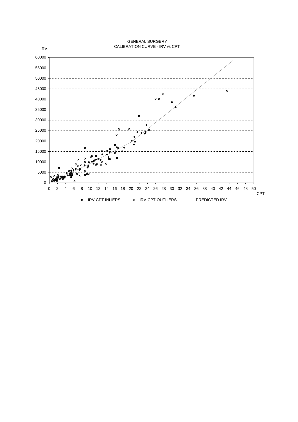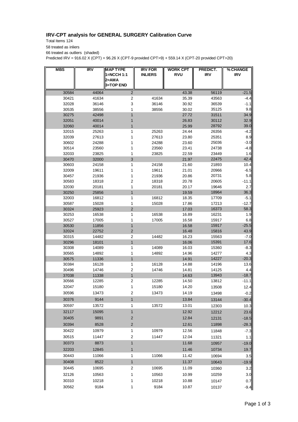## **IRV-CPT analysis for GENERAL SURGERY Calibration Curve**

Total Items 124 58 treated as inliers 66 treated as outliers (shaded)

Predicted IRV = 916.02 X (CPT) + 96.26 X (CPT-9 provided CPT>9) + 559.14 X (CPT-20 provided CPT>20)

| <b>MBS</b> | IRV   | <b>MAP TYPE</b>           | <b>IRV FOR</b> | <b>WORK CPT</b> | PREDICT.   | % CHANGE   |
|------------|-------|---------------------------|----------------|-----------------|------------|------------|
|            |       | 1=NCCH 1:1                | <b>INLIERS</b> | <b>RVU</b>      | <b>IRV</b> | <b>IRV</b> |
|            |       | 2=AMA<br><b>3=TOP END</b> |                |                 |            |            |
| 30584      | 44064 | $\overline{2}$            |                | 43.38           | 56119      | $-21.5$    |
| 30421      | 41634 | $\overline{c}$            | 41634          | 35.39           | 43563      | $-4.4$     |
| 32028      | 36146 | 3                         | 36146          | 30.92           | 36539      | -1.1       |
| 30535      | 38556 | 1                         | 38556          | 30.02           | 35125      | 9.8        |
| 30275      | 42498 | 1                         |                | 27.72           | 31511      | 34.9       |
| 32051      | 40014 | 1                         |                | 26.83           | 30112      | 32.9       |
| 32060      | 40014 | 1                         |                | 25.99           | 28792      | 39.C       |
| 32015      | 25263 | 1                         | 25263          | 24.44           | 26356      | $-4.2$     |
| 32039      | 27613 | 1                         | 27613          | 23.80           | 25351      | 8.9        |
| 30602      | 24288 | 1                         | 24288          | 23.60           | 25036      | $-3.0$     |
| 30514      | 23560 | 1                         | 23560          | 23.41           | 24738      | $-4.8$     |
| 32033      | 23825 | 1                         | 23825          | 22.59           | 23449      | 1.6        |
| 30470      | 32000 | 3                         |                | 21.97           | 22475      | 42.4       |
| 30603      | 24158 | 1                         | 24158          | 21.60           | 21893      | 10.4       |
| 32009      | 19611 | 1                         | 19611          | 21.01           | 20966      | $-6.5$     |
| 30457      | 21936 | 1                         | 21936          | 20.86           | 20731      | 5.8        |
| 30583      | 18318 | 2                         | 18318          | 20.78           | 20605      | -11.1      |
| 32030      | 20181 | 1                         | 20181          | 20.17           | 19646      | 2.7        |
| 30250      | 25856 | 1                         |                | 19.59           | 18964      | 36.3       |
| 32003      | 16812 | 1                         | 16812          | 18.35           | 17709      | $-5.1$     |
| 30587      | 15028 | 1                         | 15028          | 17.86           | 17213      | $-12.7$    |
| 30324      | 25923 | 2                         |                | 17.03           | 16373      | 58.3       |
| 30253      | 16538 | 1                         | 16538          | 16.89           | 16231      | 1.9        |
| 30527      | 17005 | 1                         | 17005          | 16.58           | 15917      | 6.8        |
| 30530      | 11856 | 1                         |                | 16.58           | 15917      | $-25.5$    |
| 32024      | 22752 | $\overline{2}$            |                | 16.48           | 15816      | 43.9       |
| 30315      | 14482 | $\overline{2}$            | 14482          | 16.23           | 15563      | $-7.0$     |
| 30296      | 18101 | 1                         |                | 16.06           | 15391      | 17.6       |
| 30308      | 14089 | 1                         | 14089          | 16.03           | 15360      | $-8.3$     |
| 30565      | 14892 | 1                         | 14892          | 14.96           | 14277      | 4.3        |
| 30575      | 11336 | 1                         |                | 14.91           | 14227      | $-20.3$    |
| 30384      | 16128 | 1                         | 16128          | 14.88           | 14196      | 13.6       |
| 30496      | 14746 | $\overline{2}$            | 14746          | 14.81           | 14125      | 4.4        |
| 37038      | 11338 | $\mathbf{1}$              |                | 14.63           | 13943      | $-18.7$    |
| 30566      | 12285 | $\overline{2}$            | 12285          | 14.50           | 13812      | -11.1      |
| 32047      | 15180 | 1                         | 15180          | 14.20           | 13508      | 12.4       |
| 30596      | 13473 | 2                         | 13473          | 14.19           | 13498      | $-0.2$     |
| 30376      | 9144  | $\mathbf{1}$              |                | 13.84           | 13144      | $-30.4$    |
| 30597      | 13572 | 1                         | 13572          | 13.01           | 12303      | 10.3       |
| 32117      | 15095 | $\mathbf{1}$              |                | 12.92           | 12212      | 23.6       |
| 30405      | 9891  | $\overline{2}$            |                | 12.84           | 12131      | $-18.5$    |
| 30394      | 8528  | $\sqrt{2}$                |                | 12.61           | 11898      | $-28.3$    |
| 30422      | 10979 | 1                         | 10979          | 12.56           | 11848      | $-7.3$     |
| 30515      | 11447 | $\boldsymbol{2}$          | 11447          | 12.04           | 11321      | 1.1        |
| 30373      | 8873  | 1                         |                | 11.68           | 10957      | $-19.0$    |
|            |       |                           |                |                 |            |            |
| 32203      | 12845 | $\mathbf{1}$              |                | 11.46           | 10734      | 19.7       |
| 30443      | 11066 | 1                         | 11066          | 11.42           | 10694      | 3.5        |
| 30408      | 8522  | $\mathbf{1}$              |                | 11.37           | 10643      | $-19.9$    |
| 30445      | 10695 | 2                         | 10695          | 11.09           | 10360      | 3.2        |
| 32126      | 10563 | 1                         | 10563          | 10.99           | 10259      | 3.0        |
| 30310      | 10218 | 1                         | 10218          | 10.88           | 10147      | 0.7        |
| 30562      | 9184  | 1                         | 9184           | 10.87           | 10137      | $-9.4$     |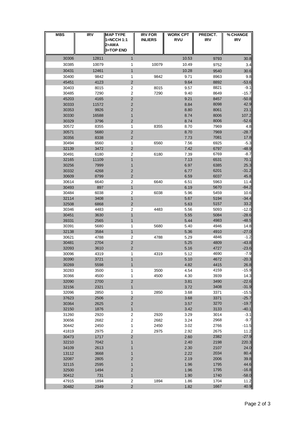| <b>MBS</b>     | <b>IRV</b>   | <b>MAP TYPE</b><br>1=NCCH 1:1<br>2=AMA<br><b>3=TOP END</b> | <b>IRV FOR</b><br><b>INLIERS</b> | <b>WORK CPT</b><br><b>RVU</b> | PREDICT.<br><b>IRV</b> | % CHANGE<br><b>IRV</b> |
|----------------|--------------|------------------------------------------------------------|----------------------------------|-------------------------------|------------------------|------------------------|
| 30306          | 12811        | 1                                                          |                                  | 10.53                         | 9793                   | 30.8                   |
| 30385          | 10079        | 1                                                          | 10079                            | 10.49                         | 9752                   | 3.4                    |
| 30431          | 12461        | 1                                                          |                                  | 10.28                         | 9540                   | 30.6                   |
| 30400          | 9842         | 1                                                          | 9842                             | 9.71                          | 8963                   | 9.8                    |
| 45451          | 4123         | $\mathbf 2$                                                |                                  | 9.64                          | 8892                   | $-53.6$                |
| 30403          | 8015         | 2                                                          | 8015                             | 9.57                          | 8821                   | $-9.1$                 |
| 30485<br>45203 | 7290<br>4165 | $\overline{\mathbf{c}}$<br>2                               | 7290                             | 9.40<br>9.21                  | 8649<br>8457           | $-15.7$<br>$-50.8$     |
| 30333          | 11572        | 2                                                          |                                  | 8.84                          | 8098                   | 42.9                   |
| 30353          | 9926         | 2                                                          |                                  | 8.80                          | 8061                   | 23.1                   |
| 30330          | 16588        | 1                                                          |                                  | 8.74                          | 8006                   | 107.2                  |
| 30329          | 3796         | 2                                                          |                                  | 8.74                          | 8006                   | $-52.6$                |
| 30572          | 8355         | 1                                                          | 8355                             | 8.70                          | 7969                   | 4.8                    |
| 30571          | 5680         | 2                                                          |                                  | 8.70                          | 7969                   | $-28.7$                |
| 30356          | 8338         | 2                                                          |                                  | 7.73                          | 7081                   | 17.8                   |
| 30494<br>32139 | 6560<br>3472 | 1<br>$\overline{2}$                                        | 6560                             | 7.56<br>7.42                  | 6925<br>6797           | $-5.3$<br>$-48.9$      |
| 30491          | 6180         | 2                                                          | 6180                             | 7.39                          | 6769                   | $-8.7$                 |
| 32165          | 11109        | 1                                                          |                                  | 7.13                          | 6531                   | 70.1                   |
| 30256          | 7999         | 1                                                          |                                  | 6.97                          | 6385                   | 25.3                   |
| 30332          | 4268         | 2                                                          |                                  | 6.77                          | 6201                   | $-31.2$                |
| 30609          | 8799         | 2                                                          |                                  | 6.59                          | 6037                   | 45.8                   |
| 30614          | 6640         | 2                                                          | 6640                             | 6.51                          | 5963                   | 11.4                   |
| 30493<br>30484 | 897<br>6038  | 1<br>2                                                     | 6038                             | 6.19<br>5.96                  | 5670<br>5459           | $-84.2$<br>10.6        |
| 32114          | 3408         | $\mathbf{1}$                                               |                                  | 5.67                          | 5194                   | $-34.4$                |
| 32508          | 6868         | $\overline{2}$                                             |                                  | 5.63                          | 5157                   | 33.2                   |
| 30346          | 4483         | 2                                                          | 4483                             | 5.56                          | 5093                   | $-12.0$                |
| 30451          | 3630         | 1                                                          |                                  | 5.55                          | 5084                   | $-28.6$                |
| 39331          | 2565         | 1                                                          |                                  | 5.44                          | 4983                   | $-48.5$                |
| 30391          | 5680         | 1                                                          | 5680                             | 5.40                          | 4946                   | 14.8                   |
| 32138<br>30621 | 3584<br>4788 | $\mathbf{1}$<br>$\overline{\mathbf{c}}$                    | 4788                             | 5.36<br>5.29                  | 4910<br>4846           | $-27.0$<br>-1.2        |
| 30481          | 2704         | $\mathbf 2$                                                |                                  | 5.25                          | 4809                   | $-43.8$                |
| 32093          | 3610         | $\mathbf 2$                                                |                                  | 5.16                          | 4727                   | $-23.6$                |
| 30096          | 4319         | 1                                                          | 4319                             | 5.12                          | 4690                   | $-7.9$                 |
| 30390          | 3721         | $\mathbf{1}$                                               |                                  | 5.10                          | 4672                   | $-20.3$                |
| 30269          | 5598         | 1                                                          |                                  | 4.82                          | 4415                   | 26.8                   |
| 30283          | 3500         | 1                                                          | 3500                             | 4.54                          | 4159                   | $-15.9$                |
| 30366          | 4500         | 1<br>$\overline{c}$                                        | 4500                             | 4.30                          | 3939<br>3490           | 14.3<br>$-22.6$        |
| 32090<br>32156 | 2700<br>2321 | 1                                                          |                                  | 3.81<br>3.72                  | 3408                   | $-31.9$                |
| 32096          | 2850         | 1                                                          | 2850                             | 3.68                          | 3371                   | $-15.5$                |
| 37623          | 2506         | $\overline{\mathbf{c}}$                                    |                                  | 3.68                          | 3371                   | $-25.7$                |
| 30364          | 2625         | $\mathbf 2$                                                |                                  | 3.57                          | 3270                   | $-19.7$                |
| 32150          | 1876         | $\mathbf{1}$                                               |                                  | 3.42                          | 3133                   | $-40.1$                |
| 31260          | 2920         | $\overline{\mathbf{c}}$                                    | 2920                             | 3.29                          | 3014                   | $-3.1$                 |
| 30656          | 2682         | $\boldsymbol{2}$                                           | 2682                             | 3.24                          | 2968                   | $-9.7$                 |
| 30442<br>41819 | 2450<br>2975 | 1<br>$\boldsymbol{2}$                                      | 2450<br>2975                     | 3.02<br>2.92                  | 2766<br>2675           | $-11.5$<br>11.2        |
| 30473          | 1717         | $\overline{\mathbf{c}}$                                    |                                  | 2.60                          | 2382                   | $-27.9$                |
| 32210          | 7042         | 1                                                          |                                  | 2.40                          | 2198                   | 220.3                  |
| 34109          | 2613         | 1                                                          |                                  | 2.30                          | 2107                   | 24.0                   |
| 13112          | 3668         | 1                                                          |                                  | 2.22                          | 2034                   | 80.4                   |
| 32087          | 2805         | $\overline{\mathbf{c}}$                                    |                                  | 2.19                          | 2006                   | 39.8                   |
| 32115          | 2595         | 1                                                          |                                  | 1.96                          | 1795                   | 44.6                   |
| 32500          | 1494         | $\mathbf 2$<br>$\mathbf{1}$                                |                                  | 1.96<br>1.90                  | 1795                   | $-16.8$                |
| 30412<br>47915 | 731<br>1894  | $\overline{\mathbf{c}}$                                    | 1894                             | 1.86                          | 1740<br>1704           | $-58.0$<br>11.2        |
| 30482          | 2349         | $\overline{c}$                                             |                                  | 1.82                          | 1667                   | 40.9                   |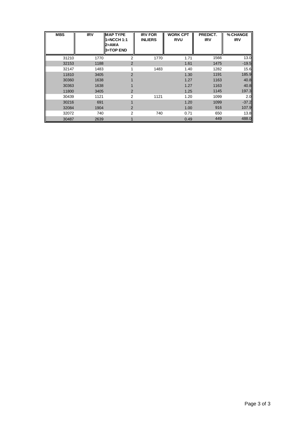| <b>MBS</b> | $\overline{IRV}$ | <b>MAP TYPE</b><br>1=NCCH 1:1<br>2=AMA<br>3=TOP END | <b>IRV FOR</b><br><b>INLIERS</b> | <b>WORK CPT</b><br><b>RVU</b> | PREDICT.<br><b>IRV</b> | % CHANGE<br><b>IRV</b> |
|------------|------------------|-----------------------------------------------------|----------------------------------|-------------------------------|------------------------|------------------------|
| 31210      | 1770             | 2                                                   | 1770                             | 1.71                          | 1566                   | 13.0                   |
| 32153      | 1188             | 2                                                   |                                  | 1.61                          | 1475                   | $-19.5$                |
| 32147      | 1483             |                                                     | 1483                             | 1.40                          | 1282                   | 15.6                   |
| 11810      | 3405             | $\overline{2}$                                      |                                  | 1.30                          | 1191                   | 185.9                  |
| 30360      | 1638             |                                                     |                                  | 1.27                          | 1163                   | 40.8                   |
| 30363      | 1638             |                                                     |                                  | 1.27                          | 1163                   | 40.8                   |
| 11800      | 3405             | $\overline{2}$                                      |                                  | 1.25                          | 1145                   | 197.3                  |
| 30439      | 1121             | 2                                                   | 1121                             | 1.20                          | 1099                   | 2.0                    |
| 30216      | 691              |                                                     |                                  | 1.20                          | 1099                   | $-37.2$                |
| 32084      | 1904             | $\overline{2}$                                      |                                  | 1.00                          | 916                    | 107.9                  |
| 32072      | 740              | 2                                                   | 740                              | 0.71                          | 650                    | 13.8                   |
| 30487      | 2639             |                                                     |                                  | 0.49                          | 449                    | 488.0                  |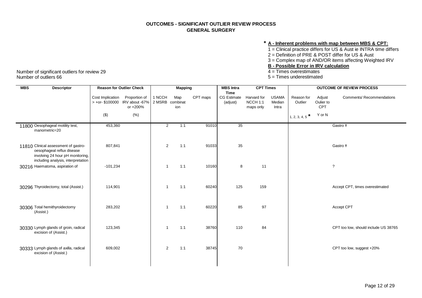## **\* A - Inherent problems with map between MBS & CPT:**

1 = Clinical practice differs for US & Aust ie INTRA time differs

2 = Definition of PRE & POST differ for US & Aust

3 = Complex map of AND/OR items affecting Weighted IRV

## **<u>B - Possible Error in IRV calculation</u>**<br>4 = Times overestimates

 $5 =$  Times underestimated

| <b>MBS</b><br><b>Descriptor</b>                                                                                                              | <b>Reason for Outlier Check</b>       |                                             |                           | <b>Mapping</b> |          | <b>MBS</b> Intra                              | <b>CPT Times</b>                                |                                 |                       |                                   | <b>OUTCOME OF REVIEW PROCESS</b>     |
|----------------------------------------------------------------------------------------------------------------------------------------------|---------------------------------------|---------------------------------------------|---------------------------|----------------|----------|-----------------------------------------------|-------------------------------------------------|---------------------------------|-----------------------|-----------------------------------|--------------------------------------|
|                                                                                                                                              | Cost Implication<br>$> +$ or-\$100000 | Proportion of<br>IRV about -67%<br>or +200% | 1 NCCH<br>2 MSRB combinat | Map<br>ion     | CPT maps | <b>Time</b><br><b>CG Estimate</b><br>(adjust) | Harvard for<br>NCCH <sub>1:1</sub><br>maps only | <b>USAMA</b><br>Median<br>Intra | Reason for<br>Outlier | Adjust<br>Oulier to<br><b>CPT</b> | Comments/ Recommendations            |
|                                                                                                                                              | $($ \$)                               | (% )                                        |                           |                |          |                                               |                                                 |                                 | 1, 2, 3, 4, 5         | Y or N                            |                                      |
| 11800 Oesophageal motility test,<br>manometric=20                                                                                            | 453,360                               |                                             | $\overline{2}$            | 1:1            | 91010    | $\overline{35}$                               |                                                 |                                 |                       |                                   | Gastro <sup>+</sup>                  |
| 11810 Clinical assessment of gastro-<br>oesophageal reflux disease<br>involving 24 hour pH monitoring,<br>including analysis, interpretation | 807,841                               |                                             | 2                         | 1:1            | 91033    | 35                                            |                                                 |                                 |                       |                                   | Gastro <sup>+</sup>                  |
| 30216 Haematoma, aspiration of                                                                                                               | $-101,234$                            |                                             | $\mathbf{1}$              | 1:1            | 10160    | 8                                             | 11                                              |                                 |                       |                                   | $\overline{?}$                       |
| 30296 Thyroidectomy, total (Assist.)                                                                                                         | 114,901                               |                                             | $\mathbf{1}$              | 1:1            | 60240    | 125                                           | 159                                             |                                 |                       |                                   | Accept CPT, times overestimated      |
| 30306 Total hemithyroidectomy<br>(Assist.)                                                                                                   | 283,202                               |                                             | $\mathbf{1}$              | 1:1            | 60220    | 85                                            | 97                                              |                                 |                       |                                   | <b>Accept CPT</b>                    |
| 30330 Lymph glands of groin, radical<br>excision of (Assist.)                                                                                | 123,345                               |                                             | $\mathbf{1}$              | 1:1            | 38760    | 110                                           | 84                                              |                                 |                       |                                   | CPT too low, should include US 38765 |
| 30333 Lymph glands of axilla, radical<br>excision of (Assist.)                                                                               | 609,002                               |                                             | 2                         | 1:1            | 38745    | 70                                            |                                                 |                                 |                       |                                   | CPT too low, suggest +20%            |

Number of significant outliers for review 29<br>Number of outliers 66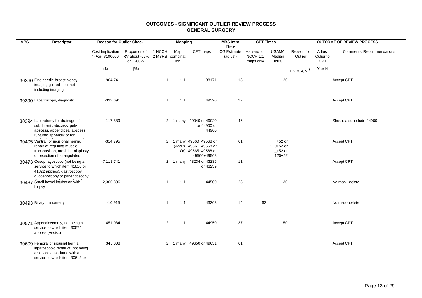| <b>MBS</b> | <b>Descriptor</b>                                                                                                                       | <b>Reason for Outlier Check</b>                    |                           |                           | <b>Mapping</b> |                                                                                     | <b>MBS</b> Intra<br><b>Time</b> | <b>CPT Times</b>                     |                                                     |                       |                            | <b>OUTCOME OF REVIEW PROCESS</b> |
|------------|-----------------------------------------------------------------------------------------------------------------------------------------|----------------------------------------------------|---------------------------|---------------------------|----------------|-------------------------------------------------------------------------------------|---------------------------------|--------------------------------------|-----------------------------------------------------|-----------------------|----------------------------|----------------------------------|
|            |                                                                                                                                         | Cost Implication<br>> +or- \$100000 IRV about -67% | Proportion of<br>or +200% | 1 NCCH<br>2 MSRB combinat | Map<br>ion     | CPT maps                                                                            | <b>CG Estimate</b><br>(adjust)  | Harvard for<br>NCCH 1:1<br>maps only | <b>USAMA</b><br>Median<br>Intra                     | Reason for<br>Outlier | Adjust<br>Oulier to<br>CPT | <b>Comments/ Recommendations</b> |
|            |                                                                                                                                         | $(\$)$                                             | (% )                      |                           |                |                                                                                     |                                 |                                      |                                                     | $1, 2, 3, 4, 5$ *     | Y or N                     |                                  |
|            | 30360 Fine needle breast biopsy,<br>imaging guided - but not<br>including imaging                                                       | 964,741                                            |                           | $\mathbf{1}$              | 1:1            | 88171                                                                               | 18                              |                                      | 20                                                  |                       |                            | Accept CPT                       |
|            | 30390 Laparoscopy, diagnostic                                                                                                           | $-332,691$                                         |                           | $\mathbf{1}$              | 1:1            | 49320                                                                               | 27                              |                                      |                                                     |                       |                            | Accept CPT                       |
|            | 30394 Laparotomy for drainage of<br>subphrenic abscess, pelvic<br>abscess, appendiceal abscess,<br>ruptured appendix or for             | $-117,889$                                         |                           |                           |                | 2 1:many 49040 or 49020<br>or 44900 or<br>44960                                     | 46                              |                                      |                                                     |                       |                            | Should also include 44960        |
|            | 30405 Ventral, or incisional hernia,<br>repair of requiring muscle<br>transposition, mesh hernioplasty<br>or resection of strangulated  | $-314,795$                                         |                           | $\overline{2}$            |                | 1:many 49560+49568 or<br>(And & 49561+49568 or<br>Or) 49565+49568 or<br>49566+49568 | 61                              |                                      | $-$ +52 or<br>120+52 or<br>$-$ +52 or<br>$120 + 52$ |                       |                            | Accept CPT                       |
|            | 30473 Oesophagoscopy (not being a<br>service to which item 41816 or<br>41822 applies), gastroscopy,<br>duodenoscopy or panendoscopy     | $-7,111,741$                                       |                           | $\overline{2}$            |                | 1:many 43234 or 43235<br>or 43239                                                   | 11                              |                                      |                                                     |                       |                            | Accept CPT                       |
|            | 30487 Small bowel intubation with<br>biopsy                                                                                             | 2,360,896                                          |                           | $\mathbf{1}$              | 1:1            | 44500                                                                               | 23                              |                                      | 30                                                  |                       |                            | No map - delete                  |
|            | 30493 Biliary manometry                                                                                                                 | $-10,915$                                          |                           | $\overline{1}$            | 1:1            | 43263                                                                               | 14                              | 62                                   |                                                     |                       |                            | No map - delete                  |
|            | 30571 Appendicectomy, not being a<br>service to which item 30574<br>applies (Assist.)                                                   | -451,084                                           |                           | 2                         | 1:1            | 44950                                                                               | 37                              |                                      | 50                                                  |                       |                            | Accept CPT                       |
|            | 30609 Femoral or inguinal hernia,<br>laparoscopic repair of, not being<br>a service associated with a<br>service to which item 30612 or | 345,008                                            |                           | $\overline{2}$            |                | 1:many 49650 or 49651                                                               | 61                              |                                      |                                                     |                       |                            | Accept CPT                       |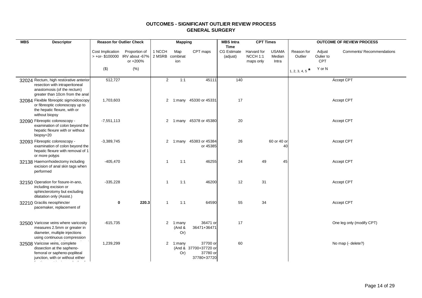| <b>MBS</b> | <b>Descriptor</b>                                                                                                                           | <b>Reason for Outlier Check</b> |                                                             |                           | <b>Mapping</b>          |                                                              | <b>MBS</b> Intra<br><b>Time</b> | <b>CPT Times</b>                     |                                 |                       |                            | <b>OUTCOME OF REVIEW PROCESS</b> |
|------------|---------------------------------------------------------------------------------------------------------------------------------------------|---------------------------------|-------------------------------------------------------------|---------------------------|-------------------------|--------------------------------------------------------------|---------------------------------|--------------------------------------|---------------------------------|-----------------------|----------------------------|----------------------------------|
|            |                                                                                                                                             | Cost Implication                | Proportion of<br>> +or- \$100000 IRV about -67%<br>or +200% | 1 NCCH<br>2 MSRB combinat | Map<br>ion              | CPT maps                                                     | <b>CG Estimate</b><br>(adjust)  | Harvard for<br>NCCH 1:1<br>maps only | <b>USAMA</b><br>Median<br>Intra | Reason for<br>Outlier | Adjust<br>Oulier to<br>CPT | <b>Comments/ Recommendations</b> |
|            |                                                                                                                                             | $(\$)$                          | (% )                                                        |                           |                         |                                                              |                                 |                                      |                                 | 1, 2, 3, 4, 5         | Y or N                     |                                  |
|            | 32024 Rectum, high restorative anterior<br>resection with intraperitoneal<br>anastomosis (of the rectum)<br>greater than 10cm from the anal | 512,727                         |                                                             | 2                         | 1:1                     | 45111                                                        | 140                             |                                      |                                 |                       |                            | Accept CPT                       |
|            | 32084 Flexible fibreoptic sigmoidoscopy<br>or fibreoptic colonoscopy up to<br>the hepatic flexure, with or<br>without biopsy                | 1,703,603                       |                                                             | $\overline{2}$            |                         | 1:many 45330 or 45331                                        | 17                              |                                      |                                 |                       |                            | Accept CPT                       |
|            | 32090 Fibreoptic colonoscopy -<br>examination of colon beyond the<br>hepatic flexure with or without<br>biopsy=20                           | $-7,551,113$                    |                                                             | 2                         |                         | 1:many 45378 or 45380                                        | 20                              |                                      |                                 |                       |                            | Accept CPT                       |
|            | 32093 Fibreoptic colonoscopy -<br>examination of colon beyond the<br>hepatic flexure with removal of 1<br>or more polyps                    | $-3,389,745$                    |                                                             | 2                         |                         | 1:many 45383 or 45384<br>or 45385                            | 26                              |                                      | 60 or 40 or<br>40               |                       |                            | Accept CPT                       |
|            | 32138 Haemorrhoidectomy including<br>excision of anal skin tags when<br>performed                                                           | $-405,470$                      |                                                             | $\overline{1}$            | 1:1                     | 46255                                                        | 24                              | 49                                   | 45                              |                       |                            | Accept CPT                       |
|            | 32150 Operation for fissure-in-ano,<br>including excision or<br>sphincterotomy but excluding<br>dilatation only (Assist.)                   | $-335,228$                      |                                                             | $\overline{1}$            | 1:1                     | 46200                                                        | 12                              | 31                                   |                                 |                       |                            | Accept CPT                       |
|            | 32210 Gracilis neosphincter<br>pacemaker, replacement of                                                                                    | 0                               | 220.3                                                       | $\overline{1}$            | 1:1                     | 64590                                                        | 55                              | 34                                   |                                 |                       |                            | Accept CPT                       |
|            | 32500 Varicose veins where varicosity<br>measures 2.5mm or greater in<br>diameter, multiple injections<br>using continuous compression      | $-615,735$                      |                                                             | $\overline{2}$            | 1:many<br>(And &<br>Or) | 36471 or<br>36471+36471                                      | 17                              |                                      |                                 |                       |                            | One leg only (modify CPT)        |
|            | 32508 Varicose veins, complete<br>dissection at the sapheno-<br>femoral or sapheno-popliteal<br>junction, with or without either            | 1,239,299                       |                                                             | $\overline{2}$            | 1:many<br>Or)           | 37700 or<br>(And & 37700+37720 or<br>37780 or<br>37780+37720 | 60                              |                                      |                                 |                       |                            | No map (- delete?)               |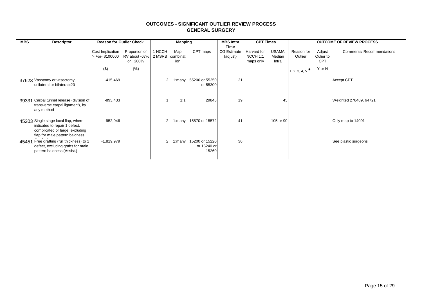| <b>MBS</b><br><b>Descriptor</b>                                                                                                            | <b>Reason for Outlier Check</b>                  |                                                            |                      | <b>Mapping</b>         |                                        | <b>MBS</b> Intra                       | <b>CPT Times</b>                     |                                 |                                                  |                                             | <b>OUTCOME OF REVIEW PROCESS</b> |
|--------------------------------------------------------------------------------------------------------------------------------------------|--------------------------------------------------|------------------------------------------------------------|----------------------|------------------------|----------------------------------------|----------------------------------------|--------------------------------------|---------------------------------|--------------------------------------------------|---------------------------------------------|----------------------------------|
|                                                                                                                                            | Cost Implication<br>$> +$ or-\$100000<br>$($ \$) | Proportion of<br>IRV about -67% 2 MSRB<br>or +200%<br>(% ) | 1 NCCH               | Map<br>combinat<br>ion | CPT maps                               | Time<br><b>CG Estimate</b><br>(adjust) | Harvard for<br>NCCH 1:1<br>maps only | <b>USAMA</b><br>Median<br>Intra | Reason for<br>Outlier<br>$\ast$<br>1, 2, 3, 4, 5 | Adjust<br>Oulier to<br><b>CPT</b><br>Y or N | <b>Comments/ Recommendations</b> |
| 37623 Vasotomy or vasectomy,<br>unilateral or bilateral=20                                                                                 | $-415,469$                                       |                                                            |                      |                        | 2 1:many 55200 or 55250<br>or 55300    | 21                                     |                                      |                                 |                                                  |                                             | Accept CPT                       |
| 39331 Carpal tunnel release (division of<br>transverse carpal ligament), by<br>any method                                                  | $-893,433$                                       |                                                            |                      | 1:1                    | 29848                                  | 19                                     |                                      | 45                              |                                                  |                                             | Weighted 278489, 64721           |
| 45203 Single stage local flap, where<br>indicated to repair 1 defect,<br>complicated or large, excluding<br>flap for male pattern baldness | $-952,046$                                       |                                                            | $\mathbf{2}$         | :many                  | 15570 or 15572                         | 41                                     |                                      | 105 or 90                       |                                                  |                                             | Only map to 14001                |
| Free grafting (full thickness) to 1<br>45451<br>defect, excluding grafts for male<br>pattern baldness (Assist.)                            | $-1,819,979$                                     |                                                            | $\mathbf{2}^{\circ}$ | :many                  | 15200 or 15220<br>or 15240 or<br>15260 | 36                                     |                                      |                                 |                                                  |                                             | See plastic surgeons             |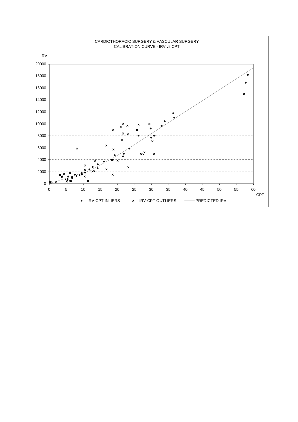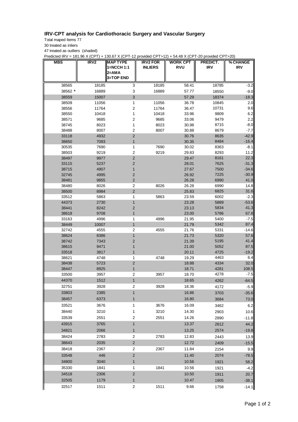## **IRV-CPT analysis for Cardiothoracic Surgery and Vascular Surgery**

Total maped Items 77

30 treated as inliers

47 treated as outliers (shaded)

Predicted IRV = 181.96 X (CPT) + 130.67 X (CPT-12 provided CPT>12) + 54.48 X (CPT-20 provided CPT>20)

| MBS            | IRV <sub>2</sub> | <b>MAP TYPE</b><br>1=NCCH 1:1<br>2=AMA | <b>IRV2 FOR</b><br><b>INLIERS</b> | <b>WORK CPT</b><br><b>RVU</b> | PREDICT.<br><b>IRV</b> | % CHANGE<br><b>IRV</b> |
|----------------|------------------|----------------------------------------|-----------------------------------|-------------------------------|------------------------|------------------------|
|                |                  | 3=TOP END                              |                                   |                               |                        |                        |
| 38565          | 18185            | 3                                      | 18185                             | 58.41                         | 18785                  | $-3.2$                 |
| 38562 *        | 16889            | 3                                      | 16889                             | 57.77                         | 18550                  | $-9.0$                 |
| 38559          | 15007            | 3                                      |                                   | 57.29                         | 18374                  | $-18.3$                |
| 38509          | 11056            | 1                                      | 11056                             | 36.78                         | 10845                  | 2.0                    |
| 38556          | 11764            | 2                                      | 11764                             | 36.47                         | 10731                  | 9.6                    |
| 38550          | 10418            | 1                                      | 10418                             | 33.96                         | 9809                   | 6.2                    |
| 38571          | 9685             | 2                                      | 9685                              | 33.06                         | 9479                   | 2.2                    |
| 38745          | 8023             | 1                                      | 8023                              | 30.98                         | 8715                   | $-8.0$                 |
| 38488          | 8007             | 2                                      | 8007                              | 30.88                         | 8679                   | -7.7                   |
| 33118          | 4932             | 2                                      |                                   | 30.76                         | 8635                   | $-42.9$                |
| 38650          | 7093             | $\mathbf{1}$                           |                                   | 30.35                         | 8484                   | $-16.4$                |
| 30535          | 7690             | 1                                      | 7690                              | 30.02                         | 8363                   | $-8.1$                 |
| 38503          | 9219             | 2                                      | 9219                              | 29.83                         | 8293                   | 11.2                   |
| 38497          | 9977             | $\overline{\mathbf{c}}$                |                                   | 29.47                         | 8161                   | 22.3                   |
| 33115          | 5237             | 2                                      |                                   | 28.01                         | 7625                   | $-31.3$                |
| 38715<br>32745 | 4907<br>4995     | 1<br>2                                 |                                   | 27.67<br>26.92                | 7500<br>7225           | $-34.6$<br>$-30.9$     |
| 38481          | 9855             | $\overline{c}$                         |                                   | 26.28                         | 6990                   | 41.0                   |
| 38480          | 8026             | 2                                      | 8026                              | 26.28                         | 6990                   | 14.8                   |
| 38500          | 8984             | $\overline{\mathbf{c}}$                |                                   | 25.83                         | 6825                   | 31.6                   |
| 33512          | 5863             | 1                                      | 5863                              | 23.59                         | 6002                   | $-2.3$                 |
| 44373          | 2730             | $\mathbf{1}$                           |                                   | 23.28                         | 5889                   | $-53.6$                |
| 38441          | 8242             | 2                                      |                                   | 23.13                         | 5834                   | 41.3                   |
| 38618          | 9708             | $\mathbf{1}$                           |                                   | 23.00                         | 5786                   | 67.8                   |
| 33163          | 4996             | 1                                      | 4996                              | 21.95                         | 5400                   | $-7.5$                 |
| 38449          | 10007            | $\mathbf{1}$                           |                                   | 21.79                         | 5342                   | 87.4                   |
| 32742          | 4555             | $\overline{\mathbf{c}}$                | 4555                              | 21.76                         | 5331                   | $-14.6$                |
| 38624          | 8386             | $\mathbf{1}$                           |                                   | 21.73                         | 5320                   | 57.6                   |
| 38742          | 7343             | $\overline{c}$                         |                                   | 21.39                         | 5195                   | 41.4                   |
| 38615          | 9471             | 1                                      |                                   | 21.00                         | 5052                   | 87.5                   |
| 33518          | 3817             | 1                                      |                                   | 20.11                         | 4725                   | $-19.2$                |
| 38621<br>38438 | 4748             | 1                                      | 4748                              | 19.29                         | 4463<br>4334           | 6.4<br>32.0            |
| 38447          | 5723<br>8925     | $\overline{2}$<br>1                    |                                   | 18.88<br>18.71                | 4281                   | 108.5                  |
| 33500          | 3957             | 2                                      | 3957                              | 18.70                         | 4278                   | -7.5                   |
| 44370          | 1512             | $\mathbf{1}$                           |                                   | 18.65                         | 4262                   | $-64.5$                |
|                |                  |                                        | 3928                              |                               |                        |                        |
| 32751          | 3928<br>2385     | 2                                      |                                   | 18.36                         | 4172                   | $-5.9$                 |
| 33803          |                  | 1                                      |                                   | 16.86                         | 3703                   | $-35.6$                |
| 38457          | 6373             | 1                                      |                                   | 16.80                         | 3684                   | 73.0                   |
| 33521          | 3676             | 1                                      | 3676                              | 16.09                         | 3462                   | 6.2                    |
| 38440          | 3210             | 1                                      | 3210                              | 14.30                         | 2903                   | 10.6                   |
| 33539          | 2551             | 2                                      | 2551                              | 14.26                         | 2890                   | $-11.8$                |
| 43915          | 3765             | $\mathbf{1}$                           |                                   | 13.37                         | 2612                   | 44.2                   |
| 34821          | 2066             | $\mathbf{1}$                           |                                   | 13.25                         | 2574                   | $-19.8$                |
| 38424          | 2783             | $\overline{\mathbf{c}}$                | 2783                              | 12.83                         | 2443                   | 13.9                   |
| 38643          | 2035             | $\overline{\mathbf{c}}$                |                                   | 12.72                         | 2409                   | $-15.5$                |
| 38418          | 2367             | 2                                      | 2367                              | 11.84                         | 2154                   | 9.9                    |
| 33548          | 446              | $\overline{\mathbf{c}}$                |                                   | 11.40                         | 2074                   | $-78.5$                |
| 34800          | 3040             | 1                                      |                                   | 10.56                         | 1921                   | 58.2                   |
| 35330          | 1841             | 1                                      | 1841                              | 10.56                         | 1921                   | $-4.2$                 |
| 34518          | 2306             | $\overline{\mathbf{c}}$                |                                   | 10.50                         | 1911                   | 20.7                   |
| 32505          | 1179             | 1                                      |                                   | 10.47                         | 1905                   | $-38.1$                |
| 32517          | 1511             | 2                                      | 1511                              | 9.66                          | 1758                   | $-14.1$                |
|                |                  |                                        |                                   |                               |                        |                        |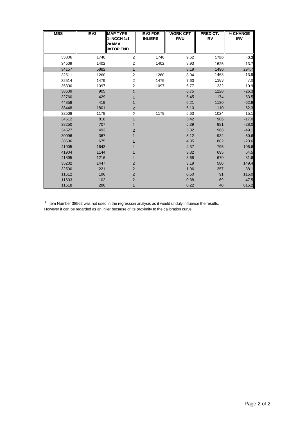| <b>MBS</b> | IRV <sub>2</sub> | <b>IMAP TYPE</b>                   | <b>IRV2 FOR</b> | <b>WORK CPT</b> | PREDICT.   | % CHANGE   |
|------------|------------------|------------------------------------|-----------------|-----------------|------------|------------|
|            |                  | 1=NCCH 1:1<br>$2=AMA$<br>3=TOP END | <b>INLIERS</b>  | <b>RVU</b>      | <b>IRV</b> | <b>IRV</b> |
| 33806      | 1746             | 2                                  | 1746            | 9.62            | 1750       | $-0.3$     |
| 34509      | 1402             | 2                                  | 1402            | 8.93            | 1625       | $-13.7$    |
| 34157      | 5882             | $\mathbf{1}$                       |                 | 8.19            | 1490       | 294.7      |
| 32511      | 1260             | 2                                  | 1260            | 8.04            | 1463       | $-13.9$    |
| 32514      | 1479             | 2                                  | 1479            | 7.60            | 1383       | 7.0        |
| 35300      | 1097             | 2                                  | 1097            | 6.77            | 1232       | $-10.9$    |
| 38609      | 905              |                                    |                 | 6.75            | 1228       | $-26.3$    |
| 32760      | 429              |                                    |                 | 6.45            | 1174       | $-63.5$    |
| 44358      | 419              |                                    |                 | 6.21            | 1130       | $-62.9$    |
| 38448      | 1801             | $\overline{c}$                     |                 | 6.10            | 1110       | 62.3       |
| 32508      | 1179             | 2                                  | 1179            | 5.63            | 1024       | 15.1       |
| 34512      | 818              | 1                                  |                 | 5.42            | 986        | $-17.0$    |
| 38250      | 707              |                                    |                 | 5.39            | 981        | $-28.0$    |
| 34527      | 493              | $\overline{2}$                     |                 | 5.32            | 968        | $-49.1$    |
| 30096      | 367              |                                    |                 | 5.12            | 932        | $-60.6$    |
| 38606      | 675              |                                    |                 | 4.85            | 882        | $-23.6$    |
| 41905      | 1643             |                                    |                 | 4.37            | 795        | 106.6      |
| 41904      | 1144             |                                    |                 | 3.82            | 695        | 64.5       |
| 41895      | 1216             |                                    |                 | 3.68            | 670        | 81.6       |
| 35202      | 1447             | 2                                  |                 | 3.19            | 580        | 149.4      |
| 32500      | 221              | 2                                  |                 | 1.96            | 357        | $-38.1$    |
| 11612      | 196              | 2                                  |                 | 0.50            | 91         | 115.0      |
| 11603      | 102              | $\overline{c}$                     |                 | 0.38            | 69         | 47.5       |
| 11618      | 286              |                                    |                 | 0.22            | 40         | 615.2      |

\* Item Number 38562 was not used in the regression analysis as it would unduly influence the results.

However it can be regarded as an inlier because of its proximity to the calibration curve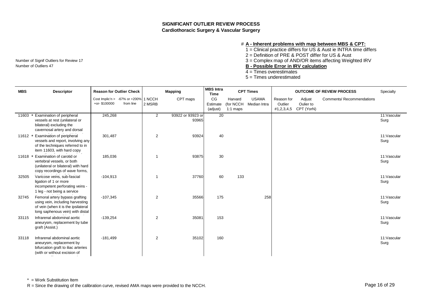## **SIGNIFICANT OUTLIER REVIEW PROCESS Cardiothoracic Surgery & Vascular Surgery**

### # **A - Inherent problems with map between MBS & CPT:**

1 = Clinical practice differs for US & Aust ie INTRA time differs

2 = Definition of PRE & POST differ for US & Aust

Number of Signif Outliers for Review 17 **3** = Complex map of AND/OR items affecting Weighted IRV

Number of Outliers 47 **B** - Possible Error in IRV calculation

- 4 = Times overestimates
- 5 = Times underestimated

| <b>MBS</b> | <b>Descriptor</b>                                                                                                                             | <b>Reason for Outlier Check</b> |                                                   |                | <b>Mapping</b>             | <b>MBS</b> Intra<br><b>Time</b> |                                    | <b>CPT Times</b>             |                                     |                                   | <b>OUTCOME OF REVIEW PROCESS</b> | Specialty            |
|------------|-----------------------------------------------------------------------------------------------------------------------------------------------|---------------------------------|---------------------------------------------------|----------------|----------------------------|---------------------------------|------------------------------------|------------------------------|-------------------------------------|-----------------------------------|----------------------------------|----------------------|
|            |                                                                                                                                               | +or-\$100000                    | Cost Implic'n > -67% or +200% 1 NCCH<br>from line | 2 MSRB         | CPT maps                   | CG<br>Estimate<br>(adjust)      | Harvard<br>(for NCCH<br>$1:1$ maps | <b>USAMA</b><br>Median Intra | Reason for<br>Outlier<br>#1,2,3,4,5 | Adjust<br>Oulier to<br>CPT (YorN) | <b>Comments/ Recommendations</b> |                      |
| 11603      | Examination of peripheral<br>vessels at rest (unilateral or<br>bilateral) excluding the<br>cavernosal artery and dorsal                       | 245,268                         |                                                   | $\overline{2}$ | 93922 or 93923 or<br>93965 | $\overline{20}$                 |                                    |                              |                                     |                                   |                                  | 11: Vascular<br>Surg |
| $11612$ *  | Examination of peripheral<br>vessels and report, involving any<br>of the techniques referred to in<br>item 11603, with hard copy              | 301,487                         |                                                   | 2              | 93924                      | 40                              |                                    |                              |                                     |                                   |                                  | 11:Vascular<br>Surg  |
| 11618      | Examination of carotid or<br>vertebral vessels, or both<br>(unilateral or bilateral) with hard<br>copy recordings of wave forms,              | 185,036                         |                                                   | -1             | 93875                      | 30                              |                                    |                              |                                     |                                   |                                  | 11:Vascular<br>Surg  |
| 32505      | Varicose veins, sub-fascial<br>ligation of 1 or more<br>incompetent perforating veins -<br>1 leg - not being a service                        | $-104,913$                      |                                                   | -1             | 37760                      | 60                              | 133                                |                              |                                     |                                   |                                  | 11:Vascular<br>Surg  |
| 32745      | Femoral artery bypass grafting<br>using vein, including harvesting<br>of vein (when it is the ipsilateral<br>long saphenous vein) with distal | $-107,345$                      |                                                   | 2              | 35566                      | 175                             |                                    | 258                          |                                     |                                   |                                  | 11:Vascular<br>Surg  |
| 33115      | Infrarenal abdominal aortic<br>aneurysm, replacement by tube<br>graft (Assist.)                                                               | $-139,254$                      |                                                   | 2              | 35081                      | 153                             |                                    |                              |                                     |                                   |                                  | 11:Vascular<br>Surg  |
| 33118      | Infrarenal abdominal aortic<br>aneurysm, replacement by<br>bifurcation graft to iliac arteries<br>(with or without excision of                | $-181,499$                      |                                                   | $\overline{2}$ | 35102                      | 160                             |                                    |                              |                                     |                                   |                                  | 11:Vascular<br>Surg  |

\* = Work Substitution Item

R = Since the drawing of the calibration curve, revised AMA maps were provided to the NCCH.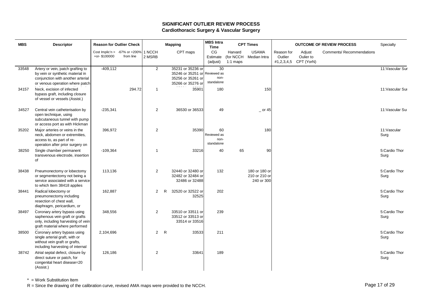## **SIGNIFICANT OUTLIER REVIEW PROCESS Cardiothoracic Surgery & Vascular Surgery**

| <b>MBS</b> | <b>Descriptor</b>                                                                                                                             | <b>Reason for Outlier Check</b> |                                                   |                | <b>Mapping</b>                                                                               | <b>MBS</b> Intra<br><b>Time</b>         |                                    | <b>CPT Times</b>                             |                       |                                              | <b>OUTCOME OF REVIEW PROCESS</b> | Specialty             |
|------------|-----------------------------------------------------------------------------------------------------------------------------------------------|---------------------------------|---------------------------------------------------|----------------|----------------------------------------------------------------------------------------------|-----------------------------------------|------------------------------------|----------------------------------------------|-----------------------|----------------------------------------------|----------------------------------|-----------------------|
|            |                                                                                                                                               | $+$ or-\$100000                 | Cost Implic'n > -67% or +200% 1 NCCH<br>from line | 2 MSRB         | CPT maps                                                                                     | CG<br>Estimate<br>(adjust)              | Harvard<br>(for NCCH<br>$1:1$ maps | <b>USAMA</b><br>Median Intra                 | Reason for<br>Outlier | Adjust<br>Oulier to<br>#1,2,3,4,5 CPT (YorN) | Comments/ Recommendations        |                       |
| 33548      | Artery or vein, patch grafting to<br>by vein or synthetic material in<br>conjunction with another arterial<br>or venous operation where patch | $-409, 112$                     |                                                   | $\overline{2}$ | 35231 or 35236 or<br>35246 or 35251 or Reviewed as<br>35256 or 35261 or<br>35266 or 35276 or | 30<br>non-<br>standalone                |                                    |                                              |                       |                                              |                                  | 11: Vascular Sur      |
| 34157      | Neck, excision of infected<br>bypass graft, including closure<br>of vessel or vessels (Assist.)                                               |                                 | 294.72                                            | $\overline{1}$ | 35901                                                                                        | 180                                     |                                    | 150                                          |                       |                                              |                                  | 11: Vascular Sur      |
| 34527      | Central vein catheterisation by<br>open technique, using<br>subcutaneous tunnel with pump<br>or access port as with Hickman                   | $-235,341$                      |                                                   | 2              | 36530 or 36533                                                                               | 49                                      |                                    | $-$ or 45                                    |                       |                                              |                                  | 11: Vascular Su       |
| 35202      | Major arteries or veins in the<br>neck, abdomen or extremities,<br>access to, as part of re-<br>operation after prior surgery on              | 396,972                         |                                                   | 2              | 35390                                                                                        | 60<br>Reviewed as<br>non-<br>standalone |                                    | 180                                          |                       |                                              |                                  | 11: Vascular<br>Surg  |
| 38250      | Single chamber permanent<br>transvenous electrode, insertion<br>of                                                                            | $-109,364$                      |                                                   | 1              | 33216                                                                                        | 40                                      | 65                                 | 90                                           |                       |                                              |                                  | 5:Cardio Thor<br>Surg |
| 38438      | Pneumonectomy or lobectomy<br>or segmentectomy not being a<br>service associated with a service<br>to which Item 38418 applies                | 113,136                         |                                                   | $\overline{2}$ | 32440 or 32480 or<br>32482 or 32484 or<br>32486 or 32488                                     | 132                                     |                                    | 180 or 180 or<br>210 or 210 or<br>240 or 300 |                       |                                              |                                  | 5:Cardio Thor<br>Surg |
| 38441      | Radical lobectomy or<br>pneumonectomy including<br>resection of chest wall,<br>diaphragm, pericardium, or                                     | 162,887                         |                                                   | $\overline{2}$ | 32520 or 32522 or<br>R<br>32525                                                              | 202                                     |                                    |                                              |                       |                                              |                                  | 5:Cardio Thor<br>Surg |
| 38497      | Coronary artery bypass using<br>saphenous vein graft or grafts<br>only, including harvesting of vein<br>graft material where performed        | 348,556                         |                                                   | $\overline{2}$ | 33510 or 33511 or<br>33512 or 33513 or<br>33514 or 33516                                     | 239                                     |                                    |                                              |                       |                                              |                                  | 5:Cardio Thor<br>Surg |
| 38500      | Coronary artery bypass using<br>single arterial graft, with or<br>without vein graft or grafts,<br>including harvesting of internal           | 2,104,696                       |                                                   | $2^{\circ}$    | $\mathsf{R}$<br>33533                                                                        | 211                                     |                                    |                                              |                       |                                              |                                  | 5:Cardio Thor<br>Surg |
| 38742      | Atrial septal defect, closure by<br>direct suture or patch, for<br>congenital heart disease=20<br>(Assist.)                                   | 126,186                         |                                                   | 2              | 33641                                                                                        | 189                                     |                                    |                                              |                       |                                              |                                  | 5:Cardio Thor<br>Surg |

\* = Work Substitution Item

R = Since the drawing of the calibration curve, revised AMA maps were provided to the NCCH.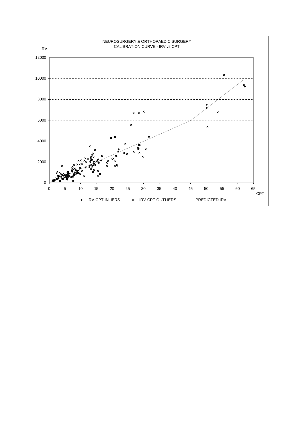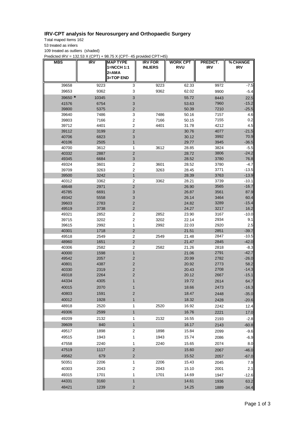## **IRV-CPT analysis for Neurosurgery and Orthopaedic Surgery**

Total maped Items 162

53 treated as inliers

109 treated as outliers (shaded)

Predicted IRV = 132.53 X (CPT) + 98.75 X (CPT- 45 provided CPT>45)

| <b>MBS</b>     | <b>IRV</b>   | <b>MAP TYPE</b><br>1=NCCH 1:1<br>2=AMA<br>3=TOP END | <b>IRV FOR</b><br><b>INLIERS</b> | <b>WORK CPT</b><br><b>RVU</b> | PREDICT.<br><b>IRV</b> | % CHANGE<br><b>IRV</b> |
|----------------|--------------|-----------------------------------------------------|----------------------------------|-------------------------------|------------------------|------------------------|
| 39658          | 9223         | 3                                                   | 9223                             | 62.33                         | 9972                   | $-7.5$                 |
| 39653          | 9362         | 3                                                   | 9362                             | 62.02                         | 9900                   | $-5.4$                 |
| 39650 *        | 10345        | $\mathsf 3$                                         |                                  | 55.72                         | 8443                   | 22.5                   |
| 41576          | 6754         | $\ensuremath{\mathsf{3}}$                           |                                  | 53.63                         | 7960                   | $-15.2$                |
| 39800          | 5375         | $\overline{c}$                                      |                                  | 50.39                         | 7210                   | $-25.5$                |
| 39640          | 7486         | 3                                                   | 7486                             | 50.16                         | 7157                   | 4.6                    |
| 39803          | 7166         | $\mathbf 2$                                         | 7166                             | 50.15                         | 7155                   | 0.2                    |
| 39712          | 4401         | $\overline{\mathbf{c}}$                             | 4401                             | 31.78                         | 4212                   | 4.5                    |
| 39112          | 3199         | $\mathbf 2$                                         |                                  | 30.76                         | 4077                   | $-21.5$                |
| 40706          | 6823         | 3                                                   |                                  | 30.12                         | 3992                   | 70.9                   |
| 40106          | 2505         | 1                                                   |                                  | 29.77                         | 3945                   | $-36.5$                |
| 40700<br>40332 | 3612<br>2887 | 1<br>$\mathbf 2$                                    | 3612                             | 28.85<br>28.72                | 3824<br>3806           | $-5.5$<br>$-24.2$      |
| 49345          | 6684         | $\ensuremath{\mathsf{3}}$                           |                                  | 28.52                         | 3780                   | 76.8                   |
| 49324          | 3601         | $\overline{\mathbf{c}}$                             | 3601                             | 28.52                         | 3780                   | -4.7                   |
| 39709          | 3263         | $\mathbf 2$                                         | 3263                             | 28.45                         | 3771                   | $-13.5$                |
| 39500          | 3242         | $\mathbf{1}$                                        |                                  | 28.39                         | 3763                   | $-13.9$                |
| 40312          | 3362         | 2                                                   | 3362                             | 28.21                         | 3739                   | $-10.1$                |
| 48648          | 2971         | $\mathbf 2$                                         |                                  | 26.90                         | 3565                   | $-16.7$                |
| 45785          | 6691         | $\mathsf 3$                                         |                                  | 26.87                         | 3561                   | 87.9                   |
| 49342          | 5558         | $\mathsf 3$                                         |                                  | 26.14                         | 3464                   | 60.4                   |
| 39603          | 2783         | $\mathbf 2$                                         |                                  | 24.82                         | 3289                   | $-15.4$                |
| 49519          | 3738         | $\mathbf 2$                                         |                                  | 24.27                         | 3217                   | 16.2                   |
| 49321          | 2852         | 2                                                   | 2852                             | 23.90                         | 3167                   | $-10.0$                |
| 39715<br>39615 | 3202<br>2992 | $\mathbf 2$<br>1                                    | 3202<br>2992                     | 22.14<br>22.03                | 2934<br>2920           | 9.1<br>2.5             |
| 40301          | 1718         | $\mathbf 2$                                         |                                  | 21.51                         | 2851                   | $-39.7$                |
| 49518          | 2549         | 2                                                   | 2549                             | 21.48                         | 2847                   | $-10.5$                |
| 48960          | 1651         | $\overline{\mathbf{c}}$                             |                                  | 21.47                         | 2845                   | $-42.0$                |
| 40306          | 2582         | $\mathbf 2$                                         | 2582                             | 21.26                         | 2818                   | $-8.3$                 |
| 40000          | 1598         | $\mathbf{1}$                                        |                                  | 21.06                         | 2791                   | $-42.7$                |
| 49542          | 2057         | $\mathbf 2$                                         |                                  | 20.99                         | 2782                   | $-26.0$                |
| 40801          | 4387         | $\mathbf 2$                                         |                                  | 20.92                         | 2773                   | 58.2                   |
| 40330          | 2319         | $\mathbf 2$                                         |                                  | 20.43                         | 2708                   | $-14.3$                |
| 49318          | 2264         | 2                                                   |                                  | 20.12                         | 2667                   | $-15.1$                |
| 44334          | 4305         | 1                                                   |                                  | 19.72                         | 2614                   | 64.7                   |
| 40015          | 2070         | 1                                                   |                                  | 18.66                         | 2473                   | $-16.3$                |
| 40803          | 1591         | $\mathbf 2$                                         |                                  | 18.47                         | 2448                   | $-35.0$                |
| 40012          | 1928         | $\mathbf{1}$                                        |                                  | 18.32                         | 2428                   | $-20.6$                |
| 48918          | 2520         | 1                                                   | 2520                             | 16.92                         | 2242                   | 12.4                   |
| 49306          | 2599         | $\mathbf{1}$                                        |                                  | 16.76                         | 2221                   | 17.0                   |
| 49209          | 2132         | 1                                                   | 2132                             | 16.55                         | 2193                   | $-2.8$                 |
| 39609          | 840          | $\mathbf{1}$                                        |                                  | 16.17                         | 2143                   | $-60.8$                |
| 49517          | 1898         | $\overline{\mathbf{c}}$                             | 1898                             | 15.84                         | 2099                   | $-9.6$                 |
| 49515          | 1943         | 1                                                   | 1943                             | 15.74                         | 2086                   | $-6.9$                 |
| 47558          | 2240         | 1                                                   | 2240                             | 15.65                         | 2074                   | 8.0                    |
| 47519          | 1117         | $\overline{c}$                                      |                                  | 15.60                         | 2067                   | $-46.0$                |
| 49562          | 679          | $\overline{\mathbf{c}}$                             |                                  | 15.52                         | 2057                   | $-67.0$                |
| 50351          | 2206         | $\mathbf{1}$                                        | 2206                             | 15.43                         | 2045                   | 7.9                    |
| 40303          | 2043         | 2                                                   | 2043                             | 15.10                         | 2001                   | 2.1                    |
| 49315          | 1701         | 1                                                   | 1701                             | 14.69                         | 1947                   | $-12.6$                |
| 44331          | 3160         | $\mathbf{1}$                                        |                                  | 14.61                         | 1936                   | 63.2                   |
| 48421          | 1239         | $\mathbf 2$                                         |                                  | 14.25                         | 1889                   | $-34.4$                |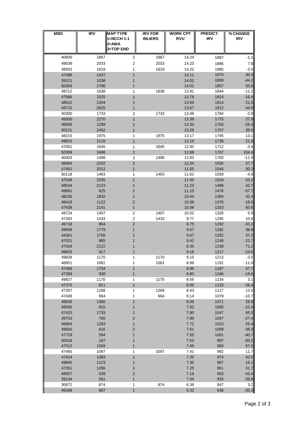| <b>MBS</b>     | <b>IRV</b>   | <b>MAP TYPE</b><br>1=NCCH 1:1<br>2=AMA<br>3=TOP END | <b>IRV FOR</b><br><b>INLIERS</b> | <b>WORK CPT</b><br><b>RVU</b> | PREDICT.<br><b>IRV</b> | % CHANGE<br><b>IRV</b> |
|----------------|--------------|-----------------------------------------------------|----------------------------------|-------------------------------|------------------------|------------------------|
| 40600          | 1867         | 2                                                   | 1867                             | 14.24                         | 1887                   | $-1.1$                 |
| 49539          | 2033         | $\boldsymbol{2}$                                    | 2033                             | 14.23                         | 1886                   | 7.8                    |
| 48933          | 1819         | 1                                                   | 1819                             | 14.22                         | 1885                   | $-3.5$                 |
| 47486          | 2437         | 1                                                   |                                  | 14.11                         | 1870                   | 30.3                   |
| 39121          | 1038         | 1                                                   |                                  | 14.02                         | 1858                   | $-44.2$                |
| 50354          | 2796         | 1                                                   |                                  | 14.01                         | 1857                   | 50.6                   |
| 49712          | 1638         | 1                                                   | 1638                             | 13.91                         | 1844                   | $-11.2$                |
| 47566          | 1525         | 1                                                   |                                  | 13.76                         | 1824                   | $-16.4$                |
| 48512<br>49715 | 2204<br>2625 | 1                                                   |                                  | 13.69<br>13.67                | 1814<br>1812           | 21.5<br>44.9           |
| 40300          | 1733         | 1<br>2                                              | 1733                             | 13.46                         | 1784                   | $-2.9$                 |
| 49300          | 2270         | 1                                                   |                                  | 13.39                         | 1775                   | 27.9                   |
| 48909          | 1299         | 2                                                   |                                  | 13.30                         | 1763                   | $-26.3$                |
| 50121          | 2452         | 1                                                   |                                  | 13.26                         | 1757                   | 39.5                   |
| 48215          | 1975         | 1                                                   | 1975                             | 13.17                         | 1745                   | 13.1                   |
| 49815          | 2116         | $\mathbf{1}$                                        |                                  | 13.10                         | 1736                   | 21.9                   |
| 47051          | 1645         | 1                                                   | 1645                             | 12.92                         | 1712                   | $-3.9$                 |
| 50399<br>40003 | 3488<br>1498 | $\mathbf{1}$                                        | 1498                             | 12.88                         | 1707<br>1700           | 104.4<br>$-11.9$       |
| 48684          | 2252         | $\boldsymbol{2}$<br>$\overline{\mathbf{c}}$         |                                  | 12.83<br>12.34                | 1635                   | 37.7                   |
| 47451          | 2012         | 1                                                   |                                  | 11.65                         | 1544                   | 30.3                   |
| 50118          | 1463         | 1                                                   | 1463                             | 11.61                         | 1539                   | $-4.9$                 |
| 47549          | 2335         | 1                                                   |                                  | 11.50                         | 1524                   | 53.2                   |
| 49534          | 2123         | 1                                                   |                                  | 11.23                         | 1488                   | 42.7                   |
| 49561          | 625          | 2                                                   |                                  | 11.15                         | 1478                   | $-57.7$                |
| 48236          | 1832         | 1                                                   |                                  | 10.44                         | 1384                   | 32.4                   |
| 48418          | 1122         | $\overline{\mathbf{c}}$                             |                                  | 10.38                         | 1376                   | $-18.5$                |
| 47438<br>49724 | 2141<br>1407 | $\mathbf{1}$<br>2                                   | 1407                             | 10.06<br>10.02                | 1333<br>1328           | 60.6<br>5.9            |
| 47393          | 1433         | $\boldsymbol{2}$                                    | 1433                             | 9.77                          | 1295                   | 10.6                   |
| 49718          | 864          | $\overline{\mathbf{c}}$                             |                                  | 9.75                          | 1292                   | $-33.2$                |
| 49569          | 1779         | 1                                                   |                                  | 9.67                          | 1282                   | 38.8                   |
| 44361          | 1758         |                                                     |                                  | 9.67                          | 1282                   | 37.2                   |
| 47021          | 965          |                                                     |                                  | 9.42                          | 1248                   | $-22.7$                |
| 47429          | 2122         |                                                     |                                  | 9.35                          | 1239                   | 71.2                   |
| 49833          | 917          | 1                                                   |                                  | 9.18                          | 1217                   | $-24.6$                |
| 49839<br>48951 | 1170<br>1061 | 1<br>1                                              | 1170<br>1061                     | 9.15<br>8.99                  | 1213<br>1191           | $-3.5$<br>$-11.0$      |
| 47468          | 1754         | 1                                                   |                                  | 8.96                          | 1187                   | 47.7                   |
| 47399          | 938          | $\mathbf{1}$                                        |                                  | 8.80                          | 1166                   | $-19.6$                |
| 49827          | 1170         | 1                                                   | 1170                             | 8.56                          | 1134                   | 3.1                    |
| 47375          | 811          | $\mathbf{1}$                                        |                                  | 8.55                          | 1133                   | $-28.4$                |
| 47357          | 1268         | 1                                                   | 1268                             | 8.43                          | 1117                   | 13.5                   |
| 47408          | 964          | 1                                                   | 964                              | 8.14                          | 1079                   | $-10.7$                |
| 48636          | 1380         | 1                                                   |                                  | 8.08                          | 1071                   | 28.9                   |
| 49566<br>47420 | 815<br>1733  | 1<br>1                                              |                                  | 7.92<br>7.90                  | 1050<br>1047           | $-22.4$<br>65.5        |
| 49703          | 760          | $\overline{\mathbf{c}}$                             |                                  | 7.90                          | 1047                   | $-27.4$                |
| 48954          | 1283         | 1                                                   |                                  | 7.72                          | 1023                   | 25.4                   |
| 49560          | 616          | $\overline{c}$                                      |                                  | 7.61                          | 1009                   | $-38.9$                |
| 47729          | 594          | 1                                                   |                                  | 7.55                          | 1001                   | $-40.7$                |
| 45018          | 167          | 1                                                   |                                  | 7.52                          | 997                    | $-83.2$                |
| 47012          | 1559         | 1                                                   |                                  | 7.49                          | 993                    | 57.0                   |
| 47465          | 1097         | 1                                                   | 1097                             | 7.41                          | 982                    | 11.7                   |
| 47414<br>49845 | 1383<br>1123 | 1<br>1                                              |                                  | 7.35<br>7.30                  | 974<br>967             | 42.0<br>16.1           |
| 47351          | 1266         | 1                                                   |                                  | 7.25                          | 961                    | 31.7                   |
| 49557          | 539          | $\overline{c}$                                      |                                  | 7.19                          | 953                    | $-43.4$                |
| 39134          | 561          | $\mathbf{1}$                                        |                                  | 7.04                          | 933                    | $-39.9$                |
| 30672          | 874          | 1                                                   | 874                              | 6.39                          | 847                    | 3.2                    |
| 46348          | 667          | $\mathbf{1}$                                        |                                  | 6.32                          | 838                    | $-20.3$                |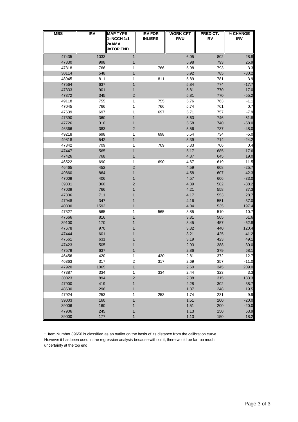| <b>MBS</b>     | IRV        | <b>MAP TYPE</b><br>1=NCCH 1:1 | <b>IRV FOR</b><br><b>INLIERS</b> | <b>WORK CPT</b><br><b>RVU</b> | PREDICT.<br><b>IRV</b> | % CHANGE<br><b>IRV</b> |
|----------------|------------|-------------------------------|----------------------------------|-------------------------------|------------------------|------------------------|
|                |            | 2=AMA                         |                                  |                               |                        |                        |
|                |            | <b>3=TOP END</b>              |                                  |                               |                        |                        |
| 47435          | 1033       | 1                             |                                  | 6.05                          | 802                    | 28.8                   |
| 47330          | 998        | 1                             |                                  | 5.98                          | 793                    | 25.9                   |
| 47318          | 766        | 1                             | 766                              | 5.98                          | 793                    | $-3.3$                 |
| 30114          | 548        | $\mathbf 1$                   |                                  | 5.92                          | 785                    | $-30.2$                |
| 48945          | 811        | 1                             | 811                              | 5.89                          | 781                    | 3.9                    |
| 47564          | 637        | 1                             |                                  | 5.84                          | 774                    | $-17.7$                |
| 47333          | 901        | 1                             |                                  | 5.81                          | 770                    | 17.0                   |
| 47372          | 345        | $\overline{\mathbf{c}}$       |                                  | 5.81                          | 770                    | $-55.2$                |
| 49118          | 755        | 1                             | 755                              | 5.76                          | 763                    | $-1.1$                 |
| 47045          | 766        | 1                             | 766                              | 5.74                          | 761                    | 0.7                    |
| 47639          | 697        | 1                             | 697                              | 5.71                          | 757                    | $-7.9$                 |
| 47390          | 360        | 1                             |                                  | 5.63                          | 746                    | $-51.8$                |
| 47726          | 310        | 1<br>$\overline{2}$           |                                  | 5.58                          | 740<br>737             | $-58.0$                |
| 46366<br>49218 | 383<br>698 | 1                             | 698                              | 5.56<br>5.54                  | 734                    | $-48.0$<br>$-5.0$      |
| 49818          | 542        | $\mathbf{1}$                  |                                  | 5.39                          | 714                    | $-24.2$                |
| 47342          | 709        | 1                             | 709                              | 5.33                          | 706                    | 0.4                    |
| 47447          | 565        | $\mathbf{1}$                  |                                  | 5.17                          | 685                    | $-17.6$                |
| 47426          | 768        | $\mathbf{1}$                  |                                  | 4.87                          | 645                    | 19.0                   |
| 46522          | 690        | 1                             | 690                              | 4.67                          | 619                    | 11.5                   |
| 46465          | 452        | 2                             |                                  | 4.59                          | 608                    | $-25.7$                |
| 49860          | 864        | 1                             |                                  | 4.58                          | 607                    | 42.3                   |
| 47009          | 406        | 1                             |                                  | 4.57                          | 606                    | $-33.0$                |
| 39331          | 360        | 2                             |                                  | 4.39                          | 582                    | $-38.2$                |
| 47039          | 766        | 1                             |                                  | 4.21                          | 558                    | 37.3                   |
| 47306          | 711        | 1                             |                                  | 4.17                          | 553                    | 28.7                   |
| 47948          | 347        | 1                             |                                  | 4.16                          | 551                    | $-37.0$                |
| 40800          | 1592       | $\mathbf{1}$                  |                                  | 4.04                          | 535                    | 197.4                  |
| 47327          | 565        | 1                             | 565                              | 3.85                          | 510                    | 10.7                   |
| 47666          | 816        | 1                             |                                  | 3.81                          | 505                    | 61.6                   |
| 39100          | 170        | 1                             |                                  | 3.45                          | 457                    | $-62.8$                |
| 47678          | 970        | 1                             |                                  | 3.32                          | 440                    | 120.4                  |
| 47444          | 601        |                               |                                  | 3.21                          | 425                    | 41.2                   |
| 47561          | 631        |                               |                                  | 3.19                          | 423                    | 49.1                   |
| 47423          | 505        | 1                             |                                  | 2.93                          | 388                    | 30.0                   |
| 47579          | 637        | 1                             |                                  | 2.86                          | 379                    | 68.1                   |
| 46456          | 420        | 1                             | 420                              | 2.81                          | 372                    | 12.7                   |
| 46363          | 317        | $\boldsymbol{2}$              | 317                              | 2.69                          | 357                    | $-11.0$                |
| 47920          | 1065       | $\mathbf{1}$                  |                                  | 2.60                          | 345                    | 209.0                  |
| 47387          | 334        | 1                             | 334                              | 2.44                          | 323                    | 3.3                    |
| 30023          | 894        | $\overline{\mathbf{c}}$       |                                  | 2.38                          | 315                    | 183.3                  |
| 47900          | 419        | 1                             |                                  | 2.28                          | 302                    | 38.7                   |
| 48600          | 296        | 1                             |                                  | 1.87                          | 248                    | 19.5                   |
| 47924          | 253        | 1                             | 253                              | 1.74                          | 231                    | 9.9                    |
| 39003          | 160        | 1                             |                                  | 1.51                          | 200                    | $-20.0$                |
| 39006<br>47906 | 160        | 1                             |                                  | 1.51<br>1.13                  | 200                    | $-20.0$<br>63.9        |
| 39000          | 245<br>177 | 1<br>1                        |                                  | 1.13                          | 150<br>150             | 18.2                   |
|                |            |                               |                                  |                               |                        |                        |

\* Item Number 39650 is classified as an outlier on the basis of its distance from the calibration curve. However it has been used in the regression analysis because without it, there would be far too much uncertainty at the top end.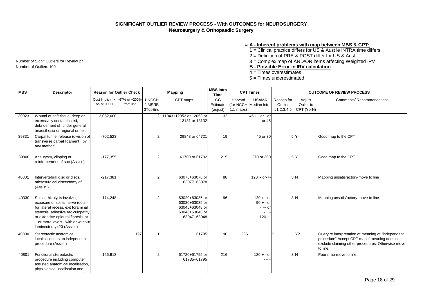## **SIGNIFICANT OUTLIER REVIEW PROCESS - With OUTCOMES for NEUROSURGERY Neurosurgery & Orthopaedic Surgery**

#### # **A - Inherent problems with map between MBS & CPT:**

1 = Clinical practice differs for US & Aust ie INTRA time differs

2 = Definition of PRE & POST differ for US & Aust

Number of Signif Outliers for Review 27 **3** = Complex map of AND/OR items affecting Weighted IRV<br> **B** - Possible Frror in IRV calculation

Number of Outliers 109 **B - Possible Error in IRV calculation**

4 = Times overestimates

5 = Times underestimated

| <b>MBS</b> | <b>Descriptor</b>                                                                                                                                                                                                                                 |              | <b>Reason for Outlier Check</b>            |                             | <b>Mapping</b>                                                                      | <b>MBS</b> Intra<br><b>Time</b> |                        | <b>CPT Times</b>                                                  |                       | <b>OUTCOME OF REVIEW PROCESS</b>             |                                                                                                                                                                       |  |
|------------|---------------------------------------------------------------------------------------------------------------------------------------------------------------------------------------------------------------------------------------------------|--------------|--------------------------------------------|-----------------------------|-------------------------------------------------------------------------------------|---------------------------------|------------------------|-------------------------------------------------------------------|-----------------------|----------------------------------------------|-----------------------------------------------------------------------------------------------------------------------------------------------------------------------|--|
|            |                                                                                                                                                                                                                                                   | +or-\$100000 | Cost Implic'n > -67% or +200%<br>from line | 1 NCCH<br>2 MSRB<br>3TopEnd | CPT maps                                                                            | CG<br>Estimate<br>(adjust)      | Harvard<br>$1:1$ maps) | <b>USAMA</b><br>(for NCCH Median Intra                            | Reason for<br>Outlier | Adjust<br>Oulier to<br>#1,2,3,4,5 CPT (YorN) | <b>Comments/ Recommendations</b>                                                                                                                                      |  |
| 30023      | Wound of soft tissue, deep or<br>extensively contaminated,<br>debridement of, under general<br>anaesthesia or regional or field                                                                                                                   | 3,052,600    |                                            |                             | 2 11043+12052 or 12053 or<br>13131 or 13132                                         | 32                              |                        | $45 + - or - or$<br>- or 45                                       |                       |                                              |                                                                                                                                                                       |  |
| 39331      | Carpal tunnel release (division of<br>transverse carpal ligament), by<br>any method                                                                                                                                                               | $-702,523$   |                                            | 2                           | 29848 or 64721                                                                      | 19                              |                        | 45 or 30                                                          | 5 Y                   |                                              | Good map to the CPT                                                                                                                                                   |  |
| 39800      | Aneurysm, clipping or<br>reinforcement of sac (Assist.)                                                                                                                                                                                           | $-177,355$   |                                            | 2                           | 61700 or 61702                                                                      | 215                             |                        | 270 or 300                                                        |                       | 5 Y                                          | Good map to the CPT                                                                                                                                                   |  |
| 40301      | Intervertebral disc or discs,<br>microsurgical discectomy of<br>(Assist.)                                                                                                                                                                         | $-217,381$   |                                            | 2                           | 63075+63076 or<br>63077+63078                                                       | 88                              |                        | $120 + -$ or- $+$ -                                               |                       | 3 N                                          | Mapping unsatisfactory-move to line                                                                                                                                   |  |
| 40330      | Spinal rhizolysis involving<br>exposure of spinal nerve roots -<br>for lateral recess, exit foraminal<br>stenosis, adhesive radiculopathy<br>or extensive epidural fibrosis, at<br>1 or more levels - with or without<br>laminectomy=20 (Assist.) | $-174,248$   |                                            | 2                           | 63020+63035 or<br>63030+63035 or<br>63045+63048 or<br>63046+63048 or<br>63047+63048 | 96                              |                        | $120 + - or$<br>$90 + - or$<br>$- + -$ or<br>$- + -$<br>$120 + -$ |                       | 3 N                                          | Mapping unsatisfactory-move to line                                                                                                                                   |  |
| 40800      | Stereotactic anatomical<br>localisation, as an independent<br>procedure (Assist.)                                                                                                                                                                 |              | 197                                        | $\overline{\mathbf{1}}$     | 61795                                                                               | 90                              | 236                    |                                                                   | $\mathbf{r}$          | Y?                                           | Query re interpretation of meaning of "independent<br>procedure". Accept CPT map if meaning does not<br>exclude claiming other procedures. Otherwise move<br>to line. |  |
| 40801      | Functional stereotactic<br>procedure including computer<br>assisted anatomical localisation,<br>physiological localisation and                                                                                                                    | 126,913      |                                            | 2                           | 61720+61795 or<br>61735+61795                                                       | 216                             |                        | $120 + -$ or<br>$- + \cdot$                                       |                       | 3 N                                          | Poor map-move to line.                                                                                                                                                |  |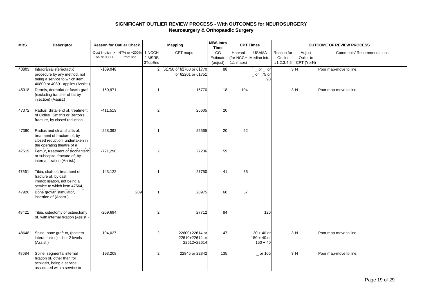## **SIGNIFICANT OUTLIER REVIEW PROCESS - With OUTCOMES for NEUROSURGERY Neurosurgery & Orthopaedic Surgery**

| <b>MBS</b> | <b>Descriptor</b>                                                                                                              |              | <b>Reason for Outlier Check</b>            |                             | <b>Mapping</b>                                  | <b>MBS Intra</b><br><b>Time</b> |                        | <b>CPT Times</b>                             |                                                | <b>OUTCOME OF REVIEW PROCESS</b> |                           |  |  |
|------------|--------------------------------------------------------------------------------------------------------------------------------|--------------|--------------------------------------------|-----------------------------|-------------------------------------------------|---------------------------------|------------------------|----------------------------------------------|------------------------------------------------|----------------------------------|---------------------------|--|--|
|            |                                                                                                                                | +or-\$100000 | Cost Implic'n > -67% or +200%<br>from line | 1 NCCH<br>2 MSRB<br>3TopEnd | CPT maps                                        | CG<br>Estimate<br>(adjust)      | Harvard<br>$1:1$ maps) | <b>USAMA</b><br>(for NCCH Median Intra       | Reason for<br>Outlier<br>#1,2,3,4,5 CPT (YorN) | Adjust<br>Oulier to              | Comments/ Recommendations |  |  |
| 40803      | Intracranial stereotactic<br>procedure by any method, not<br>being a service to which item<br>40800 or 40801 applies (Assist.) | $-109,048$   |                                            |                             | 2 61750 or 61760 or 61770<br>or 62201 or 61751  | 88                              |                        | $-$ or $-$ or<br>$-$ or 75 or<br>90          |                                                | 3 N                              | Poor map-move to line.    |  |  |
| 45018      | Dermis, dermofat or fascia graft<br>(excluding transfer of fat by<br>injection) (Assist.)                                      | $-160,971$   |                                            | $\mathbf{1}$                | 15770                                           | 18                              | 104                    |                                              | 3 N                                            |                                  | Poor map-move to line.    |  |  |
| 47372      | Radius, distal end of, treatment<br>of Colles', Smith's or Barton's<br>fracture, by closed reduction                           | $-411,519$   |                                            | 2                           | 25605                                           | 20                              |                        |                                              |                                                |                                  |                           |  |  |
| 47390      | Radius and ulna, shafts of,<br>treatment of fracture of, by<br>closed reduction, undertaken in<br>the operating theatre of a   | $-228,392$   |                                            | $\mathbf{1}$                | 25565                                           | 20                              | 52                     |                                              |                                                |                                  |                           |  |  |
| 47519      | Femur, treatment of trochanteric<br>or subcapital fracture of, by<br>internal fixation (Assist.)                               | $-721,296$   |                                            | 2                           | 27236                                           | 59                              |                        |                                              |                                                |                                  |                           |  |  |
| 47561      | Tibia, shaft of, treatment of<br>fracture of, by cast<br>immobilisation, not being a<br>service to which item 47564,           | 143,122      |                                            | $\mathbf{1}$                | 27750                                           | 41                              | 35                     |                                              |                                                |                                  |                           |  |  |
| 47920      | Bone growth stimulator,<br>insertion of (Assist.)                                                                              |              | 209                                        | $\mathbf{1}$                | 20975                                           | 68                              | 57                     |                                              |                                                |                                  |                           |  |  |
| 48421      | Tibia, osteotomy or osteectomy<br>of, with internal fixation (Assist.)                                                         | $-209,694$   |                                            | 2                           | 27712                                           | 84                              |                        | 120                                          |                                                |                                  |                           |  |  |
| 48648      | Spine, bone graft to, (postero-<br>lateral fusion) - 1 or 2 levels<br>(Assist.)                                                | $-104,027$   |                                            | 2                           | 22600+22614 or<br>22610+22614 or<br>22612+22614 | 147                             |                        | $120 + 40$ or<br>$150 + 40$ or<br>$150 + 40$ | 3 N                                            |                                  | Poor map-move to line.    |  |  |
| 48684      | Spine, segmental internal<br>fixation of, other than for<br>scoliosis, being a service<br>associated with a service to         | 193,208      |                                            | $\sqrt{2}$                  | 22845 or 22842                                  | 135                             |                        | $\_$ or 105                                  | 3 N                                            |                                  | Poor map-move to line.    |  |  |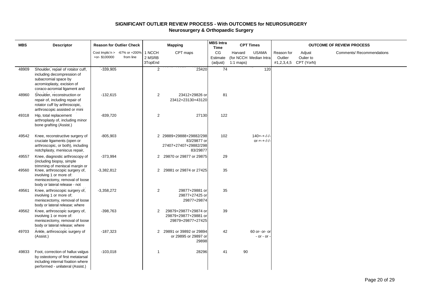## **SIGNIFICANT OUTLIER REVIEW PROCESS - With OUTCOMES for NEUROSURGERY Neurosurgery & Orthopaedic Surgery**

| <b>MBS</b> | <b>Descriptor</b>                                                                                                                                     |              | <b>Reason for Outlier Check</b>            |                             | <b>Mapping</b>                                                              | <b>MBS</b> Intra<br><b>Time</b> |                        | <b>CPT Times</b>                       |                       | <b>OUTCOME OF REVIEW PROCESS</b>             |                           |
|------------|-------------------------------------------------------------------------------------------------------------------------------------------------------|--------------|--------------------------------------------|-----------------------------|-----------------------------------------------------------------------------|---------------------------------|------------------------|----------------------------------------|-----------------------|----------------------------------------------|---------------------------|
|            |                                                                                                                                                       | +or-\$100000 | Cost Implic'n > -67% or +200%<br>from line | 1 NCCH<br>2 MSRB<br>3TopEnd | CPT maps                                                                    | CG<br>Estimate<br>(adjust)      | Harvard<br>$1:1$ maps) | <b>USAMA</b><br>(for NCCH Median Intra | Reason for<br>Outlier | Adjust<br>Oulier to<br>#1,2,3,4,5 CPT (YorN) | Comments/ Recommendations |
| 48909      | Shoulder, repair of rotator cuff,<br>including decompression of<br>subacromial space by<br>acromioplasty, excision of<br>coraco-acromial ligament and | $-339,905$   |                                            | $\overline{2}$              | 23420                                                                       | 74                              |                        | 120                                    |                       |                                              |                           |
| 48960      | Shoulder, reconstruction or<br>repair of, including repair of<br>rotator cuff by arthroscopic,<br>arthroscopic assisted or mini                       | $-132,615$   |                                            | $\overline{2}$              | 23412+29826 or<br>23412+23130+43120                                         | 81                              |                        |                                        |                       |                                              |                           |
| 49318      | Hip, total replacement<br>arthroplasty of, including minor<br>bone grafting (Assist.)                                                                 | $-839,720$   |                                            | 2                           | 27130                                                                       | 122                             |                        |                                        |                       |                                              |                           |
| 49542      | Knee, reconstructive surgery of<br>cruciate ligaments (open or<br>arthroscopic, or both), including<br>notchplasty, meniscus repair,                  | $-805,903$   |                                            |                             | 2 29889+29888+29882/298<br>83/29877 or<br>27407+27407+29882/298<br>83/29877 | 102                             |                        | $140 + + -/-/ -$<br>$or++-/-/-$        |                       |                                              |                           |
| 49557      | Knee, diagnostic arthroscopy of<br>(including biopsy, simple<br>trimming of meniscal margin or                                                        | $-373,994$   |                                            | $\overline{2}$              | 29870 or 29877 or 29875                                                     | 29                              |                        |                                        |                       |                                              |                           |
| 49560      | Knee, arthroscopic surgery of,<br>involving 1 or more of:<br>meniscectomy, removal of loose<br>body or lateral release - not                          | $-3,382,812$ |                                            | 2                           | 29881 or 29874 or 27425                                                     | 35                              |                        |                                        |                       |                                              |                           |
| 49561      | Knee, arthroscopic surgery of,<br>involving 1 or more of;<br>meniscectomy, removal of loose<br>body or lateral release; where                         | $-3,358,272$ |                                            | $\overline{2}$              | 29877+29881 or<br>29877+27425 or<br>29877+29874                             | 35                              |                        |                                        |                       |                                              |                           |
| 49562      | Knee, arthroscopic surgery of,<br>involving 1 or more of:<br>meniscectomy, removal of loose<br>body or lateral release; where                         | $-398,763$   |                                            | 2                           | 29879+29877+29874 or<br>29879+29877+29881 or<br>29879+29877+27425           | 39                              |                        |                                        |                       |                                              |                           |
| 49703      | Ankle, arthroscopic surgery of<br>(Assist.)                                                                                                           | $-187,323$   |                                            |                             | 2 29891 or 39892 or 29894<br>or 29895 or 29897 or<br>29898                  | 42                              |                        | 60 or- or- or<br>- or - or             |                       |                                              |                           |
| 49833      | Foot, correction of hallux valgus<br>by osteotomy of first metatarsal<br>including internal fixation where<br>performed - unilateral (Assist.)        | $-103,018$   |                                            | $\overline{\mathbf{1}}$     | 28296                                                                       | 41                              | 90                     |                                        |                       |                                              |                           |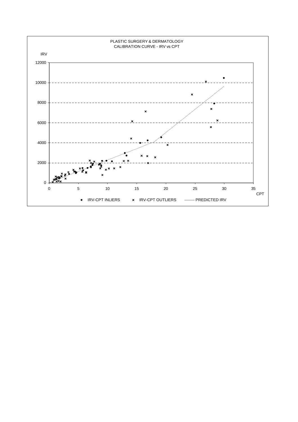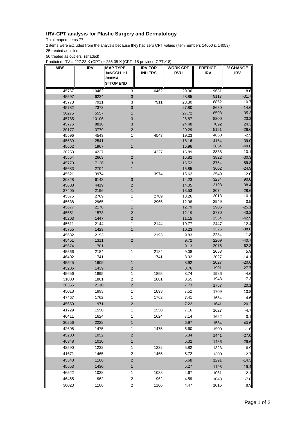## **IRV-CPT analysis for Plastic Surgery and Dermatology**

Total maped Items 77

2 items were excluded from the analysis because they had zero CPT values (item numbers 14050 & 14053) 25 treated as inliers

50 treated as outliers (shaded)

Predicted IRV = 227.23 X (CPT) + 236.05 X (CPT- 18 provided CPT>18)

| <b>MBS</b>     | IRV          | <b>MAP TYPE</b>           | <b>IRV FOR</b> | <b>WORK CPT</b> | PREDICT.     | % CHANGE          |
|----------------|--------------|---------------------------|----------------|-----------------|--------------|-------------------|
|                |              | 1=NCCH 1:1<br>2=AMA       | <b>INLIERS</b> | <b>RVU</b>      | <b>IRV</b>   | <b>IRV</b>        |
|                |              | <b>3=TOP END</b>          |                |                 |              |                   |
| 45767          | 10462        | 3                         | 10462          | 29.96           | 9631         | 8.6               |
| 45597          | 6224         | 3                         |                | 28.85           | 9117         | $-31.7$           |
| 45773          | 7911         | 3                         | 7911           | 28.30           | 8862         | $-10.7$           |
| 45782          | 7373         | $\ensuremath{\mathsf{3}}$ |                | 27.80           | 8630         | $-14.6$           |
| 30275          | 5557         | 1                         |                | 27.72           | 8593         | $-35.3$           |
| 45785          | 10106        | 3                         |                | 26.87           | 8200         | 23.3              |
| 45776          | 8818         | 3                         |                | 24.48           | 7092         | 24.3              |
| 30177          | 3779         | $\overline{2}$            |                | 20.29           | 5151         | $-26.6$           |
| 45596          | 4543         | 1                         | 4543           | 19.23           | 4660         | $-2.5$            |
| 45539          | 2541         | $\mathbf{1}$              |                | 18.16           | 4164         | $-39.0$           |
| 45662          | 1967         | 1                         |                | 16.96           | 3854         | $-49.0$           |
| 30253          | 4227         | 1                         | 4227           | 16.89           | 3838         | 10.1              |
| 45554          | 2663         | $\mathbf 2$               |                | 16.82           | 3822         | $-30.3$           |
| 45770          | 7126         | 3                         |                | 16.52           | 3754         | 89.8              |
| 45683          | 2704         | 1                         |                | 15.85           | 3602         | $-24.9$           |
| 45521          | 3974         | 1                         | 3974           | 15.62           | 3549         | 12.0              |
| 30328          | 6143         | $\ensuremath{\mathsf{3}}$ |                | 14.23           | 3234         | 90.0              |
| 45608          | 4419         | 2                         |                | 14.05           | 3193         | 38.4              |
| 37405          | 2196         | 1                         |                | 13.53           | 3074         | $-28.6$           |
| 45575          | 2709         | 1                         | 2709           | 13.26           | 3013         | $-10.1$           |
| 45638          | 2965         | 1                         | 2965           | 12.98           | 2949         | 0.5               |
| 45677          | 2178         | 1                         |                | 12.79           | 2906         | $-25.1$           |
| 45551          | 1573         | $\overline{2}$            |                | 12.19           | 2770         | $-43.2$           |
| 45203          | 1447         | $\overline{2}$            |                | 11.15           | 2534         | $-42.9$           |
| 45611          | 2144         | 1                         | 2144           | 10.77           | 2447         | $-12.4$           |
| 45755          | 1423         | $\mathbf{1}$              |                | 10.23           | 2325<br>2234 | $-38.8$<br>$-1.8$ |
| 45632<br>45451 | 2193<br>1311 | 1<br>2                    | 2193           | 9.83<br>9.72    | 2209         | $-40.7$           |
| 45674          | 781          | 1                         |                | 9.13            | 2075         | $-62.3$           |
| 45566          | 2184         | 1                         | 2184           | 9.08            | 2063         | 5.9               |
| 46402          | 1741         | 1                         | 1741           | 8.92            | 2027         | $-14.1$           |
| 45545          | 1609         | $\mathbf{1}$              |                | 8.92            | 2027         | $-20.6$           |
| 45206          | 1439         | $\overline{2}$            |                | 8.76            | 1991         | $-27.7$           |
| 45656          | 1895         | 1                         | 1895           | 8.74            | 1986         | -4.6              |
| 31000          | 1801         | $\overline{c}$            | 1801           | 8.55            | 1943         | $-7.3$            |
| 30356          | 2110         | $\mathbf 2$               |                | 7.73            | 1757         | 20.1              |
| 45018          | 1893         | 1                         | 1893           | 7.52            | 1709         |                   |
|                |              |                           | 1762           |                 |              | 10.8              |
| 47467          | 1762         | 1                         |                | 7.41            | 1684         | 4.6               |
| 45659          | 1971         | $\mathbf 2$               |                | 7.22            | 1641         | 20.2              |
| 41729          | 1550         | 1                         | 1550           | 7.16            | 1627         | $-4.7$            |
| 46411          | 1624         | 1                         | 1624           | 7.14            | 1622         | 0.1               |
| 30256          | 2228         | $\mathbf{1}$              |                | 6.97            | 1584         | 40.6              |
| 42605          | 1475         | 1                         | 1475           | 6.60            | 1500         | $-1.6$            |
| 45200          | 1052         | $\mathbf 2$               |                | 6.34            | 1441         | $-27.0$           |
| 46348          | 1010         | $\mathbf{1}$              |                | 6.32            | 1436         | $-29.6$           |
| 42590          | 1232         | 1                         | 1232           | 5.82            | 1323         | $-6.9$            |
| 41671          | 1465         | $\overline{c}$            | 1465           | 5.72            | 1300         | 12.7              |
|                |              |                           |                |                 |              |                   |
| 45548          | 1106         | $\sqrt{2}$                |                | 5.68            | 1291         | $-14.3$           |
| 45653          | 1430         | $\mathbf{1}$              |                | 5.27            | 1198         | 19.4              |
| 46522          | 1038         | 1                         | 1038           | 4.67            | 1061         | $-2.1$            |
| 46465          | 962          | $\overline{\mathbf{c}}$   | 962            | 4.59            | 1043         | $-7.8$            |
| 30023          | 1106         | $\overline{\mathbf{c}}$   | 1106           | 4.47            | 1016         | 8.9               |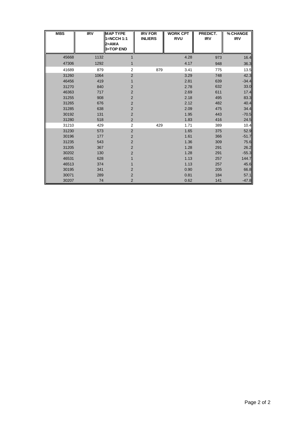| <b>MBS</b> | <b>IRV</b> | <b>MAP TYPE</b><br>1=NCCH 1:1<br>$2=AMA$<br>3=TOP END | <b>IRV FOR</b><br><b>INLIERS</b> | <b>WORK CPT</b><br><b>RVU</b> | PREDICT.<br><b>IRV</b> | % CHANGE<br><b>IRV</b> |
|------------|------------|-------------------------------------------------------|----------------------------------|-------------------------------|------------------------|------------------------|
| 45668      | 1132       | 1                                                     |                                  | 4.28                          | 973                    | 16.4                   |
| 47306      | 1292       | 1                                                     |                                  | 4.17                          | 948                    | 36.3                   |
| 41689      | 879        | 2                                                     |                                  | 3.41                          |                        |                        |
|            |            |                                                       | 879                              |                               | 775                    | 13.5                   |
| 31260      | 1064       | $\overline{2}$                                        |                                  | 3.29                          | 748                    | 42.3                   |
| 46456      | 419        |                                                       |                                  | 2.81                          | 639                    | $-34.4$                |
| 31270      | 840        | 2                                                     |                                  | 2.78                          | 632                    | 33.0                   |
| 46363      | 717        | $\overline{2}$                                        |                                  | 2.69                          | 611                    | 17.4                   |
| 31255      | 908        | $\overline{2}$                                        |                                  | 2.18                          | 495                    | 83.3                   |
| 31265      | 676        | 2                                                     |                                  | 2.12                          | 482                    | 40.4                   |
| 31285      | 638        | $\overline{2}$                                        |                                  | 2.09                          | 475                    | 34.4                   |
| 30192      | 131        | $\overline{2}$                                        |                                  | 1.95                          | 443                    | $-70.5$                |
| 31280      | 518        | 2                                                     |                                  | 1.83                          | 416                    | 24.5                   |
| 31210      | 429        | $\overline{2}$                                        | 429                              | 1.71                          | 389                    | 10.4                   |
| 31230      | 573        | $\overline{2}$                                        |                                  | 1.65                          | 375                    | 52.9                   |
| 30196      | 177        | $\overline{2}$                                        |                                  | 1.61                          | 366                    | $-51.7$                |
| 31235      | 543        | $\overline{2}$                                        |                                  | 1.36                          | 309                    | 75.6                   |
| 31205      | 367        | $\overline{2}$                                        |                                  | 1.28                          | 291                    | 26.2                   |
| 30202      | 130        | 2                                                     |                                  | 1.28                          | 291                    | $-55.3$                |
| 46531      | 628        |                                                       |                                  | 1.13                          | 257                    | 144.7                  |
| 46513      | 374        |                                                       |                                  | 1.13                          | 257                    | 45.6                   |
| 30195      | 341        | 2                                                     |                                  | 0.90                          | 205                    | 66.8                   |
| 30071      | 289        | 2                                                     |                                  | 0.81                          | 184                    | 57.1                   |
| 30207      | 74         | $\overline{2}$                                        |                                  | 0.62                          | 141                    | $-47.8$                |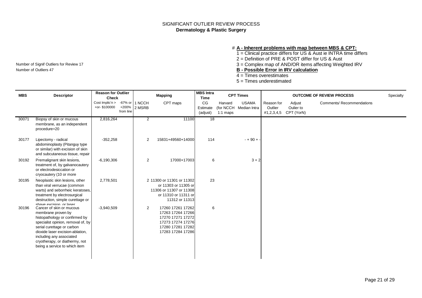## SIGNIFICANT OUTLIER REVIEW PROCESS **Dermatology & Plastic Surgery**

#### # **A - Inherent problems with map between MBS & CPT:**

1 = Clinical practice differs for US & Aust ie INTRA time differs

2 = Definition of PRE & POST differ for US & Aust

Number of Signif Outliers for Review 17 **3** = Complex map of AND/OR items affecting Weighted IRV<br> **B** - **Possible Error in IRV calculation**<br> **B** - **Possible Error in IRV calculation** 

Number of Outliers 47 **B - Possible Error in IRV calculation**

4 = Times overestimates

5 = Times underestimated

| <b>MBS</b> | <b>Descriptor</b>                                                                                                                                                                                                                                                                       | <b>Reason for Outlier</b><br><b>Check</b> |                    |                            | <b>Mapping</b>                                                                                                             | <b>MBS Intra</b><br>Time   |                       | <b>CPT Times</b>                       |                                     |                                   | <b>OUTCOME OF REVIEW PROCESS</b> | Specialty |
|------------|-----------------------------------------------------------------------------------------------------------------------------------------------------------------------------------------------------------------------------------------------------------------------------------------|-------------------------------------------|--------------------|----------------------------|----------------------------------------------------------------------------------------------------------------------------|----------------------------|-----------------------|----------------------------------------|-------------------------------------|-----------------------------------|----------------------------------|-----------|
|            |                                                                                                                                                                                                                                                                                         | Cost Implic'n ><br>+or-\$100000           | +200%<br>from line | -67% or   1 NCCH<br>2 MSRB | CPT maps                                                                                                                   | CG<br>Estimate<br>(adjust) | Harvard<br>$1:1$ maps | <b>USAMA</b><br>(for NCCH Median Intra | Reason for<br>Outlier<br>#1,2,3,4,5 | Adjust<br>Oulier to<br>CPT (YorN) | <b>Comments/ Recommendations</b> |           |
| 30071      | Biopsy of skin or mucous<br>membrane, as an independent<br>procedure=20                                                                                                                                                                                                                 | 2,816,264                                 |                    | $\overline{2}$             | 11100                                                                                                                      | 18                         |                       |                                        |                                     |                                   |                                  |           |
| 30177      | Lipectomy - radical<br>abdominoplasty (Pitanguy type<br>or similar) with excision of skin<br>and subcutaneous tissue, repair                                                                                                                                                            | $-352,258$                                |                    | 2                          | 15831+49560+14000                                                                                                          | 114                        |                       | $- + 90 + 9$                           |                                     |                                   |                                  |           |
| 30192      | Premalignant skin lesions,<br>treatment of, by galvanocautery<br>or electrodesiccation or<br>cryocautery (10 or more                                                                                                                                                                    | $-6,190,306$                              |                    | 2                          | 17000+17003                                                                                                                | 6                          |                       | $3 + 2$                                |                                     |                                   |                                  |           |
| 30195      | Neoplastic skin lesions, other<br>than viral verrucae (common<br>warts) and seborrheic keratoses,<br>treatment by electrosurgical<br>destruction, simple curettage or<br>shave excision or laser                                                                                        | 2,778,501                                 |                    |                            | 2 11300 or 11301 or 11302<br>or 11303 or 11305 or<br>11306 or 11307 or 11308<br>or 11310 or 11311 or<br>11312 or 11313     | 23                         |                       |                                        |                                     |                                   |                                  |           |
| 30196      | Cancer of skin or mucous<br>membrane proven by<br>histopathology or confirmed by<br>specialist opinion, removal of, by<br>serial curettage or carbon<br>dioxide laser excision-ablation,<br>including any associated<br>cryotherapy, or diathermy, not<br>being a service to which item | $-3,940,509$                              |                    | $\overline{2}$             | 17260 17261 17262<br>17263 17264 17266<br>17270 17271 17272<br>17273 17274 17276<br>17280 17281 17282<br>17283 17284 17286 | 6                          |                       |                                        |                                     |                                   |                                  |           |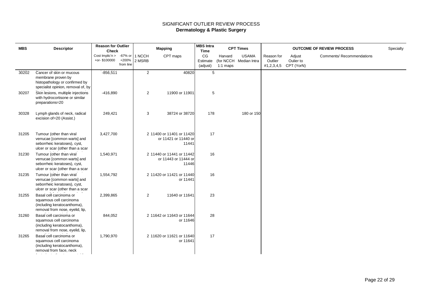## SIGNIFICANT OUTLIER REVIEW PROCESS **Dermatology & Plastic Surgery**

| <b>MBS</b> | <b>Descriptor</b>                                                                                                           | <b>Reason for Outlier</b><br><b>Check</b> |                    |                  | <b>Mapping</b>                                             | <b>MBS Intra</b><br>Time   |                       | <b>CPT Times</b>                       |                       |                                              | <b>OUTCOME OF REVIEW PROCESS</b> | Specialty |
|------------|-----------------------------------------------------------------------------------------------------------------------------|-------------------------------------------|--------------------|------------------|------------------------------------------------------------|----------------------------|-----------------------|----------------------------------------|-----------------------|----------------------------------------------|----------------------------------|-----------|
|            |                                                                                                                             | Cost Implic'n $>$ -67% or<br>+or-\$100000 | +200%<br>from line | 1 NCCH<br>2 MSRB | CPT maps                                                   | CG<br>Estimate<br>(adjust) | Harvard<br>$1:1$ maps | <b>USAMA</b><br>(for NCCH Median Intra | Reason for<br>Outlier | Adjust<br>Oulier to<br>#1,2,3,4,5 CPT (YorN) | <b>Comments/ Recommendations</b> |           |
| 30202      | Cancer of skin or mucous<br>membrane proven by<br>histopathology or confirmed by<br>specialist opinion, removal of, by      | $-856,511$                                |                    | 2                | 40820                                                      | 5                          |                       |                                        |                       |                                              |                                  |           |
| 30207      | Skin lesions, multiple injections<br>with hydrocortisone or similar<br>preparations=20                                      | $-416,890$                                |                    | 2                | 11900 or 11901                                             | 5                          |                       |                                        |                       |                                              |                                  |           |
| 30328      | Lymph glands of neck, radical<br>excision of=20 (Assist.)                                                                   | 249,421                                   |                    | 3                | 38724 or 38720                                             | 178                        |                       | 180 or 150                             |                       |                                              |                                  |           |
| 31205      | Tumour (other than viral<br>verrucae [common warts] and<br>seborrheic keratoses), cyst,<br>ulcer or scar (other than a scar | 3,427,700                                 |                    |                  | 2 11400 or 11401 or 11420<br>or 11421 or 11440 or<br>11441 | 17                         |                       |                                        |                       |                                              |                                  |           |
| 31230      | Tumour (other than viral<br>verrucae [common warts] and<br>seborrheic keratoses), cyst,<br>ulcer or scar (other than a scar | 1,540,971                                 |                    |                  | 2 11440 or 11441 or 11442<br>or 11443 or 11444 or<br>11446 | 16                         |                       |                                        |                       |                                              |                                  |           |
| 31235      | Tumour (other than viral<br>verrucae [common warts] and<br>seborrheic keratoses), cyst,<br>ulcer or scar (other than a scar | 1,554,792                                 |                    |                  | 2 11420 or 11421 or 11440<br>or 11441                      | 16                         |                       |                                        |                       |                                              |                                  |           |
| 31255      | Basal cell carcinoma or<br>squamous cell carcinoma<br>(including keratocanthoma),<br>removal from nose, eyelid, lip,        | 2,399,865                                 |                    | 2                | 11640 or 11641                                             | 23                         |                       |                                        |                       |                                              |                                  |           |
| 31260      | Basal cell carcinoma or<br>squamous cell carcinoma<br>(including keratocanthoma),<br>removal from nose, eyelid, lip,        | 844,052                                   |                    |                  | 2 11642 or 11643 or 11644<br>or 11646                      | 28                         |                       |                                        |                       |                                              |                                  |           |
| 31265      | Basal cell carcinoma or<br>squamous cell carcinoma<br>(including keratocanthoma),<br>removal from face, neck                | 1,790,970                                 |                    |                  | 2 11620 or 11621 or 11640<br>or 11641                      | 17                         |                       |                                        |                       |                                              |                                  |           |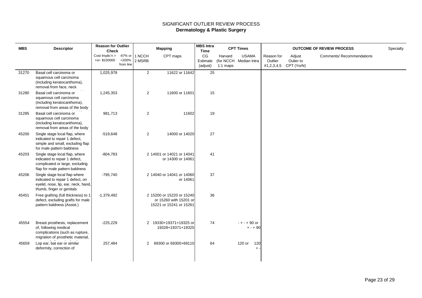## SIGNIFICANT OUTLIER REVIEW PROCESS **Dermatology & Plastic Surgery**

| <b>MBS</b> | <b>Descriptor</b>                                                                                                                     | <b>Reason for Outlier</b><br><b>Check</b>         |                    |                | <b>Mapping</b>                                                                 | <b>MBS Intra</b><br><b>Time</b> |                       | <b>CPT Times</b>                       |                                     |                                   | <b>OUTCOME OF REVIEW PROCESS</b> | Specialty |
|------------|---------------------------------------------------------------------------------------------------------------------------------------|---------------------------------------------------|--------------------|----------------|--------------------------------------------------------------------------------|---------------------------------|-----------------------|----------------------------------------|-------------------------------------|-----------------------------------|----------------------------------|-----------|
|            |                                                                                                                                       | Cost Implic'n $> -67\%$ or 1 NCCH<br>+or-\$100000 | +200%<br>from line | 2 MSRB         | CPT maps                                                                       | CG<br>Estimate<br>(adjust)      | Harvard<br>$1:1$ maps | <b>USAMA</b><br>(for NCCH Median Intra | Reason for<br>Outlier<br>#1,2,3,4,5 | Adjust<br>Oulier to<br>CPT (YorN) | <b>Comments/ Recommendations</b> |           |
| 31270      | Basal cell carcinoma or<br>squamous cell carcinoma<br>(including keratocanthoma),<br>removal from face, neck                          | 1,025,978                                         |                    | $\overline{2}$ | 11622 or 11642                                                                 | 25                              |                       |                                        |                                     |                                   |                                  |           |
| 31280      | Basal cell carcinoma or<br>squamous cell carcinoma<br>(including keratocanthoma),<br>removal from areas of the body                   | 1,245,353                                         |                    | 2              | 11600 or 11601                                                                 | 15                              |                       |                                        |                                     |                                   |                                  |           |
| 31285      | Basal cell carcinoma or<br>squamous cell carcinoma<br>(including keratocanthoma),<br>removal from areas of the body                   | 981,713                                           |                    | $\overline{2}$ | 11602                                                                          | 19                              |                       |                                        |                                     |                                   |                                  |           |
| 45200      | Single stage local flap, where<br>indicated to repair 1 defect,<br>simple and small, excluding flap<br>for male pattern baldness      | $-519,648$                                        |                    | $\overline{2}$ | 14000 or 14020                                                                 | 27                              |                       |                                        |                                     |                                   |                                  |           |
| 45203      | Single stage local flap, where<br>indicated to repair 1 defect,<br>complicated or large, excluding<br>flap for male pattern baldness  | $-804,783$                                        |                    |                | 2 14001 or 14021 or 14041<br>or 14300 or 14061                                 | 41                              |                       |                                        |                                     |                                   |                                  |           |
| 45206      | Single stage local flap where<br>indicated to repair 1 defect, on<br>eyelid, nose, lip, ear, neck, hand,<br>thumb, finger or genitals | $-795,740$                                        |                    |                | 2 14040 or 14041 or 14060<br>or 14061                                          | 37                              |                       |                                        |                                     |                                   |                                  |           |
| 45451      | Free grafting (full thickness) to 1<br>defect, excluding grafts for male<br>pattern baldness (Assist.)                                | $-1,379,492$                                      |                    |                | 2 15200 or 15220 or 15240<br>or 15260 with 15201 or<br>15221 or 15241 or 15261 | 36                              |                       |                                        |                                     |                                   |                                  |           |
| 45554      | Breast prosthesis, replacement<br>of, following medical<br>complications (such as rupture,<br>migration of prosthetic material,       | $-225,229$                                        |                    |                | 2 19330+19371+19325 or<br>19328+19371+19325                                    | 74                              |                       | $- + - + 90$ or<br>$+ - + 90$          |                                     |                                   |                                  |           |
| 45659      | Lop ear, bat ear or similar<br>deformity, correction of                                                                               | 257,484                                           |                    | $\overline{2}$ | 69300 or 69300+69110                                                           | 64                              |                       | 120 or<br>120<br>$\ddot{}$             |                                     |                                   |                                  |           |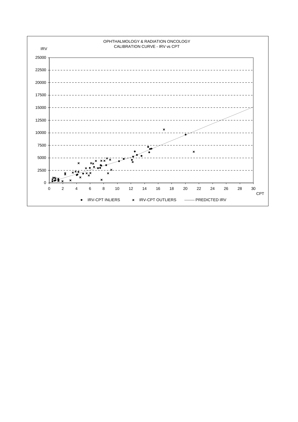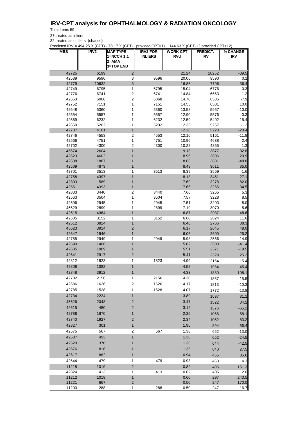## **IRV-CPT analysis for OPHTHALMOLOGY & RADIATION ONCOLOGY**

Total Items 59

27 treated as inliers

32 treated as outliers (shaded)

Predicted IRV = 494.25 X (CPT) - 78.17 X (CPT-1 provided CPT>1) + 144.63 X (CPT-12 provided CPT>12)

| <b>INLIERS</b><br><b>RVU</b><br>IRV<br><b>IRV</b><br>2=AMA<br><b>3=TOP END</b><br>42725<br>10252<br>6199<br>2<br>21.24<br>$-39.5$<br>42539<br>9596<br>9596<br>3<br>20.06<br>9590<br>0.1<br>3<br>42779<br>10632<br>16.86<br>7796<br>36.4<br>42749<br>6795<br>1<br>6795<br>15.04<br>6776<br>0.3<br>6741<br>$\sqrt{2}$<br>6741<br>42776<br>14.84<br>6663<br>1.2<br>42653<br>6068<br>2<br>6068<br>14.70<br>6585<br>$-7.9$<br>42752<br>7151<br>1<br>7151<br>14.55<br>6501<br>10.0<br>42548<br>5360<br>5360<br>13.58<br>5957<br>$-10.0$<br>1<br>42554<br>5557<br>5557<br>12.90<br>5576<br>$-0.3$<br>1<br>42569<br>6232<br>6232<br>12.59<br>5402<br>1<br>15.4<br>5202<br>42659<br>1<br>5202<br>12.35<br>5267<br>$-1.2$<br>42707<br>$\mathbf{1}$<br>12.28<br>$-20.4$<br>4161<br>5228<br>$\boldsymbol{2}$<br>42746<br>4553<br>4553<br>12.16<br>5161<br>$-11.8$<br>4751<br>1<br>42566<br>4751<br>10.96<br>4638<br>2.4<br>42702<br>2<br>4300<br>4300<br>10.28<br>4355<br>$-1.3$<br>45674<br>1<br>9.13<br>$-32.8$<br>2604<br>3877<br>8.96<br>20.9<br>42623<br>4602<br>3806<br>1<br>$-48.8$<br>42608<br>1887<br>8.66<br>3681<br>42509<br>8.49<br>35.0<br>4873<br>3611<br>1<br>3513<br>8.39<br>42701<br>3513<br>1<br>3569<br>$-1.6$<br>42758<br>1<br>8.13<br>27.1<br>4397<br>3461<br>42803<br>589<br>7.69<br>$-82.0$<br>3278<br>1<br>42551<br>4393<br>7.66<br>3265<br>34.5<br>1<br>42833<br>3440<br>2<br>3440<br>7.66<br>3265<br>5.3<br>1<br>8.5<br>42563<br>3504<br>3504<br>7.57<br>3228<br>42596<br>2945<br>1<br>2945<br>7.51<br>3203<br>$-8.0$<br>45629<br>2899<br>7.19<br>2899<br>3070<br>$-5.6$<br>1<br>42515<br>4364<br>1<br>6.87<br>2937<br>48.6<br>42605<br>3152<br>1<br>3152<br>6.60<br>2824<br>11.6<br>42512<br>3824<br>$\mathbf{1}$<br>6.46<br>2766<br>38.3<br>$\overline{c}$<br>6.17<br>45623<br>3914<br>2645<br>48.0<br>2600<br>42647<br>1946<br>1<br>6.06<br>$-25.2$<br>42755<br>2949<br>1<br>2949<br>5.98<br>2566<br>14.9<br>1<br>5.82<br>$-41.4$<br>42590<br>1466<br>2500<br>42635<br>1909<br>5.51<br>2371<br>$-19.5$<br>1<br>$\overline{c}$<br>5.41<br>42641<br>2917<br>2329<br>25.2<br>1<br>1823<br>42812<br>1823<br>4.99<br>2154<br>$-15.4$<br>1<br>42808<br>1082<br>4.58<br>1984<br>$-45.4$<br>42848<br>3912<br>4.33<br>1880<br>108.1<br>1<br>2156<br>4.30<br>42782<br>2156<br>15.5<br>1867<br>42686<br>1626<br>$\boldsymbol{2}$<br>1626<br>4.17<br>1813<br>$-10.3$<br>1528<br>1<br>1528<br>4.07<br>42785<br>$-13.8$<br>1772<br>42734<br>2224<br>$\mathbf{1}$<br>3.89<br>1697<br>31.1<br>45626<br>2043<br>$\overline{\mathbf{c}}$<br>3.47<br>1522<br>34.2<br>480<br>$\overline{c}$<br>42615<br>3.12<br>$-65.2$<br>1376<br>42788<br>1670<br>2.35<br>1<br>58.1<br>1056<br>42740<br>1927<br>$\overline{2}$<br>2.34<br>1052<br>83.2<br>42827<br>301<br>1.96<br>$\mathbf{1}$<br>894<br>$-66.4$<br>42575<br>567<br>$\sqrt{2}$<br>567<br>1.38<br>652<br>$-13.0$<br>1.38<br>42587<br>493<br>$\mathbf{1}$<br>652<br>$-24.5$<br>42620<br>370<br>1.36<br>644<br>$-42.5$<br>1<br>42676<br>816<br>1.35<br>640<br>27.5<br>1<br>42617<br>862<br>0.94<br>1<br>465<br>85.6<br>42644<br>479<br>1<br>479<br>0.93<br>460<br>4.3<br>11218<br>1019<br>$\overline{\mathbf{c}}$<br>0.82<br>405<br>151.3<br>42824<br>413<br>413<br>0.82<br>1<br>405<br>2.0<br>11212<br>1019<br>1<br>0.60<br>297<br>243.5<br>$\overline{\mathbf{c}}$<br>11221<br>667<br>0.50<br>247<br>170.0<br>247<br>16.7<br>11200<br>288<br>1<br>288<br>0.50 | <b>MBS</b> | IRV <sub>2</sub> | <b>MAP TYPE</b> | <b>IRV2 FOR</b> | <b>WORK CPT</b> | PREDICT. | % CHANGE |
|-------------------------------------------------------------------------------------------------------------------------------------------------------------------------------------------------------------------------------------------------------------------------------------------------------------------------------------------------------------------------------------------------------------------------------------------------------------------------------------------------------------------------------------------------------------------------------------------------------------------------------------------------------------------------------------------------------------------------------------------------------------------------------------------------------------------------------------------------------------------------------------------------------------------------------------------------------------------------------------------------------------------------------------------------------------------------------------------------------------------------------------------------------------------------------------------------------------------------------------------------------------------------------------------------------------------------------------------------------------------------------------------------------------------------------------------------------------------------------------------------------------------------------------------------------------------------------------------------------------------------------------------------------------------------------------------------------------------------------------------------------------------------------------------------------------------------------------------------------------------------------------------------------------------------------------------------------------------------------------------------------------------------------------------------------------------------------------------------------------------------------------------------------------------------------------------------------------------------------------------------------------------------------------------------------------------------------------------------------------------------------------------------------------------------------------------------------------------------------------------------------------------------------------------------------------------------------------------------------------------------------------------------------------------------------------------------------------------------------------------------------------------------------------------------------------------------------------------------------------------------------------------------------------------------------------------------------------------------------------------------------------------------------------------------------------------------------------------------------------------------------------------------------------------------------------------------------------------------------------------------------------------------------------------------------------------------------------------------------------------------------------------------------------|------------|------------------|-----------------|-----------------|-----------------|----------|----------|
|                                                                                                                                                                                                                                                                                                                                                                                                                                                                                                                                                                                                                                                                                                                                                                                                                                                                                                                                                                                                                                                                                                                                                                                                                                                                                                                                                                                                                                                                                                                                                                                                                                                                                                                                                                                                                                                                                                                                                                                                                                                                                                                                                                                                                                                                                                                                                                                                                                                                                                                                                                                                                                                                                                                                                                                                                                                                                                                                                                                                                                                                                                                                                                                                                                                                                                                                                                                                             |            |                  | 1=NCCH 1:1      |                 |                 |          |          |
|                                                                                                                                                                                                                                                                                                                                                                                                                                                                                                                                                                                                                                                                                                                                                                                                                                                                                                                                                                                                                                                                                                                                                                                                                                                                                                                                                                                                                                                                                                                                                                                                                                                                                                                                                                                                                                                                                                                                                                                                                                                                                                                                                                                                                                                                                                                                                                                                                                                                                                                                                                                                                                                                                                                                                                                                                                                                                                                                                                                                                                                                                                                                                                                                                                                                                                                                                                                                             |            |                  |                 |                 |                 |          |          |
|                                                                                                                                                                                                                                                                                                                                                                                                                                                                                                                                                                                                                                                                                                                                                                                                                                                                                                                                                                                                                                                                                                                                                                                                                                                                                                                                                                                                                                                                                                                                                                                                                                                                                                                                                                                                                                                                                                                                                                                                                                                                                                                                                                                                                                                                                                                                                                                                                                                                                                                                                                                                                                                                                                                                                                                                                                                                                                                                                                                                                                                                                                                                                                                                                                                                                                                                                                                                             |            |                  |                 |                 |                 |          |          |
|                                                                                                                                                                                                                                                                                                                                                                                                                                                                                                                                                                                                                                                                                                                                                                                                                                                                                                                                                                                                                                                                                                                                                                                                                                                                                                                                                                                                                                                                                                                                                                                                                                                                                                                                                                                                                                                                                                                                                                                                                                                                                                                                                                                                                                                                                                                                                                                                                                                                                                                                                                                                                                                                                                                                                                                                                                                                                                                                                                                                                                                                                                                                                                                                                                                                                                                                                                                                             |            |                  |                 |                 |                 |          |          |
|                                                                                                                                                                                                                                                                                                                                                                                                                                                                                                                                                                                                                                                                                                                                                                                                                                                                                                                                                                                                                                                                                                                                                                                                                                                                                                                                                                                                                                                                                                                                                                                                                                                                                                                                                                                                                                                                                                                                                                                                                                                                                                                                                                                                                                                                                                                                                                                                                                                                                                                                                                                                                                                                                                                                                                                                                                                                                                                                                                                                                                                                                                                                                                                                                                                                                                                                                                                                             |            |                  |                 |                 |                 |          |          |
|                                                                                                                                                                                                                                                                                                                                                                                                                                                                                                                                                                                                                                                                                                                                                                                                                                                                                                                                                                                                                                                                                                                                                                                                                                                                                                                                                                                                                                                                                                                                                                                                                                                                                                                                                                                                                                                                                                                                                                                                                                                                                                                                                                                                                                                                                                                                                                                                                                                                                                                                                                                                                                                                                                                                                                                                                                                                                                                                                                                                                                                                                                                                                                                                                                                                                                                                                                                                             |            |                  |                 |                 |                 |          |          |
|                                                                                                                                                                                                                                                                                                                                                                                                                                                                                                                                                                                                                                                                                                                                                                                                                                                                                                                                                                                                                                                                                                                                                                                                                                                                                                                                                                                                                                                                                                                                                                                                                                                                                                                                                                                                                                                                                                                                                                                                                                                                                                                                                                                                                                                                                                                                                                                                                                                                                                                                                                                                                                                                                                                                                                                                                                                                                                                                                                                                                                                                                                                                                                                                                                                                                                                                                                                                             |            |                  |                 |                 |                 |          |          |
|                                                                                                                                                                                                                                                                                                                                                                                                                                                                                                                                                                                                                                                                                                                                                                                                                                                                                                                                                                                                                                                                                                                                                                                                                                                                                                                                                                                                                                                                                                                                                                                                                                                                                                                                                                                                                                                                                                                                                                                                                                                                                                                                                                                                                                                                                                                                                                                                                                                                                                                                                                                                                                                                                                                                                                                                                                                                                                                                                                                                                                                                                                                                                                                                                                                                                                                                                                                                             |            |                  |                 |                 |                 |          |          |
|                                                                                                                                                                                                                                                                                                                                                                                                                                                                                                                                                                                                                                                                                                                                                                                                                                                                                                                                                                                                                                                                                                                                                                                                                                                                                                                                                                                                                                                                                                                                                                                                                                                                                                                                                                                                                                                                                                                                                                                                                                                                                                                                                                                                                                                                                                                                                                                                                                                                                                                                                                                                                                                                                                                                                                                                                                                                                                                                                                                                                                                                                                                                                                                                                                                                                                                                                                                                             |            |                  |                 |                 |                 |          |          |
|                                                                                                                                                                                                                                                                                                                                                                                                                                                                                                                                                                                                                                                                                                                                                                                                                                                                                                                                                                                                                                                                                                                                                                                                                                                                                                                                                                                                                                                                                                                                                                                                                                                                                                                                                                                                                                                                                                                                                                                                                                                                                                                                                                                                                                                                                                                                                                                                                                                                                                                                                                                                                                                                                                                                                                                                                                                                                                                                                                                                                                                                                                                                                                                                                                                                                                                                                                                                             |            |                  |                 |                 |                 |          |          |
|                                                                                                                                                                                                                                                                                                                                                                                                                                                                                                                                                                                                                                                                                                                                                                                                                                                                                                                                                                                                                                                                                                                                                                                                                                                                                                                                                                                                                                                                                                                                                                                                                                                                                                                                                                                                                                                                                                                                                                                                                                                                                                                                                                                                                                                                                                                                                                                                                                                                                                                                                                                                                                                                                                                                                                                                                                                                                                                                                                                                                                                                                                                                                                                                                                                                                                                                                                                                             |            |                  |                 |                 |                 |          |          |
|                                                                                                                                                                                                                                                                                                                                                                                                                                                                                                                                                                                                                                                                                                                                                                                                                                                                                                                                                                                                                                                                                                                                                                                                                                                                                                                                                                                                                                                                                                                                                                                                                                                                                                                                                                                                                                                                                                                                                                                                                                                                                                                                                                                                                                                                                                                                                                                                                                                                                                                                                                                                                                                                                                                                                                                                                                                                                                                                                                                                                                                                                                                                                                                                                                                                                                                                                                                                             |            |                  |                 |                 |                 |          |          |
|                                                                                                                                                                                                                                                                                                                                                                                                                                                                                                                                                                                                                                                                                                                                                                                                                                                                                                                                                                                                                                                                                                                                                                                                                                                                                                                                                                                                                                                                                                                                                                                                                                                                                                                                                                                                                                                                                                                                                                                                                                                                                                                                                                                                                                                                                                                                                                                                                                                                                                                                                                                                                                                                                                                                                                                                                                                                                                                                                                                                                                                                                                                                                                                                                                                                                                                                                                                                             |            |                  |                 |                 |                 |          |          |
|                                                                                                                                                                                                                                                                                                                                                                                                                                                                                                                                                                                                                                                                                                                                                                                                                                                                                                                                                                                                                                                                                                                                                                                                                                                                                                                                                                                                                                                                                                                                                                                                                                                                                                                                                                                                                                                                                                                                                                                                                                                                                                                                                                                                                                                                                                                                                                                                                                                                                                                                                                                                                                                                                                                                                                                                                                                                                                                                                                                                                                                                                                                                                                                                                                                                                                                                                                                                             |            |                  |                 |                 |                 |          |          |
|                                                                                                                                                                                                                                                                                                                                                                                                                                                                                                                                                                                                                                                                                                                                                                                                                                                                                                                                                                                                                                                                                                                                                                                                                                                                                                                                                                                                                                                                                                                                                                                                                                                                                                                                                                                                                                                                                                                                                                                                                                                                                                                                                                                                                                                                                                                                                                                                                                                                                                                                                                                                                                                                                                                                                                                                                                                                                                                                                                                                                                                                                                                                                                                                                                                                                                                                                                                                             |            |                  |                 |                 |                 |          |          |
|                                                                                                                                                                                                                                                                                                                                                                                                                                                                                                                                                                                                                                                                                                                                                                                                                                                                                                                                                                                                                                                                                                                                                                                                                                                                                                                                                                                                                                                                                                                                                                                                                                                                                                                                                                                                                                                                                                                                                                                                                                                                                                                                                                                                                                                                                                                                                                                                                                                                                                                                                                                                                                                                                                                                                                                                                                                                                                                                                                                                                                                                                                                                                                                                                                                                                                                                                                                                             |            |                  |                 |                 |                 |          |          |
|                                                                                                                                                                                                                                                                                                                                                                                                                                                                                                                                                                                                                                                                                                                                                                                                                                                                                                                                                                                                                                                                                                                                                                                                                                                                                                                                                                                                                                                                                                                                                                                                                                                                                                                                                                                                                                                                                                                                                                                                                                                                                                                                                                                                                                                                                                                                                                                                                                                                                                                                                                                                                                                                                                                                                                                                                                                                                                                                                                                                                                                                                                                                                                                                                                                                                                                                                                                                             |            |                  |                 |                 |                 |          |          |
|                                                                                                                                                                                                                                                                                                                                                                                                                                                                                                                                                                                                                                                                                                                                                                                                                                                                                                                                                                                                                                                                                                                                                                                                                                                                                                                                                                                                                                                                                                                                                                                                                                                                                                                                                                                                                                                                                                                                                                                                                                                                                                                                                                                                                                                                                                                                                                                                                                                                                                                                                                                                                                                                                                                                                                                                                                                                                                                                                                                                                                                                                                                                                                                                                                                                                                                                                                                                             |            |                  |                 |                 |                 |          |          |
|                                                                                                                                                                                                                                                                                                                                                                                                                                                                                                                                                                                                                                                                                                                                                                                                                                                                                                                                                                                                                                                                                                                                                                                                                                                                                                                                                                                                                                                                                                                                                                                                                                                                                                                                                                                                                                                                                                                                                                                                                                                                                                                                                                                                                                                                                                                                                                                                                                                                                                                                                                                                                                                                                                                                                                                                                                                                                                                                                                                                                                                                                                                                                                                                                                                                                                                                                                                                             |            |                  |                 |                 |                 |          |          |
|                                                                                                                                                                                                                                                                                                                                                                                                                                                                                                                                                                                                                                                                                                                                                                                                                                                                                                                                                                                                                                                                                                                                                                                                                                                                                                                                                                                                                                                                                                                                                                                                                                                                                                                                                                                                                                                                                                                                                                                                                                                                                                                                                                                                                                                                                                                                                                                                                                                                                                                                                                                                                                                                                                                                                                                                                                                                                                                                                                                                                                                                                                                                                                                                                                                                                                                                                                                                             |            |                  |                 |                 |                 |          |          |
|                                                                                                                                                                                                                                                                                                                                                                                                                                                                                                                                                                                                                                                                                                                                                                                                                                                                                                                                                                                                                                                                                                                                                                                                                                                                                                                                                                                                                                                                                                                                                                                                                                                                                                                                                                                                                                                                                                                                                                                                                                                                                                                                                                                                                                                                                                                                                                                                                                                                                                                                                                                                                                                                                                                                                                                                                                                                                                                                                                                                                                                                                                                                                                                                                                                                                                                                                                                                             |            |                  |                 |                 |                 |          |          |
|                                                                                                                                                                                                                                                                                                                                                                                                                                                                                                                                                                                                                                                                                                                                                                                                                                                                                                                                                                                                                                                                                                                                                                                                                                                                                                                                                                                                                                                                                                                                                                                                                                                                                                                                                                                                                                                                                                                                                                                                                                                                                                                                                                                                                                                                                                                                                                                                                                                                                                                                                                                                                                                                                                                                                                                                                                                                                                                                                                                                                                                                                                                                                                                                                                                                                                                                                                                                             |            |                  |                 |                 |                 |          |          |
|                                                                                                                                                                                                                                                                                                                                                                                                                                                                                                                                                                                                                                                                                                                                                                                                                                                                                                                                                                                                                                                                                                                                                                                                                                                                                                                                                                                                                                                                                                                                                                                                                                                                                                                                                                                                                                                                                                                                                                                                                                                                                                                                                                                                                                                                                                                                                                                                                                                                                                                                                                                                                                                                                                                                                                                                                                                                                                                                                                                                                                                                                                                                                                                                                                                                                                                                                                                                             |            |                  |                 |                 |                 |          |          |
|                                                                                                                                                                                                                                                                                                                                                                                                                                                                                                                                                                                                                                                                                                                                                                                                                                                                                                                                                                                                                                                                                                                                                                                                                                                                                                                                                                                                                                                                                                                                                                                                                                                                                                                                                                                                                                                                                                                                                                                                                                                                                                                                                                                                                                                                                                                                                                                                                                                                                                                                                                                                                                                                                                                                                                                                                                                                                                                                                                                                                                                                                                                                                                                                                                                                                                                                                                                                             |            |                  |                 |                 |                 |          |          |
|                                                                                                                                                                                                                                                                                                                                                                                                                                                                                                                                                                                                                                                                                                                                                                                                                                                                                                                                                                                                                                                                                                                                                                                                                                                                                                                                                                                                                                                                                                                                                                                                                                                                                                                                                                                                                                                                                                                                                                                                                                                                                                                                                                                                                                                                                                                                                                                                                                                                                                                                                                                                                                                                                                                                                                                                                                                                                                                                                                                                                                                                                                                                                                                                                                                                                                                                                                                                             |            |                  |                 |                 |                 |          |          |
|                                                                                                                                                                                                                                                                                                                                                                                                                                                                                                                                                                                                                                                                                                                                                                                                                                                                                                                                                                                                                                                                                                                                                                                                                                                                                                                                                                                                                                                                                                                                                                                                                                                                                                                                                                                                                                                                                                                                                                                                                                                                                                                                                                                                                                                                                                                                                                                                                                                                                                                                                                                                                                                                                                                                                                                                                                                                                                                                                                                                                                                                                                                                                                                                                                                                                                                                                                                                             |            |                  |                 |                 |                 |          |          |
|                                                                                                                                                                                                                                                                                                                                                                                                                                                                                                                                                                                                                                                                                                                                                                                                                                                                                                                                                                                                                                                                                                                                                                                                                                                                                                                                                                                                                                                                                                                                                                                                                                                                                                                                                                                                                                                                                                                                                                                                                                                                                                                                                                                                                                                                                                                                                                                                                                                                                                                                                                                                                                                                                                                                                                                                                                                                                                                                                                                                                                                                                                                                                                                                                                                                                                                                                                                                             |            |                  |                 |                 |                 |          |          |
|                                                                                                                                                                                                                                                                                                                                                                                                                                                                                                                                                                                                                                                                                                                                                                                                                                                                                                                                                                                                                                                                                                                                                                                                                                                                                                                                                                                                                                                                                                                                                                                                                                                                                                                                                                                                                                                                                                                                                                                                                                                                                                                                                                                                                                                                                                                                                                                                                                                                                                                                                                                                                                                                                                                                                                                                                                                                                                                                                                                                                                                                                                                                                                                                                                                                                                                                                                                                             |            |                  |                 |                 |                 |          |          |
|                                                                                                                                                                                                                                                                                                                                                                                                                                                                                                                                                                                                                                                                                                                                                                                                                                                                                                                                                                                                                                                                                                                                                                                                                                                                                                                                                                                                                                                                                                                                                                                                                                                                                                                                                                                                                                                                                                                                                                                                                                                                                                                                                                                                                                                                                                                                                                                                                                                                                                                                                                                                                                                                                                                                                                                                                                                                                                                                                                                                                                                                                                                                                                                                                                                                                                                                                                                                             |            |                  |                 |                 |                 |          |          |
|                                                                                                                                                                                                                                                                                                                                                                                                                                                                                                                                                                                                                                                                                                                                                                                                                                                                                                                                                                                                                                                                                                                                                                                                                                                                                                                                                                                                                                                                                                                                                                                                                                                                                                                                                                                                                                                                                                                                                                                                                                                                                                                                                                                                                                                                                                                                                                                                                                                                                                                                                                                                                                                                                                                                                                                                                                                                                                                                                                                                                                                                                                                                                                                                                                                                                                                                                                                                             |            |                  |                 |                 |                 |          |          |
|                                                                                                                                                                                                                                                                                                                                                                                                                                                                                                                                                                                                                                                                                                                                                                                                                                                                                                                                                                                                                                                                                                                                                                                                                                                                                                                                                                                                                                                                                                                                                                                                                                                                                                                                                                                                                                                                                                                                                                                                                                                                                                                                                                                                                                                                                                                                                                                                                                                                                                                                                                                                                                                                                                                                                                                                                                                                                                                                                                                                                                                                                                                                                                                                                                                                                                                                                                                                             |            |                  |                 |                 |                 |          |          |
|                                                                                                                                                                                                                                                                                                                                                                                                                                                                                                                                                                                                                                                                                                                                                                                                                                                                                                                                                                                                                                                                                                                                                                                                                                                                                                                                                                                                                                                                                                                                                                                                                                                                                                                                                                                                                                                                                                                                                                                                                                                                                                                                                                                                                                                                                                                                                                                                                                                                                                                                                                                                                                                                                                                                                                                                                                                                                                                                                                                                                                                                                                                                                                                                                                                                                                                                                                                                             |            |                  |                 |                 |                 |          |          |
|                                                                                                                                                                                                                                                                                                                                                                                                                                                                                                                                                                                                                                                                                                                                                                                                                                                                                                                                                                                                                                                                                                                                                                                                                                                                                                                                                                                                                                                                                                                                                                                                                                                                                                                                                                                                                                                                                                                                                                                                                                                                                                                                                                                                                                                                                                                                                                                                                                                                                                                                                                                                                                                                                                                                                                                                                                                                                                                                                                                                                                                                                                                                                                                                                                                                                                                                                                                                             |            |                  |                 |                 |                 |          |          |
|                                                                                                                                                                                                                                                                                                                                                                                                                                                                                                                                                                                                                                                                                                                                                                                                                                                                                                                                                                                                                                                                                                                                                                                                                                                                                                                                                                                                                                                                                                                                                                                                                                                                                                                                                                                                                                                                                                                                                                                                                                                                                                                                                                                                                                                                                                                                                                                                                                                                                                                                                                                                                                                                                                                                                                                                                                                                                                                                                                                                                                                                                                                                                                                                                                                                                                                                                                                                             |            |                  |                 |                 |                 |          |          |
|                                                                                                                                                                                                                                                                                                                                                                                                                                                                                                                                                                                                                                                                                                                                                                                                                                                                                                                                                                                                                                                                                                                                                                                                                                                                                                                                                                                                                                                                                                                                                                                                                                                                                                                                                                                                                                                                                                                                                                                                                                                                                                                                                                                                                                                                                                                                                                                                                                                                                                                                                                                                                                                                                                                                                                                                                                                                                                                                                                                                                                                                                                                                                                                                                                                                                                                                                                                                             |            |                  |                 |                 |                 |          |          |
|                                                                                                                                                                                                                                                                                                                                                                                                                                                                                                                                                                                                                                                                                                                                                                                                                                                                                                                                                                                                                                                                                                                                                                                                                                                                                                                                                                                                                                                                                                                                                                                                                                                                                                                                                                                                                                                                                                                                                                                                                                                                                                                                                                                                                                                                                                                                                                                                                                                                                                                                                                                                                                                                                                                                                                                                                                                                                                                                                                                                                                                                                                                                                                                                                                                                                                                                                                                                             |            |                  |                 |                 |                 |          |          |
|                                                                                                                                                                                                                                                                                                                                                                                                                                                                                                                                                                                                                                                                                                                                                                                                                                                                                                                                                                                                                                                                                                                                                                                                                                                                                                                                                                                                                                                                                                                                                                                                                                                                                                                                                                                                                                                                                                                                                                                                                                                                                                                                                                                                                                                                                                                                                                                                                                                                                                                                                                                                                                                                                                                                                                                                                                                                                                                                                                                                                                                                                                                                                                                                                                                                                                                                                                                                             |            |                  |                 |                 |                 |          |          |
|                                                                                                                                                                                                                                                                                                                                                                                                                                                                                                                                                                                                                                                                                                                                                                                                                                                                                                                                                                                                                                                                                                                                                                                                                                                                                                                                                                                                                                                                                                                                                                                                                                                                                                                                                                                                                                                                                                                                                                                                                                                                                                                                                                                                                                                                                                                                                                                                                                                                                                                                                                                                                                                                                                                                                                                                                                                                                                                                                                                                                                                                                                                                                                                                                                                                                                                                                                                                             |            |                  |                 |                 |                 |          |          |
|                                                                                                                                                                                                                                                                                                                                                                                                                                                                                                                                                                                                                                                                                                                                                                                                                                                                                                                                                                                                                                                                                                                                                                                                                                                                                                                                                                                                                                                                                                                                                                                                                                                                                                                                                                                                                                                                                                                                                                                                                                                                                                                                                                                                                                                                                                                                                                                                                                                                                                                                                                                                                                                                                                                                                                                                                                                                                                                                                                                                                                                                                                                                                                                                                                                                                                                                                                                                             |            |                  |                 |                 |                 |          |          |
|                                                                                                                                                                                                                                                                                                                                                                                                                                                                                                                                                                                                                                                                                                                                                                                                                                                                                                                                                                                                                                                                                                                                                                                                                                                                                                                                                                                                                                                                                                                                                                                                                                                                                                                                                                                                                                                                                                                                                                                                                                                                                                                                                                                                                                                                                                                                                                                                                                                                                                                                                                                                                                                                                                                                                                                                                                                                                                                                                                                                                                                                                                                                                                                                                                                                                                                                                                                                             |            |                  |                 |                 |                 |          |          |
|                                                                                                                                                                                                                                                                                                                                                                                                                                                                                                                                                                                                                                                                                                                                                                                                                                                                                                                                                                                                                                                                                                                                                                                                                                                                                                                                                                                                                                                                                                                                                                                                                                                                                                                                                                                                                                                                                                                                                                                                                                                                                                                                                                                                                                                                                                                                                                                                                                                                                                                                                                                                                                                                                                                                                                                                                                                                                                                                                                                                                                                                                                                                                                                                                                                                                                                                                                                                             |            |                  |                 |                 |                 |          |          |
|                                                                                                                                                                                                                                                                                                                                                                                                                                                                                                                                                                                                                                                                                                                                                                                                                                                                                                                                                                                                                                                                                                                                                                                                                                                                                                                                                                                                                                                                                                                                                                                                                                                                                                                                                                                                                                                                                                                                                                                                                                                                                                                                                                                                                                                                                                                                                                                                                                                                                                                                                                                                                                                                                                                                                                                                                                                                                                                                                                                                                                                                                                                                                                                                                                                                                                                                                                                                             |            |                  |                 |                 |                 |          |          |
|                                                                                                                                                                                                                                                                                                                                                                                                                                                                                                                                                                                                                                                                                                                                                                                                                                                                                                                                                                                                                                                                                                                                                                                                                                                                                                                                                                                                                                                                                                                                                                                                                                                                                                                                                                                                                                                                                                                                                                                                                                                                                                                                                                                                                                                                                                                                                                                                                                                                                                                                                                                                                                                                                                                                                                                                                                                                                                                                                                                                                                                                                                                                                                                                                                                                                                                                                                                                             |            |                  |                 |                 |                 |          |          |
|                                                                                                                                                                                                                                                                                                                                                                                                                                                                                                                                                                                                                                                                                                                                                                                                                                                                                                                                                                                                                                                                                                                                                                                                                                                                                                                                                                                                                                                                                                                                                                                                                                                                                                                                                                                                                                                                                                                                                                                                                                                                                                                                                                                                                                                                                                                                                                                                                                                                                                                                                                                                                                                                                                                                                                                                                                                                                                                                                                                                                                                                                                                                                                                                                                                                                                                                                                                                             |            |                  |                 |                 |                 |          |          |
|                                                                                                                                                                                                                                                                                                                                                                                                                                                                                                                                                                                                                                                                                                                                                                                                                                                                                                                                                                                                                                                                                                                                                                                                                                                                                                                                                                                                                                                                                                                                                                                                                                                                                                                                                                                                                                                                                                                                                                                                                                                                                                                                                                                                                                                                                                                                                                                                                                                                                                                                                                                                                                                                                                                                                                                                                                                                                                                                                                                                                                                                                                                                                                                                                                                                                                                                                                                                             |            |                  |                 |                 |                 |          |          |
|                                                                                                                                                                                                                                                                                                                                                                                                                                                                                                                                                                                                                                                                                                                                                                                                                                                                                                                                                                                                                                                                                                                                                                                                                                                                                                                                                                                                                                                                                                                                                                                                                                                                                                                                                                                                                                                                                                                                                                                                                                                                                                                                                                                                                                                                                                                                                                                                                                                                                                                                                                                                                                                                                                                                                                                                                                                                                                                                                                                                                                                                                                                                                                                                                                                                                                                                                                                                             |            |                  |                 |                 |                 |          |          |
|                                                                                                                                                                                                                                                                                                                                                                                                                                                                                                                                                                                                                                                                                                                                                                                                                                                                                                                                                                                                                                                                                                                                                                                                                                                                                                                                                                                                                                                                                                                                                                                                                                                                                                                                                                                                                                                                                                                                                                                                                                                                                                                                                                                                                                                                                                                                                                                                                                                                                                                                                                                                                                                                                                                                                                                                                                                                                                                                                                                                                                                                                                                                                                                                                                                                                                                                                                                                             |            |                  |                 |                 |                 |          |          |
|                                                                                                                                                                                                                                                                                                                                                                                                                                                                                                                                                                                                                                                                                                                                                                                                                                                                                                                                                                                                                                                                                                                                                                                                                                                                                                                                                                                                                                                                                                                                                                                                                                                                                                                                                                                                                                                                                                                                                                                                                                                                                                                                                                                                                                                                                                                                                                                                                                                                                                                                                                                                                                                                                                                                                                                                                                                                                                                                                                                                                                                                                                                                                                                                                                                                                                                                                                                                             |            |                  |                 |                 |                 |          |          |
|                                                                                                                                                                                                                                                                                                                                                                                                                                                                                                                                                                                                                                                                                                                                                                                                                                                                                                                                                                                                                                                                                                                                                                                                                                                                                                                                                                                                                                                                                                                                                                                                                                                                                                                                                                                                                                                                                                                                                                                                                                                                                                                                                                                                                                                                                                                                                                                                                                                                                                                                                                                                                                                                                                                                                                                                                                                                                                                                                                                                                                                                                                                                                                                                                                                                                                                                                                                                             |            |                  |                 |                 |                 |          |          |
|                                                                                                                                                                                                                                                                                                                                                                                                                                                                                                                                                                                                                                                                                                                                                                                                                                                                                                                                                                                                                                                                                                                                                                                                                                                                                                                                                                                                                                                                                                                                                                                                                                                                                                                                                                                                                                                                                                                                                                                                                                                                                                                                                                                                                                                                                                                                                                                                                                                                                                                                                                                                                                                                                                                                                                                                                                                                                                                                                                                                                                                                                                                                                                                                                                                                                                                                                                                                             |            |                  |                 |                 |                 |          |          |
|                                                                                                                                                                                                                                                                                                                                                                                                                                                                                                                                                                                                                                                                                                                                                                                                                                                                                                                                                                                                                                                                                                                                                                                                                                                                                                                                                                                                                                                                                                                                                                                                                                                                                                                                                                                                                                                                                                                                                                                                                                                                                                                                                                                                                                                                                                                                                                                                                                                                                                                                                                                                                                                                                                                                                                                                                                                                                                                                                                                                                                                                                                                                                                                                                                                                                                                                                                                                             |            |                  |                 |                 |                 |          |          |
|                                                                                                                                                                                                                                                                                                                                                                                                                                                                                                                                                                                                                                                                                                                                                                                                                                                                                                                                                                                                                                                                                                                                                                                                                                                                                                                                                                                                                                                                                                                                                                                                                                                                                                                                                                                                                                                                                                                                                                                                                                                                                                                                                                                                                                                                                                                                                                                                                                                                                                                                                                                                                                                                                                                                                                                                                                                                                                                                                                                                                                                                                                                                                                                                                                                                                                                                                                                                             |            |                  |                 |                 |                 |          |          |
|                                                                                                                                                                                                                                                                                                                                                                                                                                                                                                                                                                                                                                                                                                                                                                                                                                                                                                                                                                                                                                                                                                                                                                                                                                                                                                                                                                                                                                                                                                                                                                                                                                                                                                                                                                                                                                                                                                                                                                                                                                                                                                                                                                                                                                                                                                                                                                                                                                                                                                                                                                                                                                                                                                                                                                                                                                                                                                                                                                                                                                                                                                                                                                                                                                                                                                                                                                                                             |            |                  |                 |                 |                 |          |          |
|                                                                                                                                                                                                                                                                                                                                                                                                                                                                                                                                                                                                                                                                                                                                                                                                                                                                                                                                                                                                                                                                                                                                                                                                                                                                                                                                                                                                                                                                                                                                                                                                                                                                                                                                                                                                                                                                                                                                                                                                                                                                                                                                                                                                                                                                                                                                                                                                                                                                                                                                                                                                                                                                                                                                                                                                                                                                                                                                                                                                                                                                                                                                                                                                                                                                                                                                                                                                             |            |                  |                 |                 |                 |          |          |
|                                                                                                                                                                                                                                                                                                                                                                                                                                                                                                                                                                                                                                                                                                                                                                                                                                                                                                                                                                                                                                                                                                                                                                                                                                                                                                                                                                                                                                                                                                                                                                                                                                                                                                                                                                                                                                                                                                                                                                                                                                                                                                                                                                                                                                                                                                                                                                                                                                                                                                                                                                                                                                                                                                                                                                                                                                                                                                                                                                                                                                                                                                                                                                                                                                                                                                                                                                                                             |            |                  |                 |                 |                 |          |          |
|                                                                                                                                                                                                                                                                                                                                                                                                                                                                                                                                                                                                                                                                                                                                                                                                                                                                                                                                                                                                                                                                                                                                                                                                                                                                                                                                                                                                                                                                                                                                                                                                                                                                                                                                                                                                                                                                                                                                                                                                                                                                                                                                                                                                                                                                                                                                                                                                                                                                                                                                                                                                                                                                                                                                                                                                                                                                                                                                                                                                                                                                                                                                                                                                                                                                                                                                                                                                             |            |                  |                 |                 |                 |          |          |
|                                                                                                                                                                                                                                                                                                                                                                                                                                                                                                                                                                                                                                                                                                                                                                                                                                                                                                                                                                                                                                                                                                                                                                                                                                                                                                                                                                                                                                                                                                                                                                                                                                                                                                                                                                                                                                                                                                                                                                                                                                                                                                                                                                                                                                                                                                                                                                                                                                                                                                                                                                                                                                                                                                                                                                                                                                                                                                                                                                                                                                                                                                                                                                                                                                                                                                                                                                                                             |            |                  |                 |                 |                 |          |          |
|                                                                                                                                                                                                                                                                                                                                                                                                                                                                                                                                                                                                                                                                                                                                                                                                                                                                                                                                                                                                                                                                                                                                                                                                                                                                                                                                                                                                                                                                                                                                                                                                                                                                                                                                                                                                                                                                                                                                                                                                                                                                                                                                                                                                                                                                                                                                                                                                                                                                                                                                                                                                                                                                                                                                                                                                                                                                                                                                                                                                                                                                                                                                                                                                                                                                                                                                                                                                             |            |                  |                 |                 |                 |          |          |
|                                                                                                                                                                                                                                                                                                                                                                                                                                                                                                                                                                                                                                                                                                                                                                                                                                                                                                                                                                                                                                                                                                                                                                                                                                                                                                                                                                                                                                                                                                                                                                                                                                                                                                                                                                                                                                                                                                                                                                                                                                                                                                                                                                                                                                                                                                                                                                                                                                                                                                                                                                                                                                                                                                                                                                                                                                                                                                                                                                                                                                                                                                                                                                                                                                                                                                                                                                                                             |            |                  |                 |                 |                 |          |          |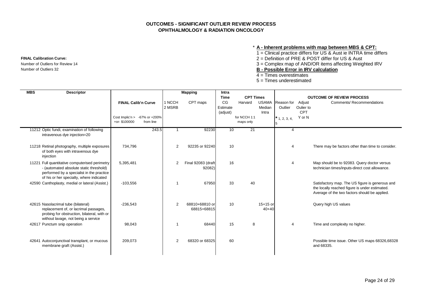## **OUTCOMES - SIGNIFICANT OUTLIER REVIEW PROCESS OPHTHALMOLOGY & RADIATION ONCOLOGY**

#### \* **A - Inherent problems with map between MBS & CPT:**

- 1 = Clinical practice differs for US & Aust ie INTRA time differs
- **FINAL Calibration Curve:** 2 = Definition of PRE & POST differ for US & Aust
- Number of Outliers for Review 14 3 = Complex map of AND/OR items affecting Weighted IRV
- Number of Outliers 32 **B Possible Error in IRV calculation**
	- 4 = Times overestimates
	- 5 = Times underestimated

| <b>MBS</b> | <b>Descriptor</b>                                                                                                                                                                  |                            |                                                  |                  | <b>Mapping</b>                | <b>Intra</b>               |                           |                                 |                       |                                   |                                                                                                                                                    |
|------------|------------------------------------------------------------------------------------------------------------------------------------------------------------------------------------|----------------------------|--------------------------------------------------|------------------|-------------------------------|----------------------------|---------------------------|---------------------------------|-----------------------|-----------------------------------|----------------------------------------------------------------------------------------------------------------------------------------------------|
|            |                                                                                                                                                                                    |                            |                                                  |                  |                               | <b>Time</b>                | <b>CPT Times</b>          |                                 |                       |                                   | <b>OUTCOME OF REVIEW PROCESS</b>                                                                                                                   |
|            |                                                                                                                                                                                    | <b>FINAL Calib'n Curve</b> |                                                  | 1 NCCH<br>2 MSRB | CPT maps                      | CG<br>Estimate<br>(adjust) | Harvard                   | <b>USAMA</b><br>Median<br>Intra | Reason for<br>Outlier | Adjust<br>Oulier to<br><b>CPT</b> | <b>Comments/ Recommendations</b>                                                                                                                   |
|            |                                                                                                                                                                                    | +or-\$100000               | Cost Implic'n > $-67\%$ or $+200\%$<br>from line |                  |                               |                            | for NCCH 1:1<br>maps only |                                 | $*$ 1, 2, 3, 4,       | Y or N                            |                                                                                                                                                    |
|            | 11212 Optic fundi, examination of following<br>intravenous dye injection=20                                                                                                        |                            | 243.5                                            |                  | 92230                         | 10                         | 21                        |                                 | 4                     |                                   |                                                                                                                                                    |
|            | 11218 Retinal photography, multiple exposures<br>of both eyes with intravenous dye<br>injection                                                                                    | 734,796                    |                                                  | 2                | 92235 or 92240                | 10                         |                           |                                 | $\overline{4}$        |                                   | There may be factors other than time to consider.                                                                                                  |
|            | 11221 Full quantitative computerised perimetry<br>- (automated absolute static threshold)<br>performed by a specialist in the practice<br>of his or her specialty, where indicated | 5,395,481                  |                                                  | $\overline{2}$   | Final 92083 (draft<br>92082)  | 16                         |                           |                                 | $\overline{4}$        |                                   | Map should be to 92083. Query doctor versus<br>technician times/inputs-direct cost allowance.                                                      |
|            | 42590 Canthoplasty, medial or lateral (Assist.)                                                                                                                                    | $-103,556$                 |                                                  |                  | 67950                         | 33                         | 40                        |                                 |                       |                                   | Satisfactory map. The US figure is generous and<br>the locally reached figure is under estimated.<br>Average of the two factors should be applied. |
|            | 42615 Nasolacrimal tube (bilateral)<br>replacement of, or lacrimal passages,<br>probing for obstruction, bilateral, with or<br>without lavage, not being a service                 | $-236,543$                 |                                                  | $\overline{2}$   | 68810+68810 or<br>68815+68815 | 10                         |                           | 15+15 or<br>$40 + 40$           |                       |                                   | Query high US values                                                                                                                               |
|            | 42617 Punctum snip operation                                                                                                                                                       | 98,043                     |                                                  |                  | 68440                         | 15                         | 8                         |                                 | $\overline{4}$        |                                   | Time and complexity no higher.                                                                                                                     |
|            | 42641 Autoconjunctival transplant, or mucous<br>membrane graft (Assist.)                                                                                                           | 209,073                    |                                                  | $\overline{2}$   | 68320 or 68325                | 60                         |                           |                                 |                       |                                   | Possible time issue. Other US maps 68326,68328<br>and 68335.                                                                                       |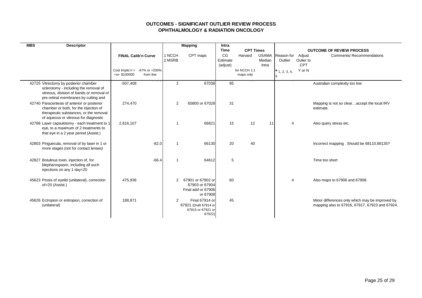## **OUTCOMES - SIGNIFICANT OUTLIER REVIEW PROCESS OPHTHALMOLOGY & RADIATION ONCOLOGY**

| <b>MBS</b><br><b>Descriptor</b>                                                                                                                                         |                                                                  |                  | <b>Mapping</b>                                                         | Intra                      |                           |                                 |                       |                                   |                                                                                                   |
|-------------------------------------------------------------------------------------------------------------------------------------------------------------------------|------------------------------------------------------------------|------------------|------------------------------------------------------------------------|----------------------------|---------------------------|---------------------------------|-----------------------|-----------------------------------|---------------------------------------------------------------------------------------------------|
|                                                                                                                                                                         |                                                                  |                  |                                                                        | Time                       | <b>CPT Times</b>          |                                 |                       |                                   | <b>OUTCOME OF REVIEW PROCESS</b>                                                                  |
|                                                                                                                                                                         | <b>FINAL Calib'n Curve</b>                                       | 1 NCCH<br>2 MSRB | CPT maps                                                               | CG<br>Estimate<br>(adjust) | Harvard                   | <b>USAMA</b><br>Median<br>Intra | Reason for<br>Outlier | Adjust<br>Oulier to<br><b>CPT</b> | <b>Comments/ Recommendations</b>                                                                  |
|                                                                                                                                                                         | Cost Implic'n $> -67\%$ or $+200\%$<br>+or-\$100000<br>from line |                  |                                                                        |                            | for NCCH 1:1<br>maps only |                                 | $*$ 1, 2, 3, 4,       | Y or N                            |                                                                                                   |
| 42725 Vitrectomy by posterior chamber<br>sclerotomy - including the removal of<br>vitreous, division of bands or removal of<br>pre-retinal membranes by cutting and     | $-507,408$                                                       | $\overline{2}$   | 67038                                                                  | 95                         |                           |                                 |                       |                                   | Australian complexity too low                                                                     |
| 42740 Paracentesis of anterior or posterior<br>chamber or both, for the injection of<br>therapeutic substances, or the removal<br>of aqueous or vitreous for diagnostic | 274,470                                                          | 2                | 65800 or 67028                                                         | 31                         |                           |                                 |                       |                                   | Mapping is not so clearaccept the local IRV<br>estimate.                                          |
| 42788 Laser capsulotomy - each treatment to 1<br>eye, to a maximum of 2 treatments to<br>that eye in a 2 year period (Assist.)                                          | 2,616,107                                                        |                  | 66821                                                                  | 15                         | 12                        | 11                              | $\overline{4}$        |                                   | Also query stress etc.                                                                            |
| 42803 Pinguecula, removal of by laser in 1 or<br>more stages (not for contact lenses)                                                                                   | $-82.0$                                                          |                  | 66130                                                                  | 20                         | 40                        |                                 |                       |                                   | Incorrect mapping. Should be 68110,68135?                                                         |
| 42827 Botulinus toxin, injection of, for<br>blepharospasm, including all such<br>injections on any 1 day=20                                                             | $-66.4$                                                          |                  | 64612                                                                  | 5                          |                           |                                 |                       |                                   | Time too short                                                                                    |
| 45623 Ptosis of eyelid (unilateral), correction<br>of=20 (Assist.)                                                                                                      | 475,936                                                          | $\overline{2}$   | 67901 or 67902 or<br>67903 or 67904<br>Final add or 67906<br>or 67908  | 60                         |                           |                                 | $\overline{4}$        |                                   | Also maps to 67906 and 67908.                                                                     |
| 45626 Ectropion or entropion, correction of<br>(unilateral)                                                                                                             | 188,871                                                          | 2                | Final 67914 or<br>67921 (Draft 67914 or<br>67915 or 67921 or<br>67922) | 45                         |                           |                                 |                       |                                   | Minor differences only which may be improved by<br>mapping also to 67916, 67917, 67923 and 67924. |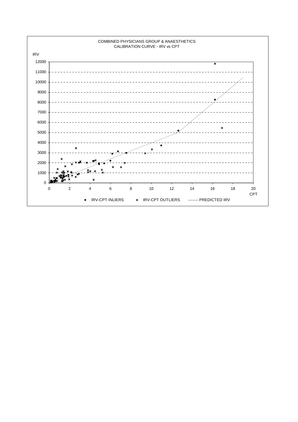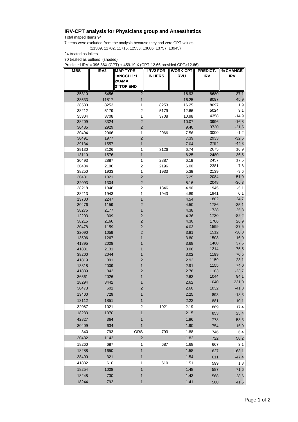## **IRV-CPT analysis for Physicians group and Anaesthetics**

Total maped Items 94

7 items were excluded from the analysis because they had zero CPT values (11309, 11702, 11715, 12533, 13606, 13757, 13945)

24 treated as inliers

70 treated as outliers (shaded)

Predicted IRV = 396.86X (CPT) + 459.19 X (CPT-12.66 provided CPT>12.66)

| <b>MBS</b>     | IRV <sub>2</sub> | <b>MAP TYPE</b><br>1=NCCH 1:1 | <b>IRV2 FOR</b><br><b>INLIERS</b> | <b>WORK CPT</b><br><b>RVU</b> | PREDICT.<br><b>IRV</b> | % CHANGE<br>IRV    |
|----------------|------------------|-------------------------------|-----------------------------------|-------------------------------|------------------------|--------------------|
|                |                  | 2=AMA                         |                                   |                               |                        |                    |
|                |                  | 3=TOP END                     |                                   |                               |                        |                    |
| 35310          | 5456             | $\overline{2}$                |                                   | 16.93                         | 8680                   | $-37.1$            |
| 38533          | 11817            | 1                             |                                   | 16.25                         | 8097                   | 45.9               |
| 38530          | 8253             | 1                             | 8253                              | 16.25                         | 8097                   | 1.9                |
| 38212          | 5179             | $\mathbf 2$                   | 5179                              | 12.66                         | 5024                   | 3.1                |
| 35304<br>38209 | 3708<br>3324     | 1<br>$\overline{2}$           | 3708                              | 10.98<br>10.07                | 4358                   | $-14.9$            |
| 30485          | 2929             | $\overline{\mathbf{c}}$       |                                   | 9.40                          | 3996<br>3730           | $-16.8$<br>$-21.5$ |
| 30494          | 2966             | 1                             | 2966                              | 7.56                          | 3000                   | $-1.2$             |
| 30491          | 1977             | 2                             |                                   | 7.39                          | 2933                   | $-32.6$            |
| 39134          | 1557             | 1                             |                                   | 7.04                          | 2794                   | $-44.3$            |
| 39130          | 3126             | 1                             | 3126                              | 6.74                          | 2675                   | 16.9               |
| 13110          | 1576             | 1                             |                                   | 6.25                          | 2480                   | $-36.5$            |
| 30493          | 2887             | 1                             | 2887                              | 6.19                          | 2457                   | 17.5               |
| 30484          | 2196             | 2                             | 2196                              | 6.00                          | 2381                   | $-7.8$             |
| 38250          | 1933             | 1                             | 1933                              | 5.39                          | 2139                   | $-9.6$             |
| 30481          | 1021             | $\overline{c}$                |                                   | 5.25                          | 2084                   | $-51.0$            |
| 32093          | 1304             | $\overline{\mathbf{c}}$       |                                   | 5.16                          | 2048                   | $-36.3$            |
| 38218          | 1846             | 2                             | 1846                              | 4.90                          | 1945                   | -5.1               |
| 38213          | 1943             | 1                             | 1943                              | 4.89                          | 1941                   | 0.1<br>24.7        |
| 13700<br>30476 | 2247             | 1<br>2                        |                                   | 4.54<br>4.50                  | 1802                   | $-35.1$            |
| 38275          | 1159<br>2177     | 1                             |                                   | 4.38                          | 1786<br>1738           | 25.3               |
| 12203          | 309              | 2                             |                                   | 4.36                          | 1730                   | $-82.2$            |
| 38215          | 2166             | $\overline{2}$                |                                   | 4.30                          | 1706                   | 26.9               |
| 30478          | 1159             | $\overline{\mathbf{c}}$       |                                   | 4.03                          | 1599                   | $-27.5$            |
| 32090          | 1059             | $\overline{\mathbf{c}}$       |                                   | 3.81                          | 1512                   | $-30.0$            |
| 13506          | 1267             | 1                             |                                   | 3.80                          | 1508                   | $-16.0$            |
| 41895          | 2008             | 1                             |                                   | 3.68                          | 1460                   | 37.5               |
| 41831          | 2131             | 1                             |                                   | 3.06                          | 1214                   | 75.5               |
| 38200          | 2044             | 1                             |                                   | 3.02                          | 1199                   | 70.5               |
| 41819          | 891              | $\overline{2}$                |                                   | 2.92                          | 1159                   | $-23.1$            |
| 13818          | 2009             | 1                             |                                   | 2.91                          | 1155                   | 74.0               |
| 41889          | 842              | $\overline{\mathbf{c}}$       |                                   | 2.78                          | 1103                   | $-23.7$            |
| 36561          | 2026             | 1                             |                                   | 2.63                          | 1044                   | 94.1               |
| 18294          | 3442             | 1                             |                                   | 2.62                          | 1040                   | 231.0              |
| 30473          | 601              | 2                             |                                   | 2.60                          | 1032                   | $-41.8$            |
| 13400          | 729              | 1                             |                                   | 2.25                          | 893                    | $-18.3$            |
| 13112          | 1851             | 1                             |                                   | 2.22                          | 881                    | 110.1              |
| 32087          | 1021             | $\mathbf 2$                   | 1021                              | 2.19                          | 869                    | 17.4               |
| 18233          | 1070             | 1                             |                                   | 2.15                          | 853                    | 25.4               |
| 42827          | 364              | 1                             |                                   | 1.96                          | 778                    | $-53.3$            |
| 30409          | 634              | 1                             |                                   | 1.90                          | 754                    | $-15.9$            |
| 340            | 793              | ORS                           | 793                               | 1.88                          | 746                    | 6.4                |
| 30482          | 1142             | $\mathbf 2$                   |                                   | 1.82                          | 722                    | 58.2               |
| 18260          | 687              | 1                             | 687                               | 1.68                          | 667                    | 3.1                |
| 18288          | 1650             | 1                             |                                   | 1.58                          | 627                    | 163.1              |
| 38400          | 321              | 1                             |                                   | 1.54                          | 611                    | $-47.4$            |
| 41832          | 610              | 1                             | 610                               | 1.51                          | 599                    | 1.8                |
| 18254          | 1008             | 1                             |                                   | 1.48                          | 587                    | 71.6               |
| 18248          | 730              | 1                             |                                   | 1.43                          | 568                    | 28.6               |
| 18244          | 792              | 1                             |                                   | 1.41                          | 560                    | 41.5               |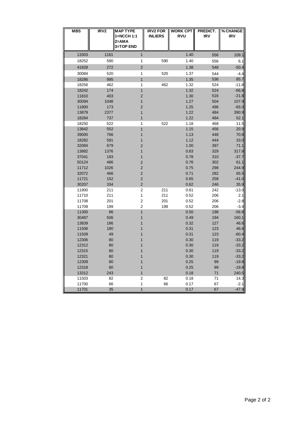| <b>MBS</b> | IRV <sub>2</sub> | <b>MAP TYPE</b>         | <b>IRV2 FOR</b> | <b>WORK CPT</b> | PREDICT.   | % CHANGE   |
|------------|------------------|-------------------------|-----------------|-----------------|------------|------------|
|            |                  | 1=NCCH 1:1<br>2=AMA     | <b>INLIERS</b>  | <b>RVU</b>      | <b>IRV</b> | <b>IRV</b> |
|            |                  | 3=TOP END               |                 |                 |            |            |
| 13303      | 1161             | 1                       |                 | 1.40            | 556        | 109.1      |
| 18252      | 590              | 1                       | 590             | 1.40            | 556        | 6.1        |
| 41828      | 272              | $\overline{\mathbf{c}}$ |                 | 1.38            | 548        | $-50.4$    |
| 30084      | 520              | 1                       | 520             | 1.37            | 544        | $-4.4$     |
| 18286      | 995              | 1                       |                 | 1.35            | 536        | 85.7       |
| 18256      | 462              | 1                       | 462             | 1.32            | 524        | $-11.8$    |
| 18242      | 174              | 1                       |                 | 1.32            | 524        | $-66.8$    |
| 11810      | 403              | $\overline{\mathbf{c}}$ |                 | 1.30            | 516        | $-21.8$    |
| 30094      | 1048             | 1                       |                 | 1.27            | 504        | 107.9      |
| 11800      | 173              | $\overline{\mathbf{c}}$ |                 | 1.25            | 496        | $-65.0$    |
| 13879      | 2377             | 1                       |                 | 1.22            | 484        | 390.9      |
| 18284      | 737              | 1                       |                 | 1.22            | 484        | 52.1       |
| 18250      | 522              | 1                       | 522             | 1.18            | 468        | 11.5       |
| 13842      | 552              | 1                       |                 | 1.15            | 456        | 20.9       |
| 39000      | 766              | 1                       |                 | 1.13            | 448        | 70.8       |
| 18282      | 591              | 1                       |                 | 1.12            | 444        | 33.0       |
| 32084      | 679              | 2                       |                 | 1.00            | 397        | 71.1       |
| 13882      | 1376             | 1                       |                 | 0.83            | 329        | 317.8      |
| 37041      | 193              | 1                       |                 | 0.78            | 310        | $-37.7$    |
| 50124      | 486              | $\overline{\mathbf{c}}$ |                 | 0.76            | 302        | 61.1       |
| 11712      | 1026             | $\overline{\mathbf{c}}$ |                 | 0.75            | 298        | 244.9      |
| 32072      | 466              | $\mathbf 2$             |                 | 0.71            | 282        | 65.5       |
| 11721      | 152              | $\overline{\mathbf{c}}$ |                 | 0.65            | 258        | $-41.0$    |
| 30207      | 334              | $\overline{\mathbf{c}}$ |                 | 0.62            | 246        | 35.9       |
| 11900      | 211              | $\overline{2}$          | 211             | 0.61            | 242        | $-13.0$    |
| 11710      | 211              | 1                       | 211             | 0.52            | 206        | 2.1        |
| 11708      | 201              | $\overline{\mathbf{c}}$ | 201             | 0.52            | 206        | $-2.8$     |
| 11709      | 199              | $\overline{\mathbf{c}}$ | 199             | 0.52            | 206        | $-3.4$     |
| 11300      | 86               | 1                       |                 | 0.50            | 198        | $-56.8$    |
| 30487      | 506              | 1                       |                 | 0.49            | 194        | 160.1      |
| 13839      | 186              | 1                       |                 | 0.32            | 127        | 46.6       |
| 11506      | 180              | 1                       |                 | 0.31            | 123        | 46.6       |
| 11509      | 49               | 1                       |                 | 0.31            | 123        | $-60.4$    |
| 12306      | 80               | 1                       |                 | 0.30            | 119        | $-33.2$    |
| 12312      | 80               | 1                       |                 | 0.30            | 119        | $-33.2$    |
| 12315      | 80               |                         |                 | 0.30            | 119        | $-33.2$    |
| 12321      | 80               | 1                       |                 | 0.30            | 119        | $-33.2$    |
| 12309      | 80               | 1                       |                 | 0.25            | 99         | $-19.8$    |
| 12318      | 80               | 1                       |                 | 0.25            | 99         | $-19.8$    |
| 13312      | 243              | 1                       |                 | 0.18            | 71         | 240.5      |
| 11503      | 82               | $\boldsymbol{2}$        | 82              | 0.18            | 71         | 14.3       |
| 11700      | 66               | 1                       | 66              | 0.17            | 67         | $-2.1$     |
| 11701      | 35               | $\mathbf{1}$            |                 | 0.17            | 67         | $-47.9$    |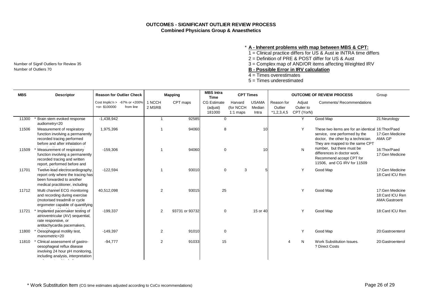#### \* **A - Inherent problems with map between MBS & CPT:**

1 = Clinical practice differs for US & Aust ie INTRA time differs

2 = Definition of PRE & POST differ for US & Aust

Number of Signif Outliers for Review 35 3 = Complex map of AND/OR items affecting Weighted IRV

 $\overline{4}$  = Times overestimates

5 = Times underestimated

| <b>MBS</b> | <b>Descriptor</b>                                                                                                                      |              | <b>Reason for Outlier Check</b>                  |                  | <b>Mapping</b> | <b>MBS</b> Intra<br><b>Time</b>          | <b>CPT Times</b>                   |                                 |                                       |                                   | <b>OUTCOME OF REVIEW PROCESS</b>                                                                                                                             | Group                                                |
|------------|----------------------------------------------------------------------------------------------------------------------------------------|--------------|--------------------------------------------------|------------------|----------------|------------------------------------------|------------------------------------|---------------------------------|---------------------------------------|-----------------------------------|--------------------------------------------------------------------------------------------------------------------------------------------------------------|------------------------------------------------------|
|            |                                                                                                                                        | +or-\$100000 | Cost Implic'n $> -67\%$ or $+200\%$<br>from line | 1 NCCH<br>2 MSRB | CPT maps       | <b>CG Estimate</b><br>(adjust)<br>181000 | Harvard<br>(for NCCH<br>$1:1$ maps | <b>USAMA</b><br>Median<br>Intra | Reason for<br>Outlier<br>$*1,2,3,4,5$ | Adjust<br>Oulier to<br>CPT (YorN) | <b>Comments/ Recommendations</b>                                                                                                                             |                                                      |
| 11300      | Brain stem evoked response<br>audiometry=20                                                                                            | $-1,438,942$ |                                                  | -1               | 92585          | $\mathbf 0$                              |                                    |                                 |                                       | Y                                 | Good Map                                                                                                                                                     | 21:Neurology                                         |
| 11506      | Measurement of respiratory<br>function involving a permanently<br>recorded tracing performed<br>before and after inhalation of         | 1,975,396    |                                                  | -1               | 94060          | 8                                        |                                    | 10                              |                                       | Y                                 | These two items are for an identical 16: Thor/Paed<br>service, one performed by the<br>doctor, the other by a technician.<br>They are mapped to the same CPT | 17:Gen Medicine<br>AMA GP                            |
| 11509      | Measurement of respiratory<br>function involving a permanently<br>recorded tracing and written<br>report, performed before and         | $-159,306$   |                                                  |                  | 94060          | $\Omega$                                 |                                    | 10                              |                                       | N                                 | number, but there must be<br>differences in doctor work.<br>Recommend accept CPT for<br>11506, and CG IRV for 11509                                          | 16:Thor/Paed<br>17:Gen Medicine                      |
| 11701      | Twelve-lead electrocardiography,<br>report only where the tracing has<br>been forwarded to another<br>medical practitioner, including  | $-122.594$   |                                                  | -1               | 93010          | $\mathbf 0$                              | 3                                  |                                 |                                       | Y                                 | Good Map                                                                                                                                                     | 17:Gen Medicine<br>18:Card ICU Ren                   |
| 11712      | Multi channel ECG monitoring<br>and recording during exercise<br>(motorised treadmill or cycle<br>ergometer capable of quantifying     | 40,512,098   |                                                  | 2                | 93015          | 25                                       |                                    |                                 |                                       | Y                                 | Good Map                                                                                                                                                     | 17: Gen Medicine<br>18:Card ICU Ren<br>AMA:Gastroent |
| 11721      | Implanted pacemaker testing of<br>atrioventricular (AV) sequential,<br>rate responsive, or<br>antitachycardia pacemakers,              | $-199.337$   |                                                  | 2                | 93731 or 93732 | $\mathbf 0$                              |                                    | 15 or 40                        |                                       | Y                                 | Good Map                                                                                                                                                     | 18:Card ICU Ren                                      |
| 11800      | Oesophageal motility test,<br>manometric=20                                                                                            | $-149,397$   |                                                  | 2                | 91010          | $\mathbf 0$                              |                                    |                                 |                                       | Y                                 | Good Map                                                                                                                                                     | 20:Gastroenterol                                     |
| 11810      | Clinical assessment of gastro-<br>oesophageal reflux disease<br>involving 24 hour pH monitoring,<br>including analysis, interpretation | $-94,777$    |                                                  | $\overline{2}$   | 91033          | 15                                       |                                    |                                 |                                       | N                                 | Work Substitution Issues.<br>? Direct Costs                                                                                                                  | 20:Gastroenterol                                     |

Number of Outliers 70 **B** - Possible Error in IRV calculation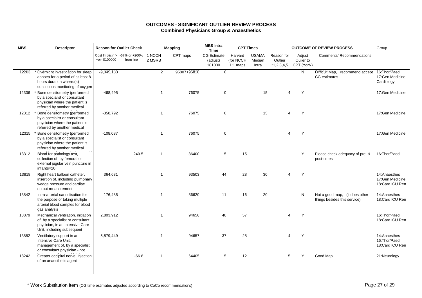| <b>MBS</b> | <b>Descriptor</b>                                                                                                                        | <b>Reason for Outlier Check</b>                     |           |                  | <b>Mapping</b> | <b>MBS</b> Intra<br><b>Time</b>          | <b>CPT Times</b>                   |                                 |                       |                                              | <b>OUTCOME OF REVIEW PROCESS</b>                               | Group                                               |
|------------|------------------------------------------------------------------------------------------------------------------------------------------|-----------------------------------------------------|-----------|------------------|----------------|------------------------------------------|------------------------------------|---------------------------------|-----------------------|----------------------------------------------|----------------------------------------------------------------|-----------------------------------------------------|
|            |                                                                                                                                          | Cost Implic'n $> -67\%$ or $+200\%$<br>+or-\$100000 | from line | 1 NCCH<br>2 MSRB | CPT maps       | <b>CG Estimate</b><br>(adjust)<br>181000 | Harvard<br>(for NCCH<br>$1:1$ maps | <b>USAMA</b><br>Median<br>Intra | Reason for<br>Outlier | Adjust<br>Oulier to<br>*1,2,3,4,5 CPT (YorN) | <b>Comments/ Recommendations</b>                               |                                                     |
| 12203      | * Overnight investigation for sleep<br>apnoea for a period of at least 8<br>hours duration where:(a)<br>continuous monitoring of oxygen  | $-9,845,183$                                        |           | $\overline{2}$   | 95807+95810    | $\mathbf{0}$                             |                                    |                                 |                       | N                                            | Difficult Map, recommend accept<br><b>CG</b> estimates         | 16: Thor/Paed<br>17:Gen Medicine<br>Cardiology      |
| 12306      | Bone densitometry (performed<br>by a specialist or consultant<br>physician where the patient is<br>referred by another medical           | $-468,495$                                          |           | $\overline{1}$   | 76075          | $\mathbf 0$                              |                                    | 15                              | Δ                     | Y                                            |                                                                | 17:Gen Medicine                                     |
| 12312      | Bone densitometry (performed<br>by a specialist or consultant<br>physician where the patient is<br>referred by another medical           | $-358,792$                                          |           | $\overline{1}$   | 76075          | $\mathbf 0$                              |                                    | 15                              | 4                     | Y                                            |                                                                | 17:Gen Medicine                                     |
| 12315      | Bone densitometry (performed<br>by a specialist or consultant<br>physician where the patient is<br>referred by another medical           | $-108,087$                                          |           | $\overline{1}$   | 76075          | $\mathbf 0$                              |                                    |                                 | 4                     | Y                                            |                                                                | 17:Gen Medicine                                     |
| 13312      | Blood for pathology test,<br>collection of, by femoral or<br>external jugular vein puncture in<br>infants=20                             |                                                     | 240.5     | -1               | 36400          | 5                                        | 15                                 |                                 |                       | Y                                            | Please check adequacy of pre- &<br>post-times                  | 16: Thor/Paed                                       |
| 13818      | Right heart balloon catheter,<br>insertion of, including pulmonary<br>wedge pressure and cardiac<br>output measurement                   | 364,681                                             |           | -1               | 93503          | 44                                       | 28                                 | 30                              |                       | Y                                            |                                                                | 14: Anaesthes<br>17:Gen Medicine<br>18:Card ICU Ren |
| 13842      | Intra-arterial cannulisation for<br>the purpose of taking multiple<br>arterial blood samples for blood<br>gas analysis                   | 176,485                                             |           | $\overline{1}$   | 36620          | 11                                       | 16                                 | 20                              |                       | N                                            | Not a good map, (it does other<br>things besides this service) | 14:Anaesthes<br>18:Card ICU Ren                     |
| 13879      | Mechanical ventilation, initiation<br>of, by a specialist or consultant<br>physician, in an Intensive Care<br>Unit, including subsequent | 2,803,912                                           |           | -1               | 94656          | 40                                       | 57                                 |                                 | 4                     | Y                                            |                                                                | 16: Thor/Paed<br>18:Card ICU Ren                    |
| 13882      | Ventilatory support in an<br>Intensive Care Unit,<br>management of, by a specialist<br>or consultant physician - not                     | 5,879,449                                           |           | $\overline{1}$   | 94657          | 37                                       | 28                                 |                                 | 4                     | Y                                            |                                                                | 14: Anaesthes<br>16: Thor/Paed<br>18:Card ICU Ren   |
| 18242      | Greater occipital nerve, injection<br>of an anaesthetic agent                                                                            |                                                     | $-66.8$   | $\overline{1}$   | 64405          | 5                                        | 12                                 |                                 | 5                     | Y                                            | Good Map                                                       | 21:Neurology                                        |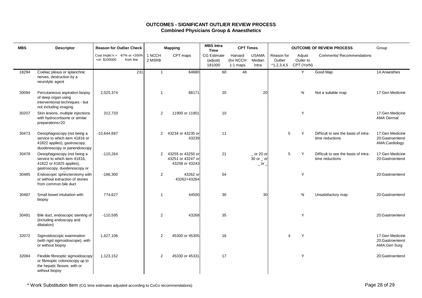| <b>MBS</b> | <b>Descriptor</b>                                                                                                             | <b>Reason for Outlier Check</b> |                                            |                  | <b>Mapping</b>                                           | <b>MBS</b> Intra<br><b>Time</b>          | <b>CPT Times</b>                   |                                                                             |                                       |                                   | <b>OUTCOME OF REVIEW PROCESS</b>                        | Group                                                 |
|------------|-------------------------------------------------------------------------------------------------------------------------------|---------------------------------|--------------------------------------------|------------------|----------------------------------------------------------|------------------------------------------|------------------------------------|-----------------------------------------------------------------------------|---------------------------------------|-----------------------------------|---------------------------------------------------------|-------------------------------------------------------|
|            |                                                                                                                               | +or-\$100000                    | Cost Implic'n > -67% or +200%<br>from line | 1 NCCH<br>2 MSRB | CPT maps                                                 | <b>CG Estimate</b><br>(adjust)<br>181000 | Harvard<br>(for NCCH<br>$1:1$ maps | <b>USAMA</b><br>Median<br>Intra                                             | Reason for<br>Outlier<br>$*1,2,3,4,5$ | Adjust<br>Oulier to<br>CPT (YorN) | <b>Comments/ Recommendations</b>                        |                                                       |
| 18294      | Coeliac plexus or splanchnic<br>nerves, destruction by a<br>neurolytic agent                                                  |                                 | 231                                        | $\mathbf{1}$     | 64680                                                    | 60                                       | 46                                 |                                                                             |                                       | Y                                 | Good Map                                                | 14:Anaesthes                                          |
| 30094      | Percutaneous aspiration biopsy<br>of deep organ using<br>interventional techniques - but<br>not including imaging             | 2,025,374                       |                                            | $\mathbf 1$      | 88171                                                    | 20                                       |                                    | 20                                                                          |                                       | N                                 | Not a suitable map                                      | 17:Gen Medicine                                       |
| 30207      | Skin lesions, multiple injections<br>with hydrocortisone or similar<br>preparations=20                                        | 312,733                         |                                            | 2                | 11900 or 11901                                           | 10                                       |                                    |                                                                             |                                       | Y                                 |                                                         | 17:Gen Medicine<br><b>AMA Dermat</b>                  |
| 30473      | Oesophagoscopy (not being a<br>service to which item 41816 or<br>41822 applies), gastroscopy,<br>duodenoscopy or panendoscopy | $-10,644,687$                   |                                            | $\overline{2}$   | 43234 or 43235 or<br>43239                               | 11                                       |                                    |                                                                             | 5                                     | Y                                 | Difficult to see the basis of intra-<br>time reductions | 17:Gen Medicine<br>20:Gastroenterol<br>AMA:Cardiology |
| 30478      | Oesophagoscopy (not being a<br>service to which item 41816,<br>41822 or 41825 applies),<br>gastroscopy, duodenoscopy or       | $-110,264$                      |                                            | $\overline{2}$   | 43255 or 43250 or<br>43251 or 43247 or<br>43258 or 43243 | 21                                       |                                    | $20$ or 20 or<br>30 or $\overline{\phantom{0}}$ or<br>$-$ or $\overline{a}$ | 5                                     | Y                                 | Difficult to see the basis of intra-<br>time reductions | 17:Gen Medicine<br>20:Gastroenterol                   |
| 30485      | Endoscopic sphincterotomy with<br>or without extraction of stones<br>from common bile duct                                    | $-186,300$                      |                                            | $\overline{2}$   | 43262 or<br>43262+43264                                  | 54                                       |                                    |                                                                             |                                       | Y                                 |                                                         | 20:Gastroenterol                                      |
| 30487      | Small bowel intubation with<br>biopsy                                                                                         | 774,627                         |                                            | $\mathbf{1}$     | 44500                                                    | 30                                       |                                    | 30                                                                          |                                       | N                                 | Unsatisfactory map                                      | 20:Gastroenterol                                      |
| 30491      | Bile duct, endoscopic stenting of<br>(including endoscopy and<br>dilatation)                                                  | $-110,595$                      |                                            | 2                | 43268                                                    | 35                                       |                                    |                                                                             |                                       | Y                                 |                                                         | 20:Gastroenterol                                      |
| 32072      | Sigmoidoscopic examination<br>(with rigid sigmoidoscope), with<br>or without biopsy                                           | 1,627,106                       |                                            | 2                | 45300 or 45305                                           | 16                                       |                                    |                                                                             | $\boldsymbol{\Delta}$                 | Y                                 |                                                         | 17:Gen Medicine<br>20:Gastroenterol<br>AMA:Gen Surg   |
| 32084      | Flexible fibreoptic sigmoidoscopy<br>or fibreoptic colonoscopy up to<br>the hepatic flexure, with or<br>without biopsy        | 1,123,152                       |                                            | 2                | 45330 or 45331                                           | 17                                       |                                    |                                                                             |                                       | Y                                 |                                                         | 20:Gastroenterol                                      |